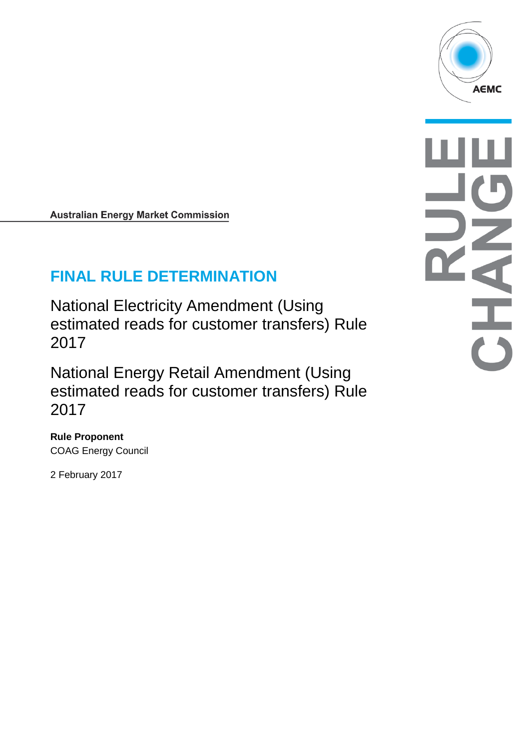**Australian Energy Market Commission** 

# **FINAL RULE DETERMINATION**

National Electricity Amendment (Using estimated reads for customer transfers) Rule 2017

National Energy Retail Amendment (Using estimated reads for customer transfers) Rule 2017

**Rule Proponent** COAG Energy Council

2 February 2017

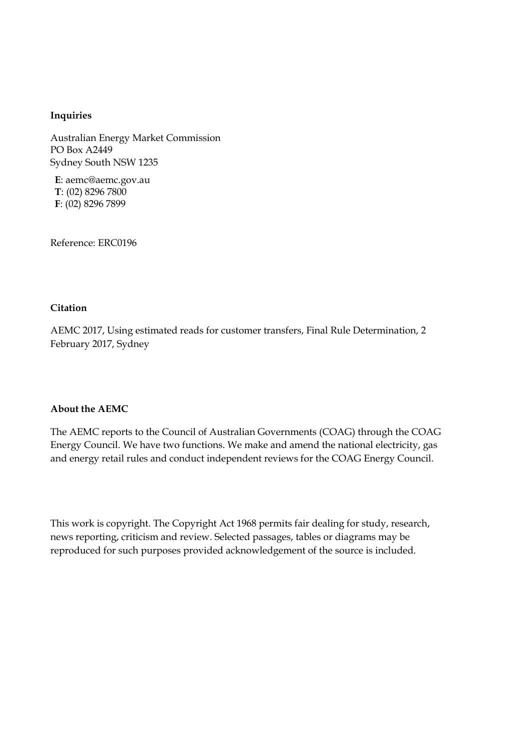#### **Inquiries**

Australian Energy Market Commission PO Box A2449 Sydney South NSW 1235

**E**: aemc@aemc.gov.au **T**: (02) 8296 7800 **F**: (02) 8296 7899

Reference: ERC0196

#### **Citation**

AEMC 2017, Using estimated reads for customer transfers, Final Rule Determination, 2 February 2017, Sydney

#### **About the AEMC**

The AEMC reports to the Council of Australian Governments (COAG) through the COAG Energy Council. We have two functions. We make and amend the national electricity, gas and energy retail rules and conduct independent reviews for the COAG Energy Council.

This work is copyright. The Copyright Act 1968 permits fair dealing for study, research, news reporting, criticism and review. Selected passages, tables or diagrams may be reproduced for such purposes provided acknowledgement of the source is included.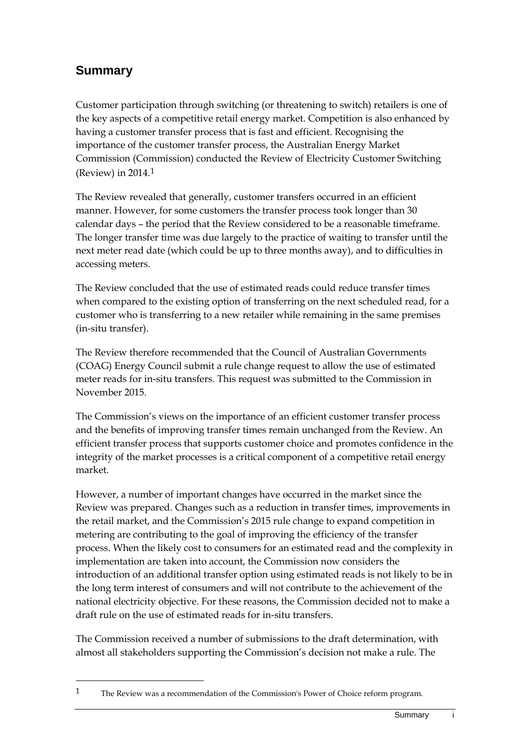# **Summary**

-

Customer participation through switching (or threatening to switch) retailers is one of the key aspects of a competitive retail energy market. Competition is also enhanced by having a customer transfer process that is fast and efficient. Recognising the importance of the customer transfer process, the Australian Energy Market Commission (Commission) conducted the Review of Electricity Customer Switching (Review) in 2014.[1](#page-2-0)

The Review revealed that generally, customer transfers occurred in an efficient manner. However, for some customers the transfer process took longer than 30 calendar days – the period that the Review considered to be a reasonable timeframe. The longer transfer time was due largely to the practice of waiting to transfer until the next meter read date (which could be up to three months away), and to difficulties in accessing meters.

The Review concluded that the use of estimated reads could reduce transfer times when compared to the existing option of transferring on the next scheduled read, for a customer who is transferring to a new retailer while remaining in the same premises (in-situ transfer).

The Review therefore recommended that the Council of Australian Governments (COAG) Energy Council submit a rule change request to allow the use of estimated meter reads for in-situ transfers. This request was submitted to the Commission in November 2015.

The Commission's views on the importance of an efficient customer transfer process and the benefits of improving transfer times remain unchanged from the Review. An efficient transfer process that supports customer choice and promotes confidence in the integrity of the market processes is a critical component of a competitive retail energy market.

However, a number of important changes have occurred in the market since the Review was prepared. Changes such as a reduction in transfer times, improvements in the retail market, and the Commission's 2015 rule change to expand competition in metering are contributing to the goal of improving the efficiency of the transfer process. When the likely cost to consumers for an estimated read and the complexity in implementation are taken into account, the Commission now considers the introduction of an additional transfer option using estimated reads is not likely to be in the long term interest of consumers and will not contribute to the achievement of the national electricity objective. For these reasons, the Commission decided not to make a draft rule on the use of estimated reads for in-situ transfers.

The Commission received a number of submissions to the draft determination, with almost all stakeholders supporting the Commission's decision not make a rule. The

<span id="page-2-0"></span><sup>1</sup> The Review was a recommendation of the Commission's Power of Choice reform program.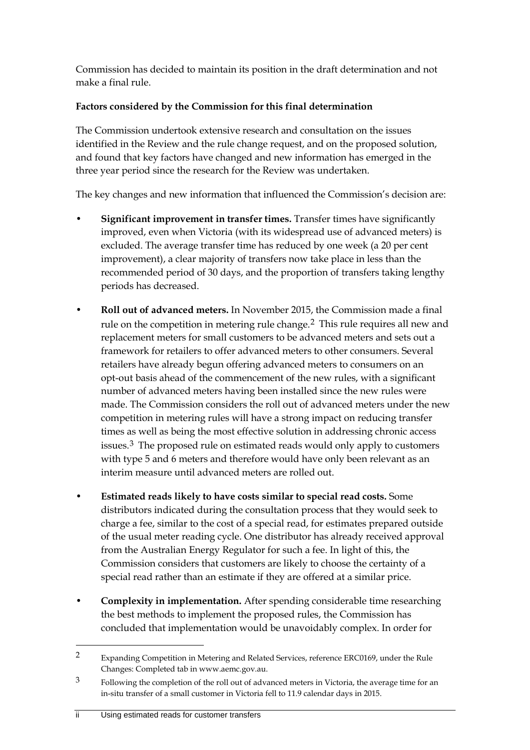Commission has decided to maintain its position in the draft determination and not make a final rule.

### **Factors considered by the Commission for this final determination**

The Commission undertook extensive research and consultation on the issues identified in the Review and the rule change request, and on the proposed solution, and found that key factors have changed and new information has emerged in the three year period since the research for the Review was undertaken.

The key changes and new information that influenced the Commission's decision are:

- **Significant improvement in transfer times.** Transfer times have significantly improved, even when Victoria (with its widespread use of advanced meters) is excluded. The average transfer time has reduced by one week (a 20 per cent improvement), a clear majority of transfers now take place in less than the recommended period of 30 days, and the proportion of transfers taking lengthy periods has decreased.
- **Roll out of advanced meters.** In November 2015, the Commission made a final rule on the competition in metering rule change.<sup>[2](#page-3-0)</sup> This rule requires all new and replacement meters for small customers to be advanced meters and sets out a framework for retailers to offer advanced meters to other consumers. Several retailers have already begun offering advanced meters to consumers on an opt-out basis ahead of the commencement of the new rules, with a significant number of advanced meters having been installed since the new rules were made. The Commission considers the roll out of advanced meters under the new competition in metering rules will have a strong impact on reducing transfer times as well as being the most effective solution in addressing chronic access issues. $3$  The proposed rule on estimated reads would only apply to customers with type 5 and 6 meters and therefore would have only been relevant as an interim measure until advanced meters are rolled out.
- **Estimated reads likely to have costs similar to special read costs.** Some distributors indicated during the consultation process that they would seek to charge a fee, similar to the cost of a special read, for estimates prepared outside of the usual meter reading cycle. One distributor has already received approval from the Australian Energy Regulator for such a fee. In light of this, the Commission considers that customers are likely to choose the certainty of a special read rather than an estimate if they are offered at a similar price.
- **Complexity in implementation.** After spending considerable time researching the best methods to implement the proposed rules, the Commission has concluded that implementation would be unavoidably complex. In order for

<span id="page-3-0"></span><sup>2</sup> Expanding Competition in Metering and Related Services, reference ERC0169, under the Rule Changes: Completed tab in www.aemc.gov.au.

<span id="page-3-1"></span><sup>3</sup> Following the completion of the roll out of advanced meters in Victoria, the average time for an in-situ transfer of a small customer in Victoria fell to 11.9 calendar days in 2015.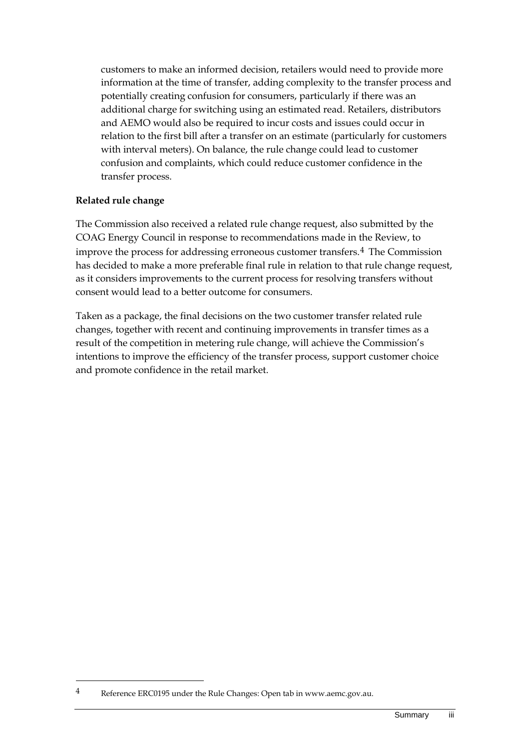customers to make an informed decision, retailers would need to provide more information at the time of transfer, adding complexity to the transfer process and potentially creating confusion for consumers, particularly if there was an additional charge for switching using an estimated read. Retailers, distributors and AEMO would also be required to incur costs and issues could occur in relation to the first bill after a transfer on an estimate (particularly for customers with interval meters). On balance, the rule change could lead to customer confusion and complaints, which could reduce customer confidence in the transfer process.

#### **Related rule change**

-

The Commission also received a related rule change request, also submitted by the COAG Energy Council in response to recommendations made in the Review, to improve the process for addressing erroneous customer transfers.<sup>[4](#page-4-0)</sup> The Commission has decided to make a more preferable final rule in relation to that rule change request, as it considers improvements to the current process for resolving transfers without consent would lead to a better outcome for consumers.

Taken as a package, the final decisions on the two customer transfer related rule changes, together with recent and continuing improvements in transfer times as a result of the competition in metering rule change, will achieve the Commission's intentions to improve the efficiency of the transfer process, support customer choice and promote confidence in the retail market.

<span id="page-4-0"></span><sup>4</sup> Reference ERC0195 under the Rule Changes: Open tab in www.aemc.gov.au.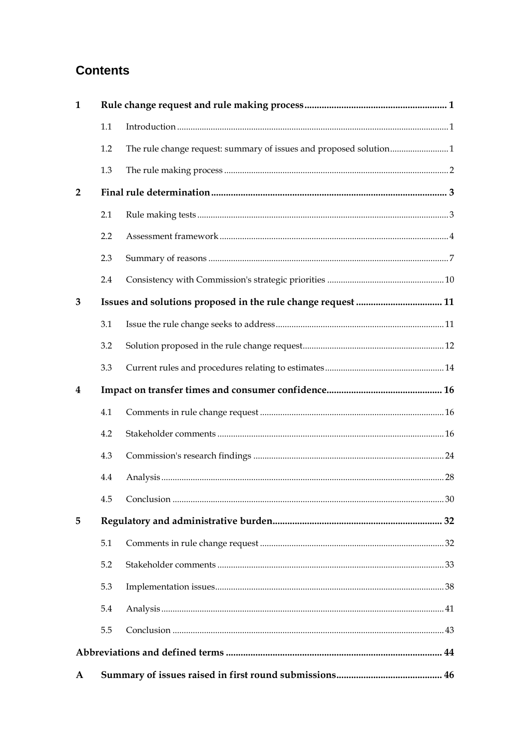# **Contents**

| $\mathbf{1}$            |     |  |  |  |
|-------------------------|-----|--|--|--|
|                         | 1.1 |  |  |  |
|                         | 1.2 |  |  |  |
|                         | 1.3 |  |  |  |
| $\overline{2}$          |     |  |  |  |
|                         | 2.1 |  |  |  |
|                         | 2.2 |  |  |  |
|                         | 2.3 |  |  |  |
|                         | 2.4 |  |  |  |
| 3                       |     |  |  |  |
|                         | 3.1 |  |  |  |
|                         | 3.2 |  |  |  |
|                         | 3.3 |  |  |  |
| $\overline{\mathbf{4}}$ |     |  |  |  |
|                         | 4.1 |  |  |  |
|                         | 4.2 |  |  |  |
|                         | 4.3 |  |  |  |
|                         | 4.4 |  |  |  |
|                         |     |  |  |  |
| 5                       |     |  |  |  |
|                         | 5.1 |  |  |  |
|                         | 5.2 |  |  |  |
|                         | 5.3 |  |  |  |
|                         | 5.4 |  |  |  |
|                         | 5.5 |  |  |  |
|                         |     |  |  |  |
| A                       |     |  |  |  |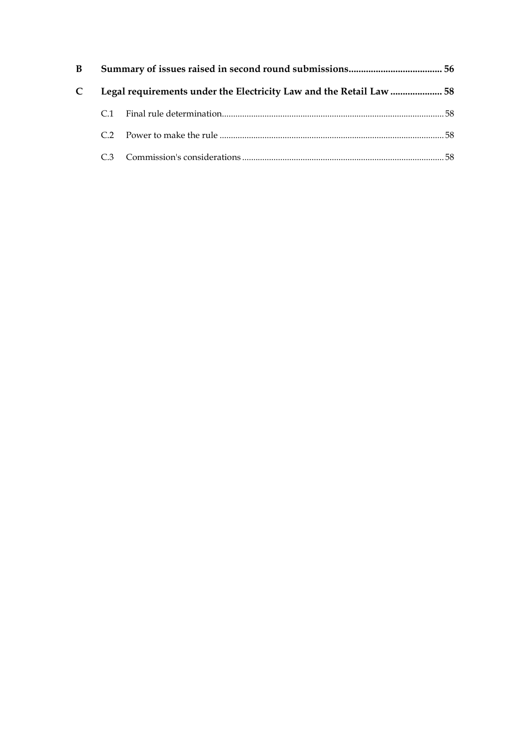| B |  |                                                                     |  |
|---|--|---------------------------------------------------------------------|--|
| C |  | Legal requirements under the Electricity Law and the Retail Law  58 |  |
|   |  |                                                                     |  |
|   |  |                                                                     |  |
|   |  |                                                                     |  |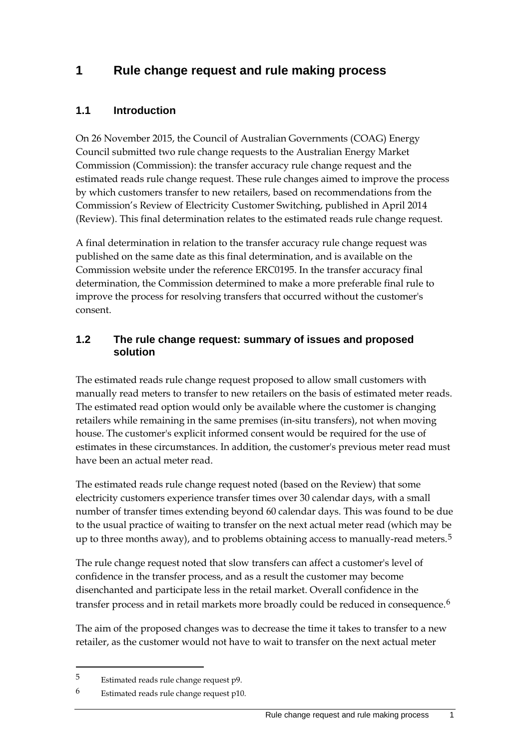# <span id="page-8-0"></span>**1 Rule change request and rule making process**

# <span id="page-8-1"></span>**1.1 Introduction**

On 26 November 2015, the Council of Australian Governments (COAG) Energy Council submitted two rule change requests to the Australian Energy Market Commission (Commission): the transfer accuracy rule change request and the estimated reads rule change request. These rule changes aimed to improve the process by which customers transfer to new retailers, based on recommendations from the Commission's Review of Electricity Customer Switching, published in April 2014 (Review). This final determination relates to the estimated reads rule change request.

A final determination in relation to the transfer accuracy rule change request was published on the same date as this final determination, and is available on the Commission website under the reference ERC0195. In the transfer accuracy final determination, the Commission determined to make a more preferable final rule to improve the process for resolving transfers that occurred without the customer's consent.

### <span id="page-8-2"></span>**1.2 The rule change request: summary of issues and proposed solution**

The estimated reads rule change request proposed to allow small customers with manually read meters to transfer to new retailers on the basis of estimated meter reads. The estimated read option would only be available where the customer is changing retailers while remaining in the same premises (in-situ transfers), not when moving house. The customer's explicit informed consent would be required for the use of estimates in these circumstances. In addition, the customer's previous meter read must have been an actual meter read.

The estimated reads rule change request noted (based on the Review) that some electricity customers experience transfer times over 30 calendar days, with a small number of transfer times extending beyond 60 calendar days. This was found to be due to the usual practice of waiting to transfer on the next actual meter read (which may be up to three months away), and to problems obtaining access to manually-read meters.<sup>[5](#page-8-3)</sup>

The rule change request noted that slow transfers can affect a customer's level of confidence in the transfer process, and as a result the customer may become disenchanted and participate less in the retail market. Overall confidence in the transfer process and in retail markets more broadly could be reduced in consequence.<sup>[6](#page-8-4)</sup>

The aim of the proposed changes was to decrease the time it takes to transfer to a new retailer, as the customer would not have to wait to transfer on the next actual meter

<span id="page-8-3"></span><sup>5</sup> Estimated reads rule change request p9.

<span id="page-8-4"></span> $6$  Estimated reads rule change request p10.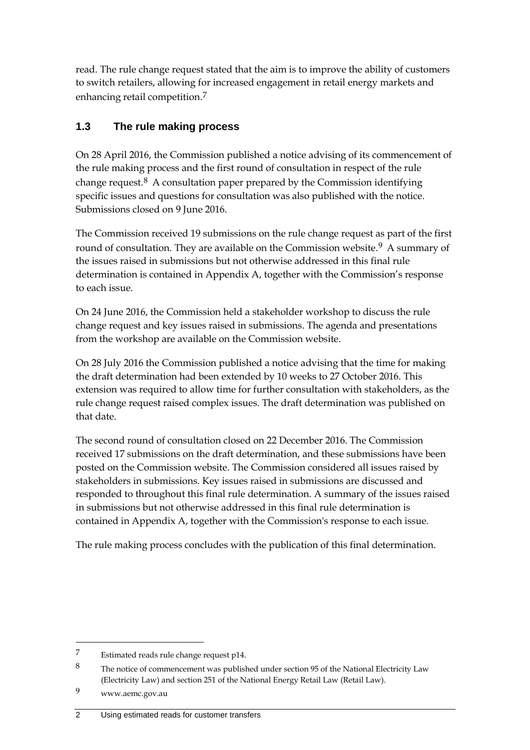read. The rule change request stated that the aim is to improve the ability of customers to switch retailers, allowing for increased engagement in retail energy markets and enhancing retail competition.<sup>[7](#page-9-1)</sup>

# <span id="page-9-0"></span>**1.3 The rule making process**

On 28 April 2016, the Commission published a notice advising of its commencement of the rule making process and the first round of consultation in respect of the rule change request.<sup>[8](#page-9-2)</sup> A consultation paper prepared by the Commission identifying specific issues and questions for consultation was also published with the notice. Submissions closed on 9 June 2016.

The Commission received 19 submissions on the rule change request as part of the first round of consultation. They are available on the Commission website.<sup>[9](#page-9-3)</sup> A summary of the issues raised in submissions but not otherwise addressed in this final rule determination is contained in Appendix A, together with the Commission's response to each issue.

On 24 June 2016, the Commission held a stakeholder workshop to discuss the rule change request and key issues raised in submissions. The agenda and presentations from the workshop are available on the Commission website.

On 28 July 2016 the Commission published a notice advising that the time for making the draft determination had been extended by 10 weeks to 27 October 2016. This extension was required to allow time for further consultation with stakeholders, as the rule change request raised complex issues. The draft determination was published on that date.

The second round of consultation closed on 22 December 2016. The Commission received 17 submissions on the draft determination, and these submissions have been posted on the Commission website. The Commission considered all issues raised by stakeholders in submissions. Key issues raised in submissions are discussed and responded to throughout this final rule determination. A summary of the issues raised in submissions but not otherwise addressed in this final rule determination is contained in Appendix A, together with the Commission's response to each issue.

The rule making process concludes with the publication of this final determination.

<span id="page-9-1"></span><sup>7</sup> Estimated reads rule change request p14.

<span id="page-9-2"></span><sup>8</sup> The notice of commencement was published under section 95 of the National Electricity Law (Electricity Law) and section 251 of the National Energy Retail Law (Retail Law).

<span id="page-9-3"></span><sup>9</sup> www.aemc.gov.au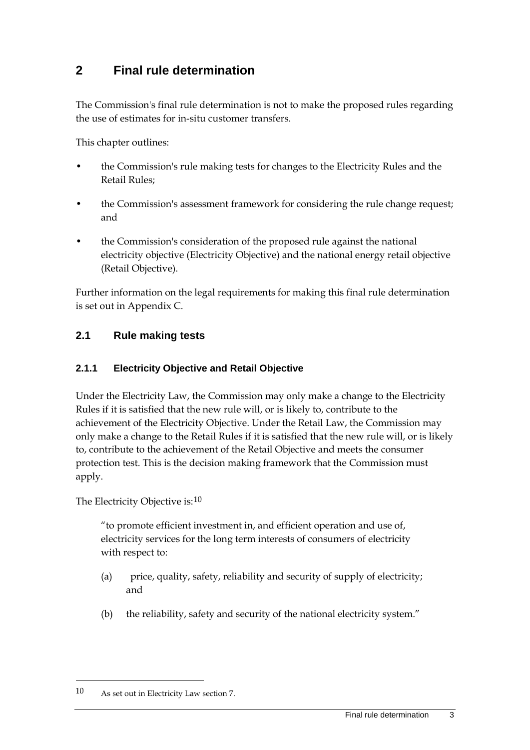# <span id="page-10-0"></span>**2 Final rule determination**

The Commission's final rule determination is not to make the proposed rules regarding the use of estimates for in-situ customer transfers.

This chapter outlines:

- the Commission's rule making tests for changes to the Electricity Rules and the Retail Rules;
- the Commission's assessment framework for considering the rule change request; and
- the Commission's consideration of the proposed rule against the national electricity objective (Electricity Objective) and the national energy retail objective (Retail Objective).

Further information on the legal requirements for making this final rule determination is set out in Appendix [C.](#page-65-0)

## <span id="page-10-1"></span>**2.1 Rule making tests**

### **2.1.1 Electricity Objective and Retail Objective**

Under the Electricity Law, the Commission may only make a change to the Electricity Rules if it is satisfied that the new rule will, or is likely to, contribute to the achievement of the Electricity Objective. Under the Retail Law, the Commission may only make a change to the Retail Rules if it is satisfied that the new rule will, or is likely to, contribute to the achievement of the Retail Objective and meets the consumer protection test. This is the decision making framework that the Commission must apply.

The Electricity Objective is:<sup>[10](#page-10-2)</sup>

"to promote efficient investment in, and efficient operation and use of, electricity services for the long term interests of consumers of electricity with respect to:

- (a) price, quality, safety, reliability and security of supply of electricity; and
- (b) the reliability, safety and security of the national electricity system."

<span id="page-10-2"></span><sup>10</sup> As set out in Electricity Law section 7.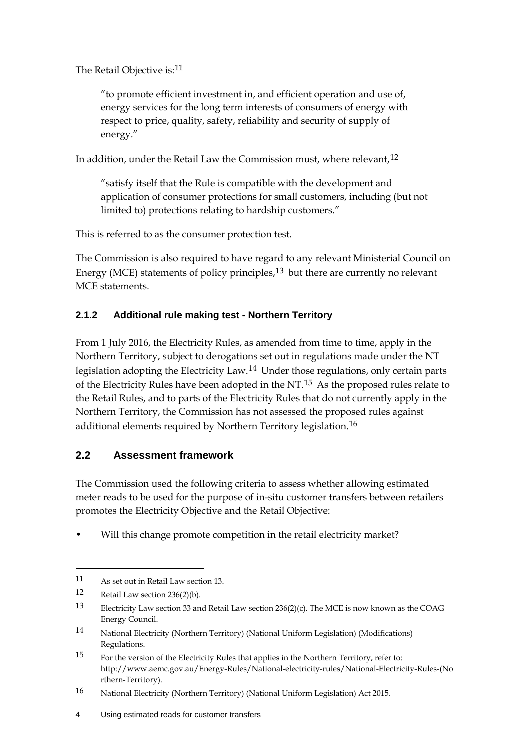The Retail Objective is:<sup>[11](#page-11-1)</sup>

"to promote efficient investment in, and efficient operation and use of, energy services for the long term interests of consumers of energy with respect to price, quality, safety, reliability and security of supply of energy."

In addition, under the Retail Law the Commission must, where relevant,  $12$ 

"satisfy itself that the Rule is compatible with the development and application of consumer protections for small customers, including (but not limited to) protections relating to hardship customers."

This is referred to as the consumer protection test.

The Commission is also required to have regard to any relevant Ministerial Council on Energy (MCE) statements of policy principles, $13$  but there are currently no relevant MCE statements.

### **2.1.2 Additional rule making test - Northern Territory**

From 1 July 2016, the Electricity Rules, as amended from time to time, apply in the Northern Territory, subject to derogations set out in regulations made under the NT legislation adopting the Electricity Law.[14](#page-11-4) Under those regulations, only certain parts of the Electricity Rules have been adopted in the NT.[15](#page-11-5) As the proposed rules relate to the Retail Rules, and to parts of the Electricity Rules that do not currently apply in the Northern Territory, the Commission has not assessed the proposed rules against additional elements required by Northern Territory legislation.<sup>[16](#page-11-6)</sup>

### <span id="page-11-0"></span>**2.2 Assessment framework**

The Commission used the following criteria to assess whether allowing estimated meter reads to be used for the purpose of in-situ customer transfers between retailers promotes the Electricity Objective and the Retail Objective:

Will this change promote competition in the retail electricity market?

<span id="page-11-1"></span><sup>11</sup> As set out in Retail Law section 13.

<span id="page-11-2"></span><sup>12</sup> Retail Law section 236(2)(b).

<span id="page-11-3"></span><sup>13</sup> Electricity Law section 33 and Retail Law section 236(2)(c). The MCE is now known as the COAG Energy Council.

<span id="page-11-4"></span><sup>14</sup> National Electricity (Northern Territory) (National Uniform Legislation) (Modifications) Regulations.

<span id="page-11-5"></span><sup>15</sup> For the version of the Electricity Rules that applies in the Northern Territory, refer to: http://www.aemc.gov.au/Energy-Rules/National-electricity-rules/National-Electricity-Rules-(No rthern-Territory).

<span id="page-11-6"></span><sup>16</sup> National Electricity (Northern Territory) (National Uniform Legislation) Act 2015.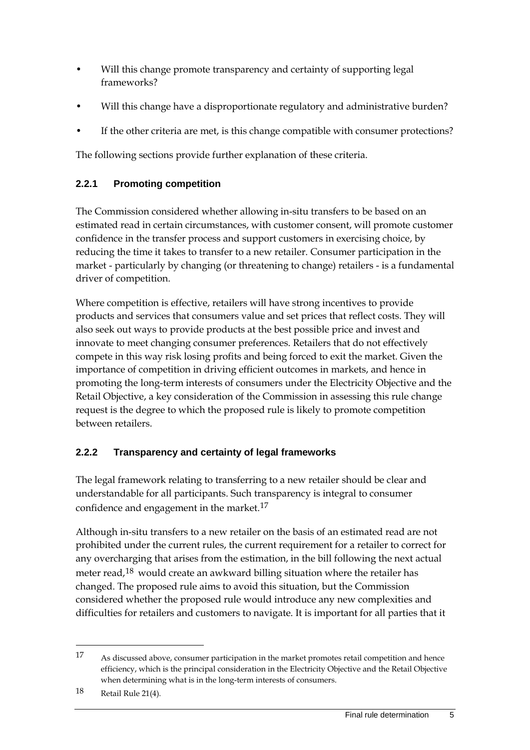- Will this change promote transparency and certainty of supporting legal frameworks?
- Will this change have a disproportionate regulatory and administrative burden?
- If the other criteria are met, is this change compatible with consumer protections?

The following sections provide further explanation of these criteria.

# **2.2.1 Promoting competition**

The Commission considered whether allowing in-situ transfers to be based on an estimated read in certain circumstances, with customer consent, will promote customer confidence in the transfer process and support customers in exercising choice, by reducing the time it takes to transfer to a new retailer. Consumer participation in the market - particularly by changing (or threatening to change) retailers - is a fundamental driver of competition.

Where competition is effective, retailers will have strong incentives to provide products and services that consumers value and set prices that reflect costs. They will also seek out ways to provide products at the best possible price and invest and innovate to meet changing consumer preferences. Retailers that do not effectively compete in this way risk losing profits and being forced to exit the market. Given the importance of competition in driving efficient outcomes in markets, and hence in promoting the long-term interests of consumers under the Electricity Objective and the Retail Objective, a key consideration of the Commission in assessing this rule change request is the degree to which the proposed rule is likely to promote competition between retailers.

# **2.2.2 Transparency and certainty of legal frameworks**

The legal framework relating to transferring to a new retailer should be clear and understandable for all participants. Such transparency is integral to consumer confidence and engagement in the market.<sup>[17](#page-12-0)</sup>

Although in-situ transfers to a new retailer on the basis of an estimated read are not prohibited under the current rules, the current requirement for a retailer to correct for any overcharging that arises from the estimation, in the bill following the next actual meter read,[18](#page-12-1) would create an awkward billing situation where the retailer has changed. The proposed rule aims to avoid this situation, but the Commission considered whether the proposed rule would introduce any new complexities and difficulties for retailers and customers to navigate. It is important for all parties that it

<span id="page-12-0"></span><sup>17</sup> As discussed above, consumer participation in the market promotes retail competition and hence efficiency, which is the principal consideration in the Electricity Objective and the Retail Objective when determining what is in the long-term interests of consumers.

<span id="page-12-1"></span><sup>18</sup> Retail Rule 21(4).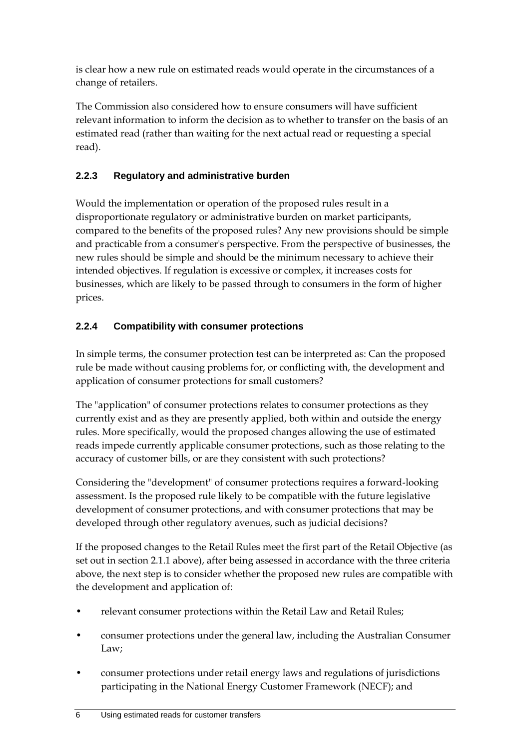is clear how a new rule on estimated reads would operate in the circumstances of a change of retailers.

The Commission also considered how to ensure consumers will have sufficient relevant information to inform the decision as to whether to transfer on the basis of an estimated read (rather than waiting for the next actual read or requesting a special read).

# **2.2.3 Regulatory and administrative burden**

Would the implementation or operation of the proposed rules result in a disproportionate regulatory or administrative burden on market participants, compared to the benefits of the proposed rules? Any new provisions should be simple and practicable from a consumer's perspective. From the perspective of businesses, the new rules should be simple and should be the minimum necessary to achieve their intended objectives. If regulation is excessive or complex, it increases costs for businesses, which are likely to be passed through to consumers in the form of higher prices.

# **2.2.4 Compatibility with consumer protections**

In simple terms, the consumer protection test can be interpreted as: Can the proposed rule be made without causing problems for, or conflicting with, the development and application of consumer protections for small customers?

The "application" of consumer protections relates to consumer protections as they currently exist and as they are presently applied, both within and outside the energy rules. More specifically, would the proposed changes allowing the use of estimated reads impede currently applicable consumer protections, such as those relating to the accuracy of customer bills, or are they consistent with such protections?

Considering the "development" of consumer protections requires a forward-looking assessment. Is the proposed rule likely to be compatible with the future legislative development of consumer protections, and with consumer protections that may be developed through other regulatory avenues, such as judicial decisions?

If the proposed changes to the Retail Rules meet the first part of the Retail Objective (as set out in section 2.1.1 above), after being assessed in accordance with the three criteria above, the next step is to consider whether the proposed new rules are compatible with the development and application of:

- relevant consumer protections within the Retail Law and Retail Rules;
- consumer protections under the general law, including the Australian Consumer Law;
- consumer protections under retail energy laws and regulations of jurisdictions participating in the National Energy Customer Framework (NECF); and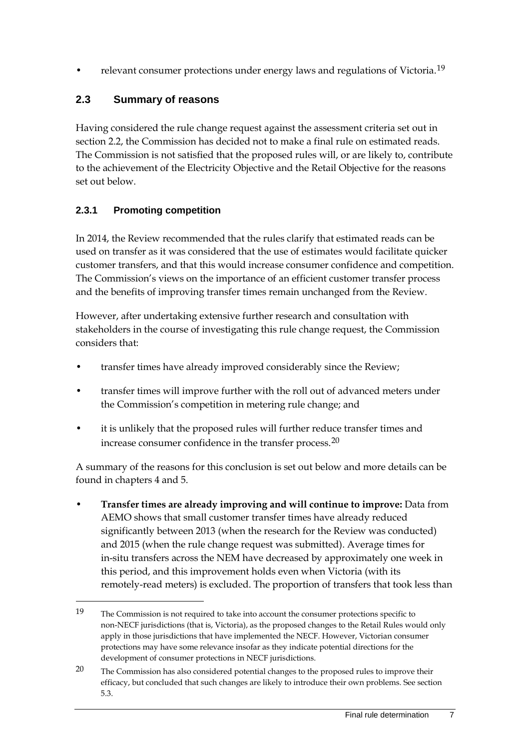relevant consumer protections under energy laws and regulations of Victoria.<sup>[19](#page-14-1)</sup>

# <span id="page-14-0"></span>**2.3 Summary of reasons**

Having considered the rule change request against the assessment criteria set out in section [2.2,](#page-11-0) the Commission has decided not to make a final rule on estimated reads. The Commission is not satisfied that the proposed rules will, or are likely to, contribute to the achievement of the Electricity Objective and the Retail Objective for the reasons set out below.

### **2.3.1 Promoting competition**

-

In 2014, the Review recommended that the rules clarify that estimated reads can be used on transfer as it was considered that the use of estimates would facilitate quicker customer transfers, and that this would increase consumer confidence and competition. The Commission's views on the importance of an efficient customer transfer process and the benefits of improving transfer times remain unchanged from the Review.

However, after undertaking extensive further research and consultation with stakeholders in the course of investigating this rule change request, the Commission considers that:

- transfer times have already improved considerably since the Review;
- transfer times will improve further with the roll out of advanced meters under the Commission's competition in metering rule change; and
- it is unlikely that the proposed rules will further reduce transfer times and increase consumer confidence in the transfer process.[20](#page-14-2)

A summary of the reasons for this conclusion is set out below and more details can be found in chapters 4 and 5.

• **Transfer times are already improving and will continue to improve:** Data from AEMO shows that small customer transfer times have already reduced significantly between 2013 (when the research for the Review was conducted) and 2015 (when the rule change request was submitted). Average times for in-situ transfers across the NEM have decreased by approximately one week in this period, and this improvement holds even when Victoria (with its remotely-read meters) is excluded. The proportion of transfers that took less than

<span id="page-14-1"></span><sup>19</sup> The Commission is not required to take into account the consumer protections specific to non-NECF jurisdictions (that is, Victoria), as the proposed changes to the Retail Rules would only apply in those jurisdictions that have implemented the NECF. However, Victorian consumer protections may have some relevance insofar as they indicate potential directions for the development of consumer protections in NECF jurisdictions.

<span id="page-14-2"></span><sup>&</sup>lt;sup>20</sup> The Commission has also considered potential changes to the proposed rules to improve their efficacy, but concluded that such changes are likely to introduce their own problems. See section 5.3.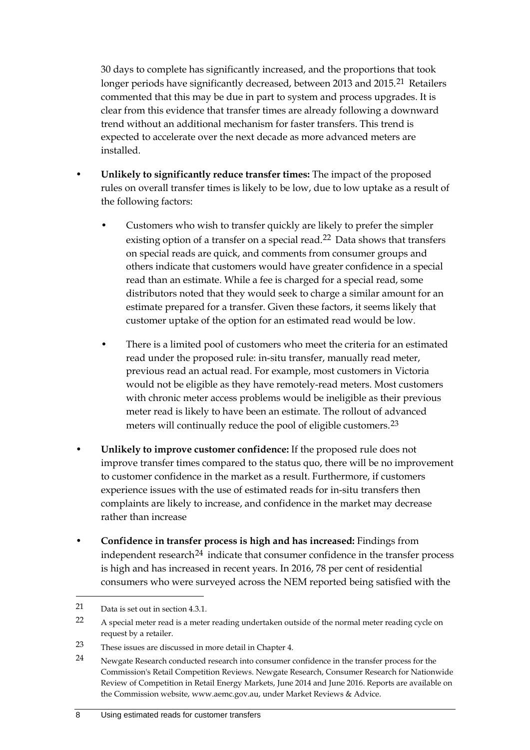30 days to complete has significantly increased, and the proportions that took longer periods have significantly decreased, between 2013 and 2015.<sup>[21](#page-15-0)</sup> Retailers commented that this may be due in part to system and process upgrades. It is clear from this evidence that transfer times are already following a downward trend without an additional mechanism for faster transfers. This trend is expected to accelerate over the next decade as more advanced meters are installed.

- **Unlikely to significantly reduce transfer times:** The impact of the proposed rules on overall transfer times is likely to be low, due to low uptake as a result of the following factors:
	- Customers who wish to transfer quickly are likely to prefer the simpler existing option of a transfer on a special read.[22](#page-15-1) Data shows that transfers on special reads are quick, and comments from consumer groups and others indicate that customers would have greater confidence in a special read than an estimate. While a fee is charged for a special read, some distributors noted that they would seek to charge a similar amount for an estimate prepared for a transfer. Given these factors, it seems likely that customer uptake of the option for an estimated read would be low.
	- There is a limited pool of customers who meet the criteria for an estimated read under the proposed rule: in-situ transfer, manually read meter, previous read an actual read. For example, most customers in Victoria would not be eligible as they have remotely-read meters. Most customers with chronic meter access problems would be ineligible as their previous meter read is likely to have been an estimate. The rollout of advanced meters will continually reduce the pool of eligible customers.<sup>[23](#page-15-2)</sup>
- **Unlikely to improve customer confidence:** If the proposed rule does not improve transfer times compared to the status quo, there will be no improvement to customer confidence in the market as a result. Furthermore, if customers experience issues with the use of estimated reads for in-situ transfers then complaints are likely to increase, and confidence in the market may decrease rather than increase
- **Confidence in transfer process is high and has increased:** Findings from independent research<sup>[24](#page-15-3)</sup> indicate that consumer confidence in the transfer process is high and has increased in recent years. In 2016, 78 per cent of residential consumers who were surveyed across the NEM reported being satisfied with the

<span id="page-15-0"></span><sup>21</sup> Data is set out in section 4.3.1.

<span id="page-15-1"></span><sup>22</sup> A special meter read is a meter reading undertaken outside of the normal meter reading cycle on request by a retailer.

<span id="page-15-2"></span><sup>23</sup> These issues are discussed in more detail in Chapter 4.

<span id="page-15-3"></span><sup>24</sup> Newgate Research conducted research into consumer confidence in the transfer process for the Commission's Retail Competition Reviews. Newgate Research, Consumer Research for Nationwide Review of Competition in Retail Energy Markets, June 2014 and June 2016. Reports are available on the Commission website, www.aemc.gov.au, under Market Reviews & Advice.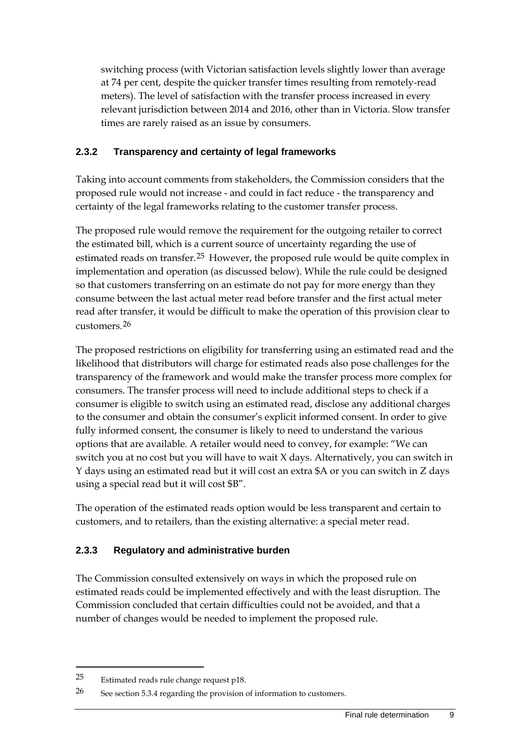switching process (with Victorian satisfaction levels slightly lower than average at 74 per cent, despite the quicker transfer times resulting from remotely-read meters). The level of satisfaction with the transfer process increased in every relevant jurisdiction between 2014 and 2016, other than in Victoria. Slow transfer times are rarely raised as an issue by consumers.

### **2.3.2 Transparency and certainty of legal frameworks**

Taking into account comments from stakeholders, the Commission considers that the proposed rule would not increase - and could in fact reduce - the transparency and certainty of the legal frameworks relating to the customer transfer process.

The proposed rule would remove the requirement for the outgoing retailer to correct the estimated bill, which is a current source of uncertainty regarding the use of estimated reads on transfer.<sup>[25](#page-16-0)</sup> However, the proposed rule would be quite complex in implementation and operation (as discussed below). While the rule could be designed so that customers transferring on an estimate do not pay for more energy than they consume between the last actual meter read before transfer and the first actual meter read after transfer, it would be difficult to make the operation of this provision clear to customers.[26](#page-16-1)

The proposed restrictions on eligibility for transferring using an estimated read and the likelihood that distributors will charge for estimated reads also pose challenges for the transparency of the framework and would make the transfer process more complex for consumers. The transfer process will need to include additional steps to check if a consumer is eligible to switch using an estimated read, disclose any additional charges to the consumer and obtain the consumer's explicit informed consent. In order to give fully informed consent, the consumer is likely to need to understand the various options that are available. A retailer would need to convey, for example: "We can switch you at no cost but you will have to wait X days. Alternatively, you can switch in Y days using an estimated read but it will cost an extra \$A or you can switch in Z days using a special read but it will cost \$B".

The operation of the estimated reads option would be less transparent and certain to customers, and to retailers, than the existing alternative: a special meter read.

### **2.3.3 Regulatory and administrative burden**

The Commission consulted extensively on ways in which the proposed rule on estimated reads could be implemented effectively and with the least disruption. The Commission concluded that certain difficulties could not be avoided, and that a number of changes would be needed to implement the proposed rule.

<span id="page-16-0"></span><sup>25</sup> Estimated reads rule change request p18.

<span id="page-16-1"></span><sup>26</sup> See section 5.3.4 regarding the provision of information to customers.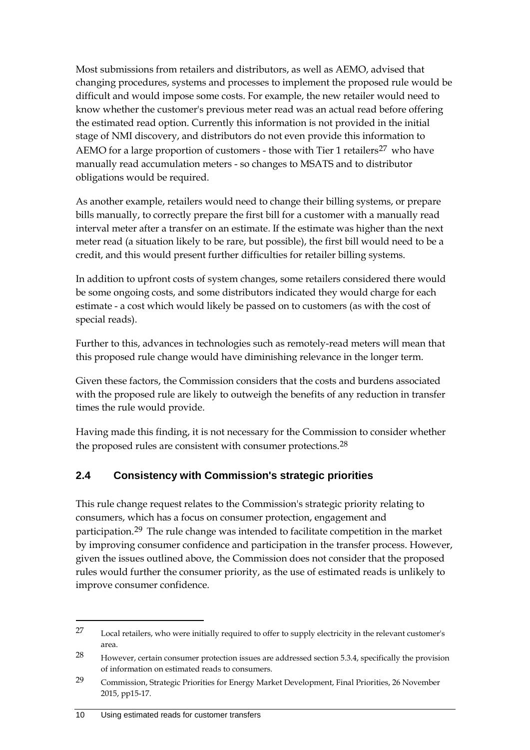Most submissions from retailers and distributors, as well as AEMO, advised that changing procedures, systems and processes to implement the proposed rule would be difficult and would impose some costs. For example, the new retailer would need to know whether the customer's previous meter read was an actual read before offering the estimated read option. Currently this information is not provided in the initial stage of NMI discovery, and distributors do not even provide this information to AEMO for a large proportion of customers - those with Tier 1 retailers<sup>[27](#page-17-1)</sup> who have manually read accumulation meters - so changes to MSATS and to distributor obligations would be required.

As another example, retailers would need to change their billing systems, or prepare bills manually, to correctly prepare the first bill for a customer with a manually read interval meter after a transfer on an estimate. If the estimate was higher than the next meter read (a situation likely to be rare, but possible), the first bill would need to be a credit, and this would present further difficulties for retailer billing systems.

In addition to upfront costs of system changes, some retailers considered there would be some ongoing costs, and some distributors indicated they would charge for each estimate - a cost which would likely be passed on to customers (as with the cost of special reads).

Further to this, advances in technologies such as remotely-read meters will mean that this proposed rule change would have diminishing relevance in the longer term.

Given these factors, the Commission considers that the costs and burdens associated with the proposed rule are likely to outweigh the benefits of any reduction in transfer times the rule would provide.

Having made this finding, it is not necessary for the Commission to consider whether the proposed rules are consistent with consumer protections.<sup>[28](#page-17-2)</sup>

# <span id="page-17-0"></span>**2.4 Consistency with Commission's strategic priorities**

This rule change request relates to the Commission's strategic priority relating to consumers, which has a focus on consumer protection, engagement and participation.[29](#page-17-3) The rule change was intended to facilitate competition in the market by improving consumer confidence and participation in the transfer process. However, given the issues outlined above, the Commission does not consider that the proposed rules would further the consumer priority, as the use of estimated reads is unlikely to improve consumer confidence.

<span id="page-17-1"></span><sup>27</sup> Local retailers, who were initially required to offer to supply electricity in the relevant customer's area.

<span id="page-17-2"></span><sup>28</sup> However, certain consumer protection issues are addressed section 5.3.4, specifically the provision of information on estimated reads to consumers.

<span id="page-17-3"></span><sup>29</sup> Commission, Strategic Priorities for Energy Market Development, Final Priorities, 26 November 2015, pp15-17.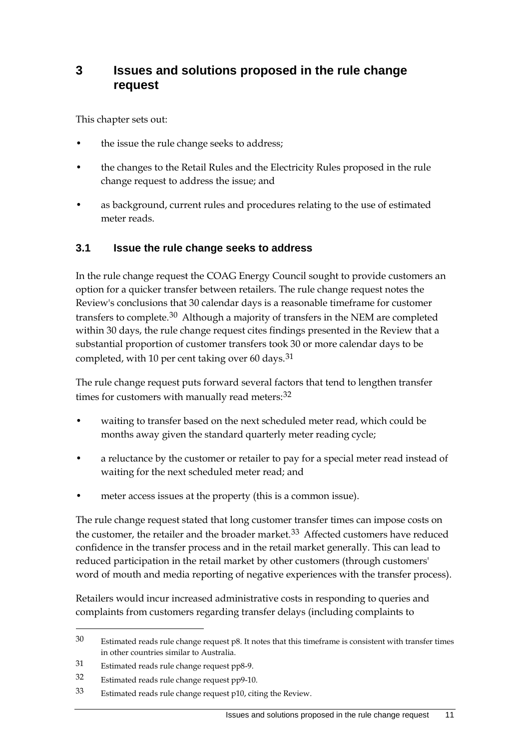# <span id="page-18-0"></span>**3 Issues and solutions proposed in the rule change request**

This chapter sets out:

- the issue the rule change seeks to address;
- the changes to the Retail Rules and the Electricity Rules proposed in the rule change request to address the issue; and
- as background, current rules and procedures relating to the use of estimated meter reads.

### <span id="page-18-1"></span>**3.1 Issue the rule change seeks to address**

In the rule change request the COAG Energy Council sought to provide customers an option for a quicker transfer between retailers. The rule change request notes the Review's conclusions that 30 calendar days is a reasonable timeframe for customer transfers to complete.<sup>[30](#page-18-2)</sup> Although a majority of transfers in the NEM are completed within 30 days, the rule change request cites findings presented in the Review that a substantial proportion of customer transfers took 30 or more calendar days to be completed, with 10 per cent taking over 60 days.<sup>[31](#page-18-3)</sup>

The rule change request puts forward several factors that tend to lengthen transfer times for customers with manually read meters: [32](#page-18-4)

- waiting to transfer based on the next scheduled meter read, which could be months away given the standard quarterly meter reading cycle;
- a reluctance by the customer or retailer to pay for a special meter read instead of waiting for the next scheduled meter read; and
- meter access issues at the property (this is a common issue).

The rule change request stated that long customer transfer times can impose costs on the customer, the retailer and the broader market.<sup>[33](#page-18-5)</sup> Affected customers have reduced confidence in the transfer process and in the retail market generally. This can lead to reduced participation in the retail market by other customers (through customers' word of mouth and media reporting of negative experiences with the transfer process).

Retailers would incur increased administrative costs in responding to queries and complaints from customers regarding transfer delays (including complaints to

<span id="page-18-2"></span><sup>30</sup> Estimated reads rule change request p8. It notes that this timeframe is consistent with transfer times in other countries similar to Australia.

<span id="page-18-3"></span><sup>31</sup> Estimated reads rule change request pp8-9.

<span id="page-18-4"></span><sup>32</sup> Estimated reads rule change request pp9-10.

<span id="page-18-5"></span><sup>33</sup> Estimated reads rule change request p10, citing the Review.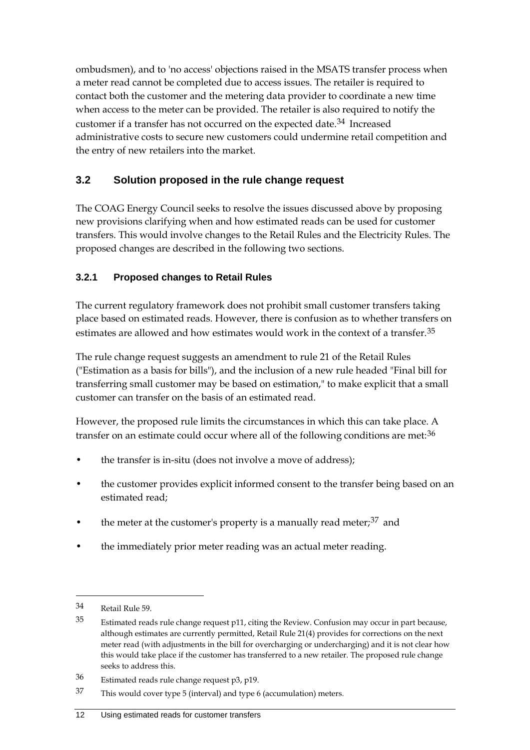ombudsmen), and to 'no access' objections raised in the MSATS transfer process when a meter read cannot be completed due to access issues. The retailer is required to contact both the customer and the metering data provider to coordinate a new time when access to the meter can be provided. The retailer is also required to notify the customer if a transfer has not occurred on the expected date.[34](#page-19-1) Increased administrative costs to secure new customers could undermine retail competition and the entry of new retailers into the market.

# <span id="page-19-0"></span>**3.2 Solution proposed in the rule change request**

The COAG Energy Council seeks to resolve the issues discussed above by proposing new provisions clarifying when and how estimated reads can be used for customer transfers. This would involve changes to the Retail Rules and the Electricity Rules. The proposed changes are described in the following two sections.

## **3.2.1 Proposed changes to Retail Rules**

The current regulatory framework does not prohibit small customer transfers taking place based on estimated reads. However, there is confusion as to whether transfers on estimates are allowed and how estimates would work in the context of a transfer.[35](#page-19-2)

The rule change request suggests an amendment to rule 21 of the Retail Rules ("Estimation as a basis for bills"), and the inclusion of a new rule headed "Final bill for transferring small customer may be based on estimation," to make explicit that a small customer can transfer on the basis of an estimated read.

However, the proposed rule limits the circumstances in which this can take place. A transfer on an estimate could occur where all of the following conditions are met:  $36$ 

- the transfer is in-situ (does not involve a move of address);
- the customer provides explicit informed consent to the transfer being based on an estimated read;
- the meter at the customer's property is a manually read meter;<sup>[37](#page-19-4)</sup> and
- the immediately prior meter reading was an actual meter reading.

<span id="page-19-1"></span><sup>34</sup> Retail Rule 59.

<span id="page-19-2"></span><sup>35</sup> Estimated reads rule change request p11, citing the Review. Confusion may occur in part because, although estimates are currently permitted, Retail Rule 21(4) provides for corrections on the next meter read (with adjustments in the bill for overcharging or undercharging) and it is not clear how this would take place if the customer has transferred to a new retailer. The proposed rule change seeks to address this.

<span id="page-19-3"></span><sup>36</sup> Estimated reads rule change request p3, p19.

<span id="page-19-4"></span><sup>37</sup> This would cover type 5 (interval) and type 6 (accumulation) meters.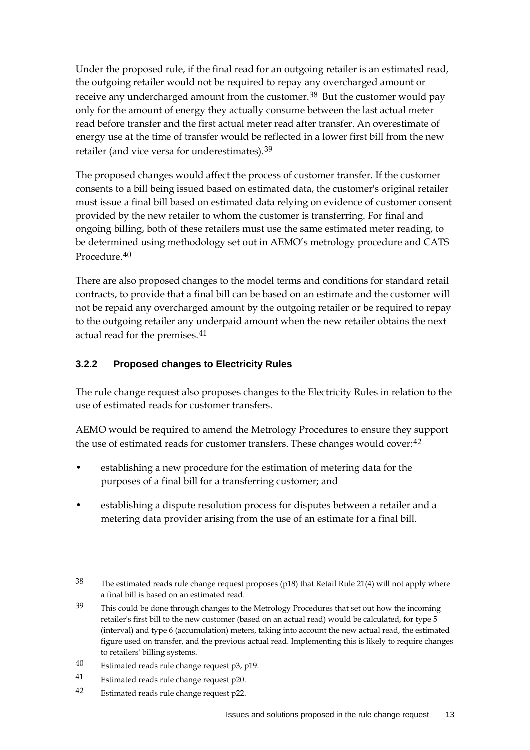Under the proposed rule, if the final read for an outgoing retailer is an estimated read, the outgoing retailer would not be required to repay any overcharged amount or receive any undercharged amount from the customer.<sup>[38](#page-20-0)</sup> But the customer would pay only for the amount of energy they actually consume between the last actual meter read before transfer and the first actual meter read after transfer. An overestimate of energy use at the time of transfer would be reflected in a lower first bill from the new retailer (and vice versa for underestimates).[39](#page-20-1)

The proposed changes would affect the process of customer transfer. If the customer consents to a bill being issued based on estimated data, the customer's original retailer must issue a final bill based on estimated data relying on evidence of customer consent provided by the new retailer to whom the customer is transferring. For final and ongoing billing, both of these retailers must use the same estimated meter reading, to be determined using methodology set out in AEMO's metrology procedure and CATS Procedure.[40](#page-20-2)

There are also proposed changes to the model terms and conditions for standard retail contracts, to provide that a final bill can be based on an estimate and the customer will not be repaid any overcharged amount by the outgoing retailer or be required to repay to the outgoing retailer any underpaid amount when the new retailer obtains the next actual read for the premises.<sup>[41](#page-20-3)</sup>

### **3.2.2 Proposed changes to Electricity Rules**

The rule change request also proposes changes to the Electricity Rules in relation to the use of estimated reads for customer transfers.

AEMO would be required to amend the Metrology Procedures to ensure they support the use of estimated reads for customer transfers. These changes would cover:<sup>[42](#page-20-4)</sup>

- establishing a new procedure for the estimation of metering data for the purposes of a final bill for a transferring customer; and
- establishing a dispute resolution process for disputes between a retailer and a metering data provider arising from the use of an estimate for a final bill.

<span id="page-20-0"></span><sup>&</sup>lt;sup>38</sup> The estimated reads rule change request proposes (p18) that Retail Rule 21(4) will not apply where a final bill is based on an estimated read.

<span id="page-20-1"></span><sup>&</sup>lt;sup>39</sup> This could be done through changes to the Metrology Procedures that set out how the incoming retailer's first bill to the new customer (based on an actual read) would be calculated, for type 5 (interval) and type 6 (accumulation) meters, taking into account the new actual read, the estimated figure used on transfer, and the previous actual read. Implementing this is likely to require changes to retailers' billing systems.

<span id="page-20-2"></span><sup>40</sup> Estimated reads rule change request p3, p19.

<span id="page-20-3"></span><sup>41</sup> Estimated reads rule change request p20.

<span id="page-20-4"></span><sup>42</sup> Estimated reads rule change request p22.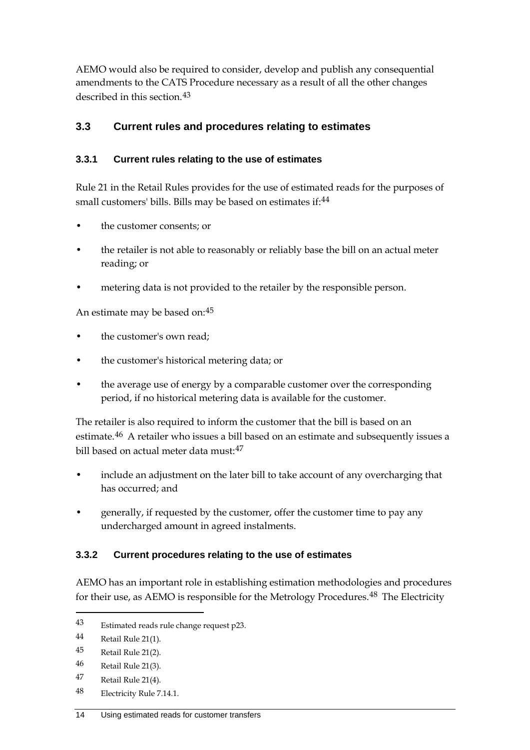AEMO would also be required to consider, develop and publish any consequential amendments to the CATS Procedure necessary as a result of all the other changes described in this section.<sup>[43](#page-21-1)</sup>

# <span id="page-21-0"></span>**3.3 Current rules and procedures relating to estimates**

## **3.3.1 Current rules relating to the use of estimates**

Rule 21 in the Retail Rules provides for the use of estimated reads for the purposes of small customers' bills. Bills may be based on estimates if:<sup>[44](#page-21-2)</sup>

- the customer consents; or
- the retailer is not able to reasonably or reliably base the bill on an actual meter reading; or
- metering data is not provided to the retailer by the responsible person.

An estimate may be based on: [45](#page-21-3)

- the customer's own read;
- the customer's historical metering data; or
- the average use of energy by a comparable customer over the corresponding period, if no historical metering data is available for the customer.

The retailer is also required to inform the customer that the bill is based on an estimate.<sup>[46](#page-21-4)</sup> A retailer who issues a bill based on an estimate and subsequently issues a bill based on actual meter data must:[47](#page-21-5)

- include an adjustment on the later bill to take account of any overcharging that has occurred; and
- generally, if requested by the customer, offer the customer time to pay any undercharged amount in agreed instalments.

### **3.3.2 Current procedures relating to the use of estimates**

AEMO has an important role in establishing estimation methodologies and procedures for their use, as AEMO is responsible for the Metrology Procedures.<sup>[48](#page-21-6)</sup> The Electricity

-

<span id="page-21-6"></span>48 Electricity Rule 7.14.1.

<span id="page-21-1"></span><sup>43</sup> Estimated reads rule change request p23.

<span id="page-21-2"></span><sup>44</sup> Retail Rule 21(1).

<span id="page-21-3"></span><sup>45</sup> Retail Rule 21(2).

<span id="page-21-4"></span><sup>46</sup> Retail Rule 21(3).

<span id="page-21-5"></span><sup>47</sup> Retail Rule 21(4).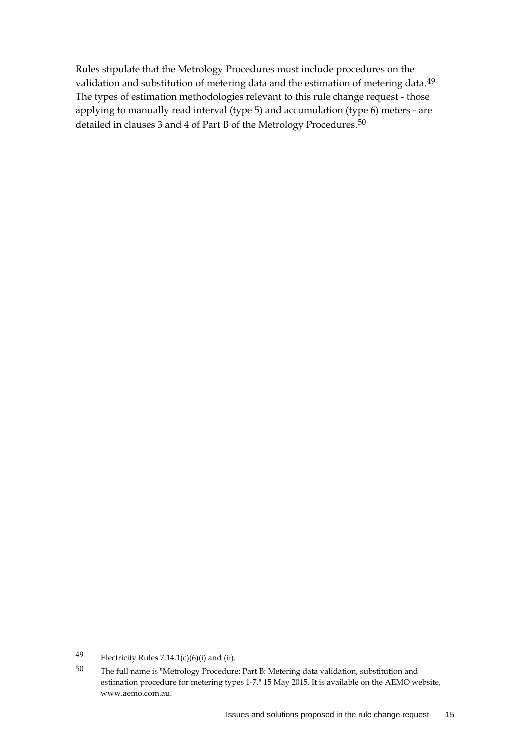Rules stipulate that the Metrology Procedures must include procedures on the validation and substitution of metering data and the estimation of metering data.[49](#page-22-0) The types of estimation methodologies relevant to this rule change request - those applying to manually read interval (type 5) and accumulation (type 6) meters - are detailed in clauses 3 and 4 of Part B of the Metrology Procedures.[50](#page-22-1)

<span id="page-22-0"></span><sup>49</sup> Electricity Rules 7.14.1(c)(6)(i) and (ii).

<span id="page-22-1"></span><sup>50</sup> The full name is "Metrology Procedure: Part B: Metering data validation, substitution and estimation procedure for metering types 1-7," 15 May 2015. It is available on the AEMO website, www.aemo.com.au.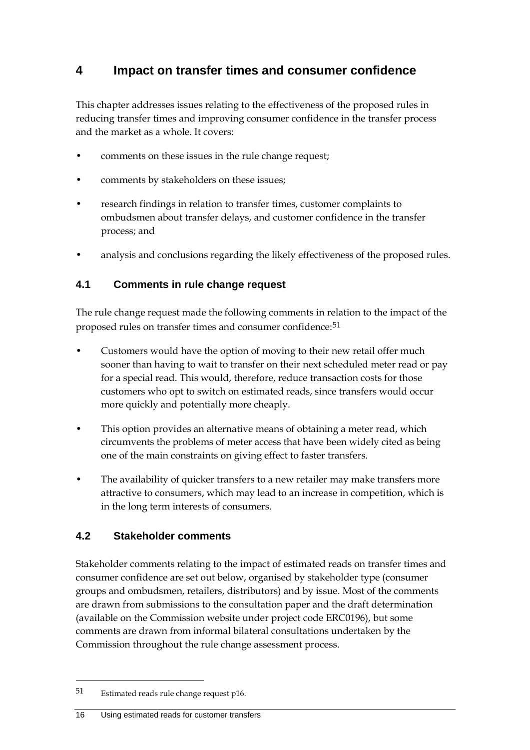# <span id="page-23-0"></span>**4 Impact on transfer times and consumer confidence**

This chapter addresses issues relating to the effectiveness of the proposed rules in reducing transfer times and improving consumer confidence in the transfer process and the market as a whole. It covers:

- comments on these issues in the rule change request;
- comments by stakeholders on these issues;
- research findings in relation to transfer times, customer complaints to ombudsmen about transfer delays, and customer confidence in the transfer process; and
- analysis and conclusions regarding the likely effectiveness of the proposed rules.

# <span id="page-23-1"></span>**4.1 Comments in rule change request**

The rule change request made the following comments in relation to the impact of the proposed rules on transfer times and consumer confidence:[51](#page-23-3)

- Customers would have the option of moving to their new retail offer much sooner than having to wait to transfer on their next scheduled meter read or pay for a special read. This would, therefore, reduce transaction costs for those customers who opt to switch on estimated reads, since transfers would occur more quickly and potentially more cheaply.
- This option provides an alternative means of obtaining a meter read, which circumvents the problems of meter access that have been widely cited as being one of the main constraints on giving effect to faster transfers.
- The availability of quicker transfers to a new retailer may make transfers more attractive to consumers, which may lead to an increase in competition, which is in the long term interests of consumers.

# <span id="page-23-2"></span>**4.2 Stakeholder comments**

Stakeholder comments relating to the impact of estimated reads on transfer times and consumer confidence are set out below, organised by stakeholder type (consumer groups and ombudsmen, retailers, distributors) and by issue. Most of the comments are drawn from submissions to the consultation paper and the draft determination (available on the Commission website under project code ERC0196), but some comments are drawn from informal bilateral consultations undertaken by the Commission throughout the rule change assessment process.

-

#### 16 Using estimated reads for customer transfers

<span id="page-23-3"></span><sup>51</sup> Estimated reads rule change request p16.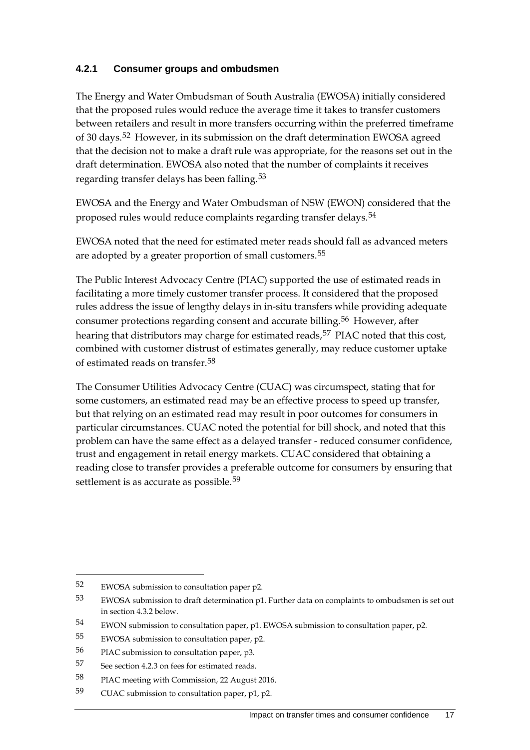### **4.2.1 Consumer groups and ombudsmen**

The Energy and Water Ombudsman of South Australia (EWOSA) initially considered that the proposed rules would reduce the average time it takes to transfer customers between retailers and result in more transfers occurring within the preferred timeframe of 30 days.<sup>[52](#page-24-0)</sup> However, in its submission on the draft determination EWOSA agreed that the decision not to make a draft rule was appropriate, for the reasons set out in the draft determination. EWOSA also noted that the number of complaints it receives regarding transfer delays has been falling.<sup>[53](#page-24-1)</sup>

EWOSA and the Energy and Water Ombudsman of NSW (EWON) considered that the proposed rules would reduce complaints regarding transfer delays.[54](#page-24-2)

EWOSA noted that the need for estimated meter reads should fall as advanced meters are adopted by a greater proportion of small customers.<sup>[55](#page-24-3)</sup>

The Public Interest Advocacy Centre (PIAC) supported the use of estimated reads in facilitating a more timely customer transfer process. It considered that the proposed rules address the issue of lengthy delays in in-situ transfers while providing adequate consumer protections regarding consent and accurate billing.[56](#page-24-4) However, after hearing that distributors may charge for estimated reads,<sup>[57](#page-24-5)</sup> PIAC noted that this cost, combined with customer distrust of estimates generally, may reduce customer uptake of estimated reads on transfer.[58](#page-24-6)

The Consumer Utilities Advocacy Centre (CUAC) was circumspect, stating that for some customers, an estimated read may be an effective process to speed up transfer, but that relying on an estimated read may result in poor outcomes for consumers in particular circumstances. CUAC noted the potential for bill shock, and noted that this problem can have the same effect as a delayed transfer - reduced consumer confidence, trust and engagement in retail energy markets. CUAC considered that obtaining a reading close to transfer provides a preferable outcome for consumers by ensuring that settlement is as accurate as possible.<sup>[59](#page-24-7)</sup>

<span id="page-24-0"></span><sup>52</sup> EWOSA submission to consultation paper p2.

<span id="page-24-1"></span><sup>53</sup> EWOSA submission to draft determination p1. Further data on complaints to ombudsmen is set out in section 4.3.2 below.

<span id="page-24-2"></span><sup>54</sup> EWON submission to consultation paper, p1. EWOSA submission to consultation paper, p2.

<span id="page-24-3"></span><sup>55</sup> EWOSA submission to consultation paper, p2.

<span id="page-24-4"></span><sup>56</sup> PIAC submission to consultation paper, p3.

<span id="page-24-5"></span><sup>57</sup> See section 4.2.3 on fees for estimated reads.

<span id="page-24-6"></span><sup>58</sup> PIAC meeting with Commission, 22 August 2016.

<span id="page-24-7"></span><sup>59</sup> CUAC submission to consultation paper, p1, p2.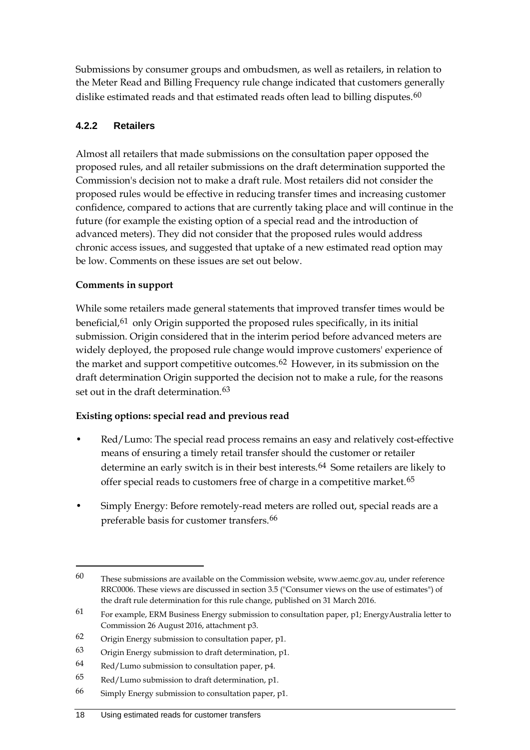Submissions by consumer groups and ombudsmen, as well as retailers, in relation to the Meter Read and Billing Frequency rule change indicated that customers generally dislike estimated reads and that estimated reads often lead to billing disputes. $60$ 

# **4.2.2 Retailers**

Almost all retailers that made submissions on the consultation paper opposed the proposed rules, and all retailer submissions on the draft determination supported the Commission's decision not to make a draft rule. Most retailers did not consider the proposed rules would be effective in reducing transfer times and increasing customer confidence, compared to actions that are currently taking place and will continue in the future (for example the existing option of a special read and the introduction of advanced meters). They did not consider that the proposed rules would address chronic access issues, and suggested that uptake of a new estimated read option may be low. Comments on these issues are set out below.

### **Comments in support**

-

While some retailers made general statements that improved transfer times would be beneficial,<sup>[61](#page-25-1)</sup> only Origin supported the proposed rules specifically, in its initial submission. Origin considered that in the interim period before advanced meters are widely deployed, the proposed rule change would improve customers' experience of the market and support competitive outcomes.[62](#page-25-2) However, in its submission on the draft determination Origin supported the decision not to make a rule, for the reasons set out in the draft determination.<sup>[63](#page-25-3)</sup>

### **Existing options: special read and previous read**

- Red/Lumo: The special read process remains an easy and relatively cost-effective means of ensuring a timely retail transfer should the customer or retailer determine an early switch is in their best interests.[64](#page-25-4) Some retailers are likely to offer special reads to customers free of charge in a competitive market.<sup>[65](#page-25-5)</sup>
- Simply Energy: Before remotely-read meters are rolled out, special reads are a preferable basis for customer transfers.<sup>[66](#page-25-6)</sup>

<span id="page-25-0"></span> $60$  These submissions are available on the Commission website, www.aemc.gov.au, under reference RRC0006. These views are discussed in section 3.5 ("Consumer views on the use of estimates") of the draft rule determination for this rule change, published on 31 March 2016.

<span id="page-25-1"></span> $61$  For example, ERM Business Energy submission to consultation paper, p1; EnergyAustralia letter to Commission 26 August 2016, attachment p3.

<span id="page-25-2"></span><sup>62</sup> Origin Energy submission to consultation paper, p1.

<span id="page-25-3"></span><sup>63</sup> Origin Energy submission to draft determination, p1.

<span id="page-25-4"></span> $64$  Red/Lumo submission to consultation paper, p4.

<span id="page-25-5"></span> $65$  Red/Lumo submission to draft determination, p1.

<span id="page-25-6"></span><sup>66</sup> Simply Energy submission to consultation paper, p1.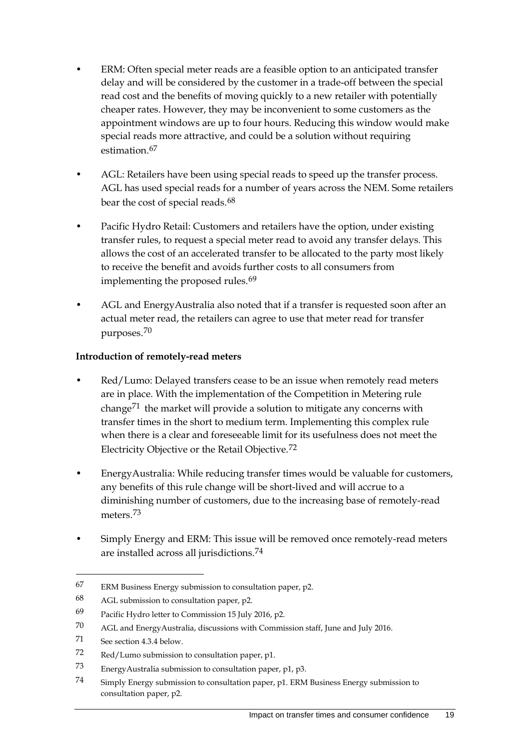- ERM: Often special meter reads are a feasible option to an anticipated transfer delay and will be considered by the customer in a trade-off between the special read cost and the benefits of moving quickly to a new retailer with potentially cheaper rates. However, they may be inconvenient to some customers as the appointment windows are up to four hours. Reducing this window would make special reads more attractive, and could be a solution without requiring estimation.[67](#page-26-0)
- AGL: Retailers have been using special reads to speed up the transfer process. AGL has used special reads for a number of years across the NEM. Some retailers bear the cost of special reads.[68](#page-26-1)
- Pacific Hydro Retail: Customers and retailers have the option, under existing transfer rules, to request a special meter read to avoid any transfer delays. This allows the cost of an accelerated transfer to be allocated to the party most likely to receive the benefit and avoids further costs to all consumers from implementing the proposed rules.<sup>[69](#page-26-2)</sup>
- AGL and EnergyAustralia also noted that if a transfer is requested soon after an actual meter read, the retailers can agree to use that meter read for transfer purposes.[70](#page-26-3)

#### **Introduction of remotely-read meters**

- Red/Lumo: Delayed transfers cease to be an issue when remotely read meters are in place. With the implementation of the Competition in Metering rule change<sup>[71](#page-26-4)</sup> the market will provide a solution to mitigate any concerns with transfer times in the short to medium term. Implementing this complex rule when there is a clear and foreseeable limit for its usefulness does not meet the Electricity Objective or the Retail Objective.[72](#page-26-5)
- EnergyAustralia: While reducing transfer times would be valuable for customers, any benefits of this rule change will be short-lived and will accrue to a diminishing number of customers, due to the increasing base of remotely-read meters.[73](#page-26-6)
- Simply Energy and ERM: This issue will be removed once remotely-read meters are installed across all jurisdictions.[74](#page-26-7)

<span id="page-26-0"></span><sup>67</sup> ERM Business Energy submission to consultation paper, p2.

<span id="page-26-1"></span><sup>68</sup> AGL submission to consultation paper, p2.

<span id="page-26-2"></span><sup>69</sup> Pacific Hydro letter to Commission 15 July 2016, p2.

<span id="page-26-3"></span><sup>70</sup> AGL and EnergyAustralia, discussions with Commission staff, June and July 2016.

<span id="page-26-4"></span><sup>71</sup> See section 4.3.4 below.

<span id="page-26-5"></span><sup>72</sup> Red/Lumo submission to consultation paper, p1.

<span id="page-26-6"></span><sup>73</sup> EnergyAustralia submission to consultation paper, p1, p3.

<span id="page-26-7"></span><sup>74</sup> Simply Energy submission to consultation paper, p1. ERM Business Energy submission to consultation paper, p2.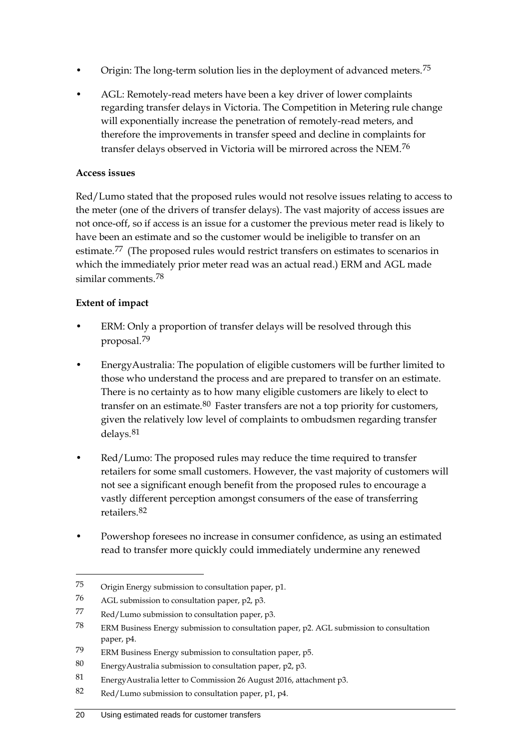- Origin: The long-term solution lies in the deployment of advanced meters.[75](#page-27-0)
- AGL: Remotely-read meters have been a key driver of lower complaints regarding transfer delays in Victoria. The Competition in Metering rule change will exponentially increase the penetration of remotely-read meters, and therefore the improvements in transfer speed and decline in complaints for transfer delays observed in Victoria will be mirrored across the NEM.[76](#page-27-1)

#### **Access issues**

Red/Lumo stated that the proposed rules would not resolve issues relating to access to the meter (one of the drivers of transfer delays). The vast majority of access issues are not once-off, so if access is an issue for a customer the previous meter read is likely to have been an estimate and so the customer would be ineligible to transfer on an estimate.[77](#page-27-2) (The proposed rules would restrict transfers on estimates to scenarios in which the immediately prior meter read was an actual read.) ERM and AGL made similar comments.[78](#page-27-3)

#### **Extent of impact**

- ERM: Only a proportion of transfer delays will be resolved through this proposal.[79](#page-27-4)
- EnergyAustralia: The population of eligible customers will be further limited to those who understand the process and are prepared to transfer on an estimate. There is no certainty as to how many eligible customers are likely to elect to transfer on an estimate. $80$  Faster transfers are not a top priority for customers, given the relatively low level of complaints to ombudsmen regarding transfer delays.[81](#page-27-6)
- Red/Lumo: The proposed rules may reduce the time required to transfer retailers for some small customers. However, the vast majority of customers will not see a significant enough benefit from the proposed rules to encourage a vastly different perception amongst consumers of the ease of transferring retailers.[82](#page-27-7)
- Powershop foresees no increase in consumer confidence, as using an estimated read to transfer more quickly could immediately undermine any renewed

<span id="page-27-0"></span><sup>75</sup> Origin Energy submission to consultation paper, p1.

<span id="page-27-1"></span><sup>76</sup> AGL submission to consultation paper, p2, p3.

<span id="page-27-2"></span><sup>77</sup> Red/Lumo submission to consultation paper, p3.

<span id="page-27-3"></span><sup>78</sup> ERM Business Energy submission to consultation paper, p2. AGL submission to consultation paper, p4.

<span id="page-27-4"></span><sup>79</sup> ERM Business Energy submission to consultation paper, p5.

<span id="page-27-5"></span><sup>80</sup> EnergyAustralia submission to consultation paper, p2, p3.

<span id="page-27-6"></span><sup>81</sup> EnergyAustralia letter to Commission 26 August 2016, attachment p3.

<span id="page-27-7"></span><sup>82</sup> Red/Lumo submission to consultation paper, p1, p4.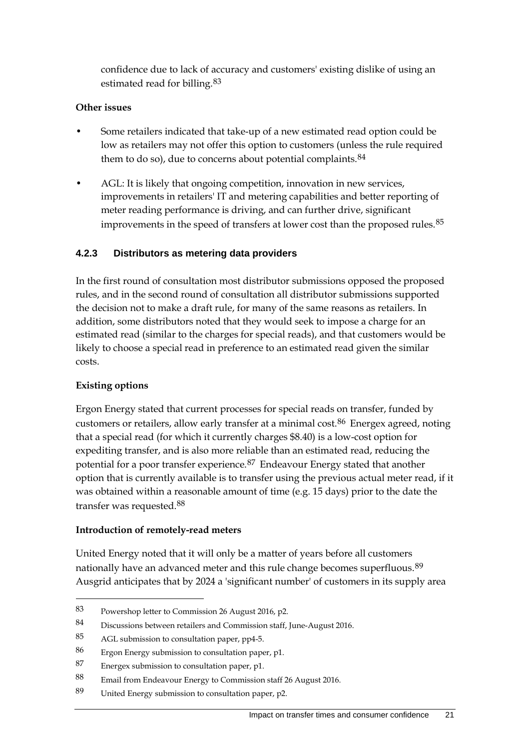confidence due to lack of accuracy and customers' existing dislike of using an estimated read for billing.[83](#page-28-0)

#### **Other issues**

- Some retailers indicated that take-up of a new estimated read option could be low as retailers may not offer this option to customers (unless the rule required them to do so), due to concerns about potential complaints.<sup>[84](#page-28-1)</sup>
- AGL: It is likely that ongoing competition, innovation in new services, improvements in retailers' IT and metering capabilities and better reporting of meter reading performance is driving, and can further drive, significant improvements in the speed of transfers at lower cost than the proposed rules.<sup>[85](#page-28-2)</sup>

### **4.2.3 Distributors as metering data providers**

In the first round of consultation most distributor submissions opposed the proposed rules, and in the second round of consultation all distributor submissions supported the decision not to make a draft rule, for many of the same reasons as retailers. In addition, some distributors noted that they would seek to impose a charge for an estimated read (similar to the charges for special reads), and that customers would be likely to choose a special read in preference to an estimated read given the similar costs.

#### **Existing options**

-

Ergon Energy stated that current processes for special reads on transfer, funded by customers or retailers, allow early transfer at a minimal cost.[86](#page-28-3) Energex agreed, noting that a special read (for which it currently charges \$8.40) is a low-cost option for expediting transfer, and is also more reliable than an estimated read, reducing the potential for a poor transfer experience.<sup>[87](#page-28-4)</sup> Endeavour Energy stated that another option that is currently available is to transfer using the previous actual meter read, if it was obtained within a reasonable amount of time (e.g. 15 days) prior to the date the transfer was requested.[88](#page-28-5)

#### **Introduction of remotely-read meters**

United Energy noted that it will only be a matter of years before all customers nationally have an advanced meter and this rule change becomes superfluous.<sup>[89](#page-28-6)</sup> Ausgrid anticipates that by 2024 a 'significant number' of customers in its supply area

<span id="page-28-0"></span><sup>83</sup> Powershop letter to Commission 26 August 2016, p2.

<span id="page-28-1"></span><sup>84</sup> Discussions between retailers and Commission staff, June-August 2016.

<span id="page-28-2"></span><sup>85</sup> AGL submission to consultation paper, pp4-5.

<span id="page-28-3"></span><sup>86</sup> Ergon Energy submission to consultation paper, p1.

<span id="page-28-4"></span><sup>87</sup> Energex submission to consultation paper, p1.

<span id="page-28-5"></span><sup>88</sup> Email from Endeavour Energy to Commission staff 26 August 2016.

<span id="page-28-6"></span><sup>89</sup> United Energy submission to consultation paper, p2.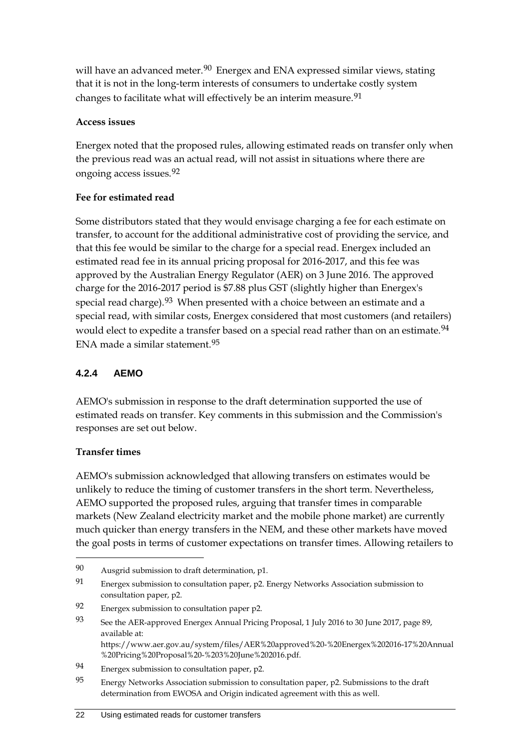will have an advanced meter.<sup>[90](#page-29-0)</sup> Energex and ENA expressed similar views, stating that it is not in the long-term interests of consumers to undertake costly system changes to facilitate what will effectively be an interim measure.<sup>[91](#page-29-1)</sup>

### **Access issues**

Energex noted that the proposed rules, allowing estimated reads on transfer only when the previous read was an actual read, will not assist in situations where there are ongoing access issues.[92](#page-29-2)

### **Fee for estimated read**

Some distributors stated that they would envisage charging a fee for each estimate on transfer, to account for the additional administrative cost of providing the service, and that this fee would be similar to the charge for a special read. Energex included an estimated read fee in its annual pricing proposal for 2016-2017, and this fee was approved by the Australian Energy Regulator (AER) on 3 June 2016. The approved charge for the 2016-2017 period is \$7.88 plus GST (slightly higher than Energex's special read charge).<sup>[93](#page-29-3)</sup> When presented with a choice between an estimate and a special read, with similar costs, Energex considered that most customers (and retailers) would elect to expedite a transfer based on a special read rather than on an estimate.<sup>[94](#page-29-4)</sup> ENA made a similar statement.[95](#page-29-5)

# **4.2.4 AEMO**

AEMO's submission in response to the draft determination supported the use of estimated reads on transfer. Key comments in this submission and the Commission's responses are set out below.

### **Transfer times**

-

AEMO's submission acknowledged that allowing transfers on estimates would be unlikely to reduce the timing of customer transfers in the short term. Nevertheless, AEMO supported the proposed rules, arguing that transfer times in comparable markets (New Zealand electricity market and the mobile phone market) are currently much quicker than energy transfers in the NEM, and these other markets have moved the goal posts in terms of customer expectations on transfer times. Allowing retailers to

<span id="page-29-0"></span><sup>90</sup> Ausgrid submission to draft determination, p1.

<span id="page-29-1"></span><sup>91</sup> Energex submission to consultation paper, p2. Energy Networks Association submission to consultation paper, p2.

<span id="page-29-2"></span><sup>92</sup> Energex submission to consultation paper p2.

<span id="page-29-3"></span><sup>93</sup> See the AER-approved Energex Annual Pricing Proposal, 1 July 2016 to 30 June 2017, page 89, available at: https://www.aer.gov.au/system/files/AER%20approved%20-%20Energex%202016-17%20Annual %20Pricing%20Proposal%20-%203%20June%202016.pdf.

<span id="page-29-4"></span><sup>94</sup> Energex submission to consultation paper, p2.

<span id="page-29-5"></span><sup>95</sup> Energy Networks Association submission to consultation paper, p2. Submissions to the draft determination from EWOSA and Origin indicated agreement with this as well.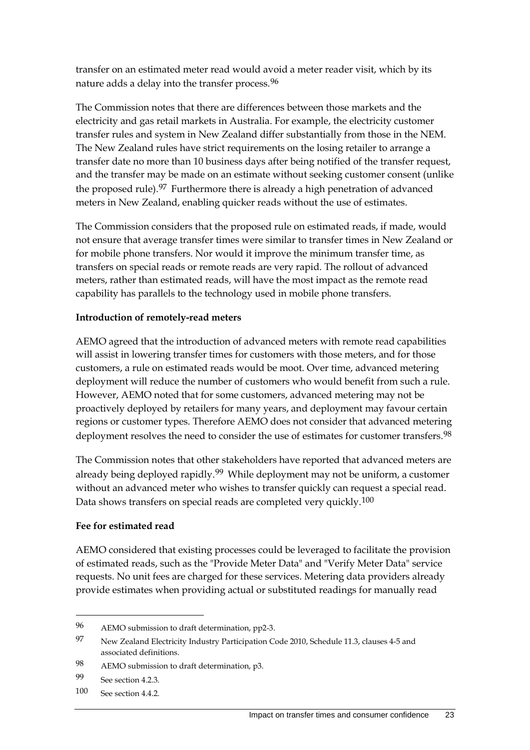transfer on an estimated meter read would avoid a meter reader visit, which by its nature adds a delay into the transfer process.[96](#page-30-0)

The Commission notes that there are differences between those markets and the electricity and gas retail markets in Australia. For example, the electricity customer transfer rules and system in New Zealand differ substantially from those in the NEM. The New Zealand rules have strict requirements on the losing retailer to arrange a transfer date no more than 10 business days after being notified of the transfer request, and the transfer may be made on an estimate without seeking customer consent (unlike the proposed rule).<sup>[97](#page-30-1)</sup> Furthermore there is already a high penetration of advanced meters in New Zealand, enabling quicker reads without the use of estimates.

The Commission considers that the proposed rule on estimated reads, if made, would not ensure that average transfer times were similar to transfer times in New Zealand or for mobile phone transfers. Nor would it improve the minimum transfer time, as transfers on special reads or remote reads are very rapid. The rollout of advanced meters, rather than estimated reads, will have the most impact as the remote read capability has parallels to the technology used in mobile phone transfers.

#### **Introduction of remotely-read meters**

AEMO agreed that the introduction of advanced meters with remote read capabilities will assist in lowering transfer times for customers with those meters, and for those customers, a rule on estimated reads would be moot. Over time, advanced metering deployment will reduce the number of customers who would benefit from such a rule. However, AEMO noted that for some customers, advanced metering may not be proactively deployed by retailers for many years, and deployment may favour certain regions or customer types. Therefore AEMO does not consider that advanced metering deployment resolves the need to consider the use of estimates for customer transfers.<sup>[98](#page-30-2)</sup>

The Commission notes that other stakeholders have reported that advanced meters are already being deployed rapidly.<sup>[99](#page-30-3)</sup> While deployment may not be uniform, a customer without an advanced meter who wishes to transfer quickly can request a special read. Data shows transfers on special reads are completed very quickly.<sup>[100](#page-30-4)</sup>

#### **Fee for estimated read**

AEMO considered that existing processes could be leveraged to facilitate the provision of estimated reads, such as the "Provide Meter Data" and "Verify Meter Data" service requests. No unit fees are charged for these services. Metering data providers already provide estimates when providing actual or substituted readings for manually read

<span id="page-30-0"></span><sup>96</sup> AEMO submission to draft determination, pp2-3.

<span id="page-30-1"></span><sup>97</sup> New Zealand Electricity Industry Participation Code 2010, Schedule 11.3, clauses 4-5 and associated definitions.

<span id="page-30-2"></span><sup>98</sup> AEMO submission to draft determination, p3.

<span id="page-30-3"></span><sup>99</sup> See section 4.2.3.

<span id="page-30-4"></span><sup>100</sup> See section 4.4.2.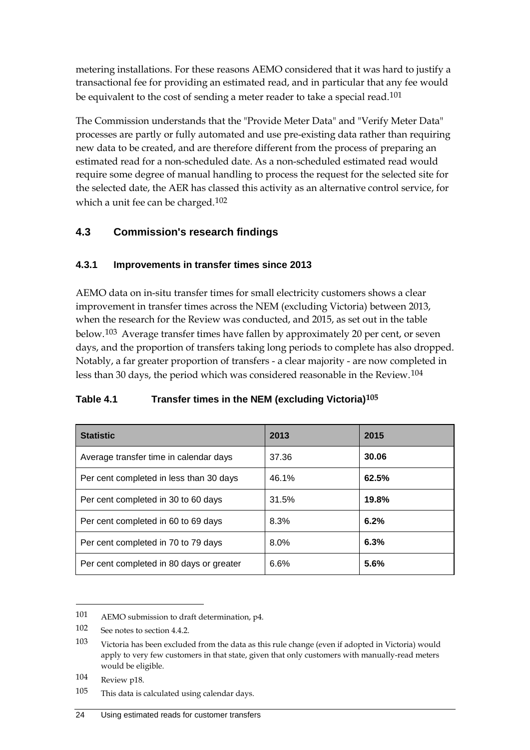metering installations. For these reasons AEMO considered that it was hard to justify a transactional fee for providing an estimated read, and in particular that any fee would be equivalent to the cost of sending a meter reader to take a special read.<sup>[101](#page-31-1)</sup>

The Commission understands that the "Provide Meter Data" and "Verify Meter Data" processes are partly or fully automated and use pre-existing data rather than requiring new data to be created, and are therefore different from the process of preparing an estimated read for a non-scheduled date. As a non-scheduled estimated read would require some degree of manual handling to process the request for the selected site for the selected date, the AER has classed this activity as an alternative control service, for which a unit fee can be charged.<sup>[102](#page-31-2)</sup>

# <span id="page-31-0"></span>**4.3 Commission's research findings**

### **4.3.1 Improvements in transfer times since 2013**

AEMO data on in-situ transfer times for small electricity customers shows a clear improvement in transfer times across the NEM (excluding Victoria) between 2013, when the research for the Review was conducted, and 2015, as set out in the table below.[103](#page-31-3) Average transfer times have fallen by approximately 20 per cent, or seven days, and the proportion of transfers taking long periods to complete has also dropped. Notably, a far greater proportion of transfers - a clear majority - are now completed in less than 30 days, the period which was considered reasonable in the Review.[104](#page-31-4)

### **Table 4.1 Transfer times in the NEM (excluding Victoria)[105](#page-31-5)**

| <b>Statistic</b>                         | 2013  | 2015  |
|------------------------------------------|-------|-------|
| Average transfer time in calendar days   | 37.36 | 30.06 |
| Per cent completed in less than 30 days  | 46.1% | 62.5% |
| Per cent completed in 30 to 60 days      | 31.5% | 19.8% |
| Per cent completed in 60 to 69 days      | 8.3%  | 6.2%  |
| Per cent completed in 70 to 79 days      | 8.0%  | 6.3%  |
| Per cent completed in 80 days or greater | 6.6%  | 5.6%  |

<span id="page-31-1"></span><sup>101</sup> AEMO submission to draft determination, p4.

<span id="page-31-2"></span><sup>102</sup> See notes to section 4.4.2.

<span id="page-31-3"></span><sup>103</sup> Victoria has been excluded from the data as this rule change (even if adopted in Victoria) would apply to very few customers in that state, given that only customers with manually-read meters would be eligible.

<span id="page-31-4"></span><sup>104</sup> Review p18.

<span id="page-31-5"></span><sup>105</sup> This data is calculated using calendar days.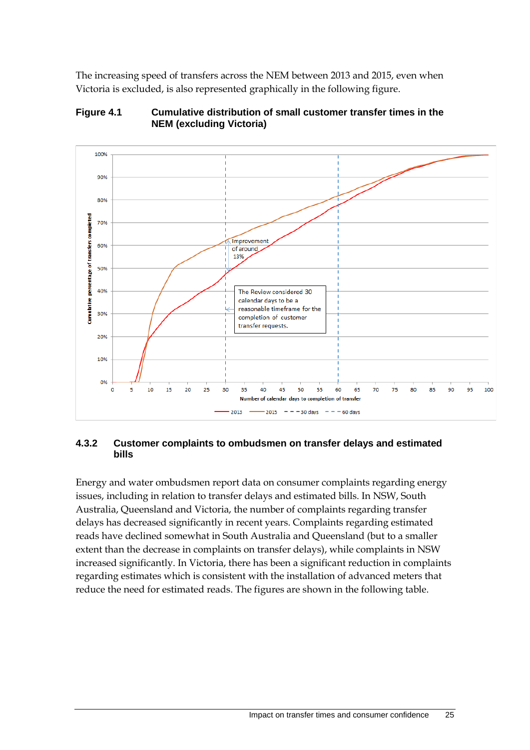The increasing speed of transfers across the NEM between 2013 and 2015, even when Victoria is excluded, is also represented graphically in the following figure.



**Figure 4.1 Cumulative distribution of small customer transfer times in the NEM (excluding Victoria)**

#### **4.3.2 Customer complaints to ombudsmen on transfer delays and estimated bills**

Energy and water ombudsmen report data on consumer complaints regarding energy issues, including in relation to transfer delays and estimated bills. In NSW, South Australia, Queensland and Victoria, the number of complaints regarding transfer delays has decreased significantly in recent years. Complaints regarding estimated reads have declined somewhat in South Australia and Queensland (but to a smaller extent than the decrease in complaints on transfer delays), while complaints in NSW increased significantly. In Victoria, there has been a significant reduction in complaints regarding estimates which is consistent with the installation of advanced meters that reduce the need for estimated reads. The figures are shown in the following table.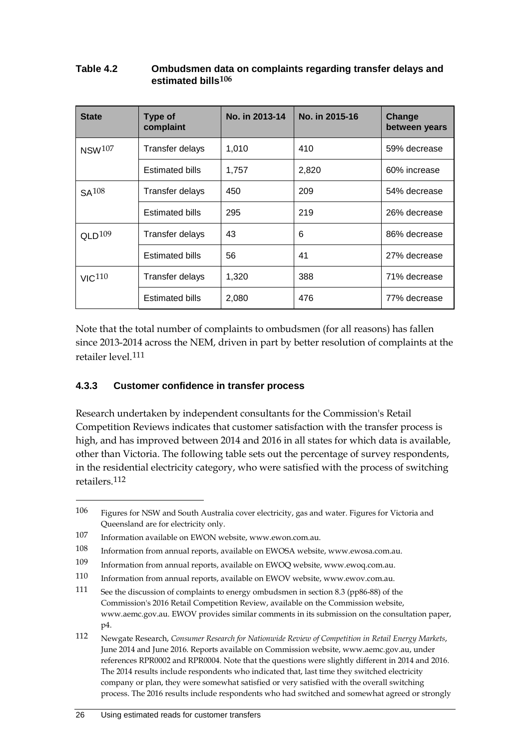| Table 4.2 | Ombudsmen data on complaints regarding transfer delays and |
|-----------|------------------------------------------------------------|
|           | estimated bills <sup>106</sup>                             |

| <b>State</b>              | <b>Type of</b><br>complaint | No. in 2013-14 | No. in 2015-16 | Change<br>between years |
|---------------------------|-----------------------------|----------------|----------------|-------------------------|
| <b>NSW</b> <sup>107</sup> | Transfer delays             | 1,010          | 410            | 59% decrease            |
|                           | Estimated bills             | 1,757          | 2,820          | 60% increase            |
| $SA^{108}$                | Transfer delays             | 450            | 209            | 54% decrease            |
|                           | <b>Estimated bills</b>      | 295            | 219            | 26% decrease            |
| QLD <sup>109</sup>        | Transfer delays             | 43             | 6              | 86% decrease            |
|                           | <b>Estimated bills</b>      | 56             | 41             | 27% decrease            |
| VIC <sup>110</sup>        | Transfer delays             | 1,320          | 388            | 71% decrease            |
|                           | <b>Estimated bills</b>      | 2,080          | 476            | 77% decrease            |

Note that the total number of complaints to ombudsmen (for all reasons) has fallen since 2013-2014 across the NEM, driven in part by better resolution of complaints at the retailer level.[111](#page-33-5)

#### **4.3.3 Customer confidence in transfer process**

Research undertaken by independent consultants for the Commission's Retail Competition Reviews indicates that customer satisfaction with the transfer process is high, and has improved between 2014 and 2016 in all states for which data is available, other than Victoria. The following table sets out the percentage of survey respondents, in the residential electricity category, who were satisfied with the process of switching retailers.[112](#page-33-6)

<span id="page-33-0"></span><sup>106</sup> Figures for NSW and South Australia cover electricity, gas and water. Figures for Victoria and Queensland are for electricity only.

<span id="page-33-1"></span><sup>107</sup> Information available on EWON website, www.ewon.com.au.

<span id="page-33-2"></span><sup>108</sup> Information from annual reports, available on EWOSA website, www.ewosa.com.au.

<span id="page-33-3"></span><sup>109</sup> Information from annual reports, available on EWOQ website, www.ewoq.com.au.

<span id="page-33-4"></span><sup>110</sup> Information from annual reports, available on EWOV website, www.ewov.com.au.

<span id="page-33-5"></span><sup>111</sup> See the discussion of complaints to energy ombudsmen in section 8.3 (pp86-88) of the Commission's 2016 Retail Competition Review, available on the Commission website, www.aemc.gov.au. EWOV provides similar comments in its submission on the consultation paper, p4.

<span id="page-33-6"></span><sup>112</sup> Newgate Research, *Consumer Research for Nationwide Review of Competition in Retail Energy Markets*, June 2014 and June 2016. Reports available on Commission website, www.aemc.gov.au, under references RPR0002 and RPR0004. Note that the questions were slightly different in 2014 and 2016. The 2014 results include respondents who indicated that, last time they switched electricity company or plan, they were somewhat satisfied or very satisfied with the overall switching process. The 2016 results include respondents who had switched and somewhat agreed or strongly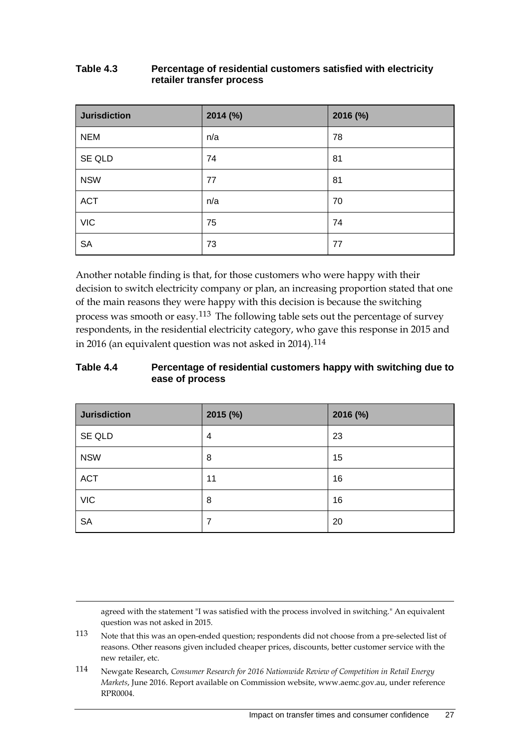#### **Table 4.3 Percentage of residential customers satisfied with electricity retailer transfer process**

| <b>Jurisdiction</b> | 2014 (%) | 2016 (%) |
|---------------------|----------|----------|
| <b>NEM</b>          | n/a      | 78       |
| SE QLD              | 74       | 81       |
| <b>NSW</b>          | 77       | 81       |
| <b>ACT</b>          | n/a      | 70       |
| <b>VIC</b>          | 75       | 74       |
| <b>SA</b>           | 73       | 77       |

Another notable finding is that, for those customers who were happy with their decision to switch electricity company or plan, an increasing proportion stated that one of the main reasons they were happy with this decision is because the switching process was smooth or easy.[113](#page-34-0) The following table sets out the percentage of survey respondents, in the residential electricity category, who gave this response in 2015 and in 2016 (an equivalent question was not asked in 2014).<sup>[114](#page-34-1)</sup>

#### **Table 4.4 Percentage of residential customers happy with switching due to ease of process**

| <b>Jurisdiction</b> | 2015 (%) | 2016 (%) |
|---------------------|----------|----------|
| SE QLD              | 4        | 23       |
| <b>NSW</b>          | 8        | 15       |
| <b>ACT</b>          | 11       | 16       |
| <b>VIC</b>          | 8        | 16       |
| <b>SA</b>           | 7        | 20       |

agreed with the statement "I was satisfied with the process involved in switching." An equivalent question was not asked in 2015.

<span id="page-34-0"></span>113 Note that this was an open-ended question; respondents did not choose from a pre-selected list of reasons. Other reasons given included cheaper prices, discounts, better customer service with the new retailer, etc.

-

<span id="page-34-1"></span>114 Newgate Research, *Consumer Research for 2016 Nationwide Review of Competition in Retail Energy Markets*, June 2016. Report available on Commission website, www.aemc.gov.au, under reference RPR0004.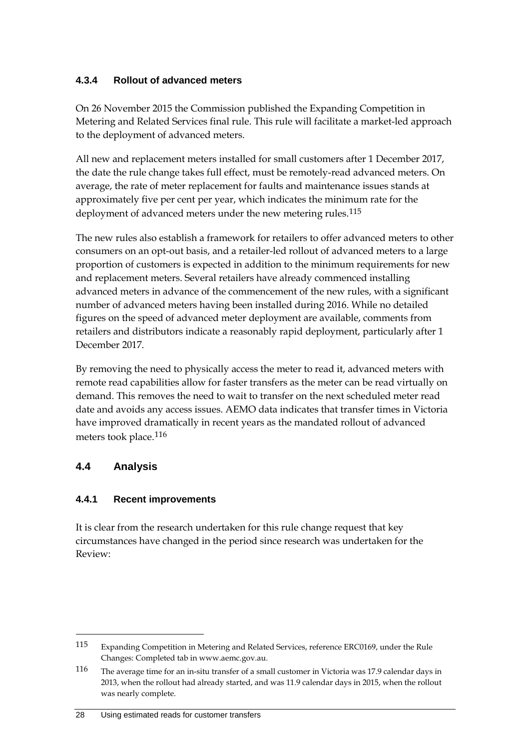## **4.3.4 Rollout of advanced meters**

On 26 November 2015 the Commission published the Expanding Competition in Metering and Related Services final rule. This rule will facilitate a market-led approach to the deployment of advanced meters.

All new and replacement meters installed for small customers after 1 December 2017, the date the rule change takes full effect, must be remotely-read advanced meters. On average, the rate of meter replacement for faults and maintenance issues stands at approximately five per cent per year, which indicates the minimum rate for the deployment of advanced meters under the new metering rules.<sup>[115](#page-35-1)</sup>

The new rules also establish a framework for retailers to offer advanced meters to other consumers on an opt-out basis, and a retailer-led rollout of advanced meters to a large proportion of customers is expected in addition to the minimum requirements for new and replacement meters. Several retailers have already commenced installing advanced meters in advance of the commencement of the new rules, with a significant number of advanced meters having been installed during 2016. While no detailed figures on the speed of advanced meter deployment are available, comments from retailers and distributors indicate a reasonably rapid deployment, particularly after 1 December 2017.

By removing the need to physically access the meter to read it, advanced meters with remote read capabilities allow for faster transfers as the meter can be read virtually on demand. This removes the need to wait to transfer on the next scheduled meter read date and avoids any access issues. AEMO data indicates that transfer times in Victoria have improved dramatically in recent years as the mandated rollout of advanced meters took place.<sup>[116](#page-35-2)</sup>

# <span id="page-35-0"></span>**4.4 Analysis**

-

### **4.4.1 Recent improvements**

It is clear from the research undertaken for this rule change request that key circumstances have changed in the period since research was undertaken for the Review:

<span id="page-35-1"></span><sup>115</sup> Expanding Competition in Metering and Related Services, reference ERC0169, under the Rule Changes: Completed tab in www.aemc.gov.au.

<span id="page-35-2"></span><sup>116</sup> The average time for an in-situ transfer of a small customer in Victoria was 17.9 calendar days in 2013, when the rollout had already started, and was 11.9 calendar days in 2015, when the rollout was nearly complete.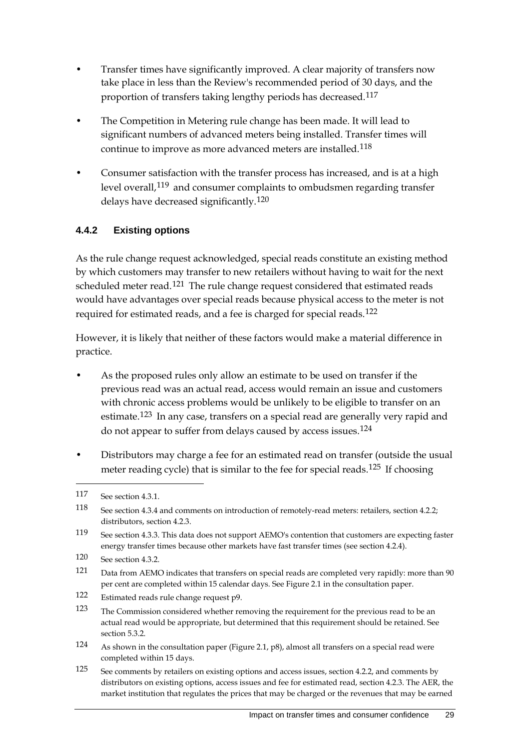- Transfer times have significantly improved. A clear majority of transfers now take place in less than the Review's recommended period of 30 days, and the proportion of transfers taking lengthy periods has decreased.[117](#page-36-0)
- The Competition in Metering rule change has been made. It will lead to significant numbers of advanced meters being installed. Transfer times will continue to improve as more advanced meters are installed.<sup>[118](#page-36-1)</sup>
- Consumer satisfaction with the transfer process has increased, and is at a high level overall,<sup>[119](#page-36-2)</sup> and consumer complaints to ombudsmen regarding transfer delays have decreased significantly.[120](#page-36-3)

## **4.4.2 Existing options**

As the rule change request acknowledged, special reads constitute an existing method by which customers may transfer to new retailers without having to wait for the next scheduled meter read.<sup>[121](#page-36-4)</sup> The rule change request considered that estimated reads would have advantages over special reads because physical access to the meter is not required for estimated reads, and a fee is charged for special reads.[122](#page-36-5)

However, it is likely that neither of these factors would make a material difference in practice.

- As the proposed rules only allow an estimate to be used on transfer if the previous read was an actual read, access would remain an issue and customers with chronic access problems would be unlikely to be eligible to transfer on an estimate.<sup>[123](#page-36-6)</sup> In any case, transfers on a special read are generally very rapid and do not appear to suffer from delays caused by access issues.[124](#page-36-7)
- Distributors may charge a fee for an estimated read on transfer (outside the usual meter reading cycle) that is similar to the fee for special reads.<sup>[125](#page-36-8)</sup> If choosing

<span id="page-36-0"></span><sup>117</sup> See section 4.3.1.

<span id="page-36-1"></span><sup>118</sup> See section 4.3.4 and comments on introduction of remotely-read meters: retailers, section 4.2.2; distributors, section 4.2.3.

<span id="page-36-2"></span><sup>119</sup> See section 4.3.3. This data does not support AEMO's contention that customers are expecting faster energy transfer times because other markets have fast transfer times (see section 4.2.4).

<span id="page-36-3"></span><sup>120</sup> See section 4.3.2.

<span id="page-36-4"></span><sup>121</sup> Data from AEMO indicates that transfers on special reads are completed very rapidly: more than 90 per cent are completed within 15 calendar days. See Figure 2.1 in the consultation paper.

<span id="page-36-5"></span><sup>122</sup> Estimated reads rule change request p9.

<span id="page-36-6"></span><sup>123</sup> The Commission considered whether removing the requirement for the previous read to be an actual read would be appropriate, but determined that this requirement should be retained. See section 5.3.2.

<span id="page-36-7"></span><sup>124</sup> As shown in the consultation paper (Figure 2.1, p8), almost all transfers on a special read were completed within 15 days.

<span id="page-36-8"></span><sup>125</sup> See comments by retailers on existing options and access issues, section 4.2.2, and comments by distributors on existing options, access issues and fee for estimated read, section 4.2.3. The AER, the market institution that regulates the prices that may be charged or the revenues that may be earned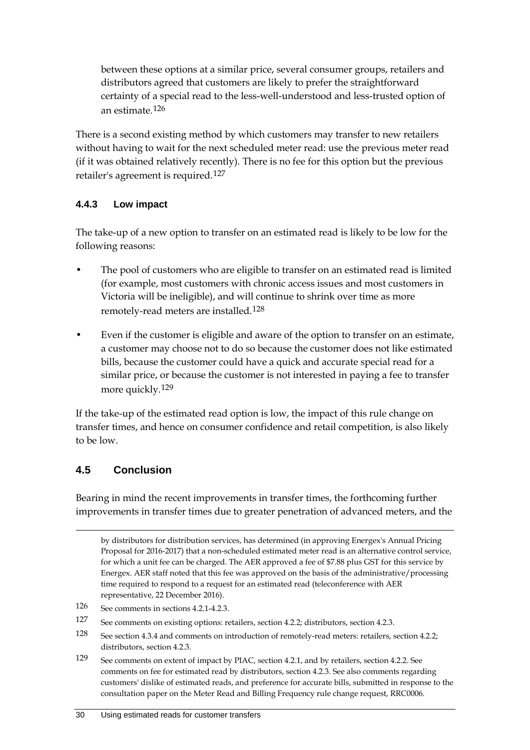between these options at a similar price, several consumer groups, retailers and distributors agreed that customers are likely to prefer the straightforward certainty of a special read to the less-well-understood and less-trusted option of an estimate.[126](#page-37-1)

There is a second existing method by which customers may transfer to new retailers without having to wait for the next scheduled meter read: use the previous meter read (if it was obtained relatively recently). There is no fee for this option but the previous retailer's agreement is required.[127](#page-37-2)

### **4.4.3 Low impact**

The take-up of a new option to transfer on an estimated read is likely to be low for the following reasons:

- The pool of customers who are eligible to transfer on an estimated read is limited (for example, most customers with chronic access issues and most customers in Victoria will be ineligible), and will continue to shrink over time as more remotely-read meters are installed.[128](#page-37-3)
- Even if the customer is eligible and aware of the option to transfer on an estimate, a customer may choose not to do so because the customer does not like estimated bills, because the customer could have a quick and accurate special read for a similar price, or because the customer is not interested in paying a fee to transfer more quickly.<sup>[129](#page-37-4)</sup>

If the take-up of the estimated read option is low, the impact of this rule change on transfer times, and hence on consumer confidence and retail competition, is also likely to be low.

# <span id="page-37-0"></span>**4.5 Conclusion**

-

Bearing in mind the recent improvements in transfer times, the forthcoming further improvements in transfer times due to greater penetration of advanced meters, and the

by distributors for distribution services, has determined (in approving Energex's Annual Pricing Proposal for 2016-2017) that a non-scheduled estimated meter read is an alternative control service, for which a unit fee can be charged. The AER approved a fee of \$7.88 plus GST for this service by Energex. AER staff noted that this fee was approved on the basis of the administrative/processing time required to respond to a request for an estimated read (teleconference with AER representative, 22 December 2016).

<span id="page-37-1"></span><sup>126</sup> See comments in sections 4.2.1-4.2.3.

<span id="page-37-2"></span><sup>127</sup> See comments on existing options: retailers, section 4.2.2; distributors, section 4.2.3.

<span id="page-37-3"></span><sup>128</sup> See section 4.3.4 and comments on introduction of remotely-read meters: retailers, section 4.2.2; distributors, section 4.2.3.

<span id="page-37-4"></span><sup>129</sup> See comments on extent of impact by PIAC, section 4.2.1, and by retailers, section 4.2.2. See comments on fee for estimated read by distributors, section 4.2.3. See also comments regarding customers' dislike of estimated reads, and preference for accurate bills, submitted in response to the consultation paper on the Meter Read and Billing Frequency rule change request, RRC0006.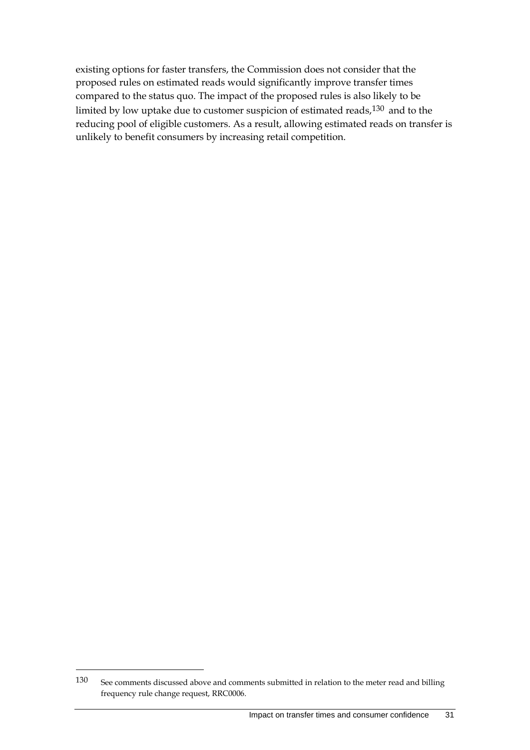existing options for faster transfers, the Commission does not consider that the proposed rules on estimated reads would significantly improve transfer times compared to the status quo. The impact of the proposed rules is also likely to be limited by low uptake due to customer suspicion of estimated reads,[130](#page-38-0) and to the reducing pool of eligible customers. As a result, allowing estimated reads on transfer is unlikely to benefit consumers by increasing retail competition.

<span id="page-38-0"></span><sup>130</sup> See comments discussed above and comments submitted in relation to the meter read and billing frequency rule change request, RRC0006.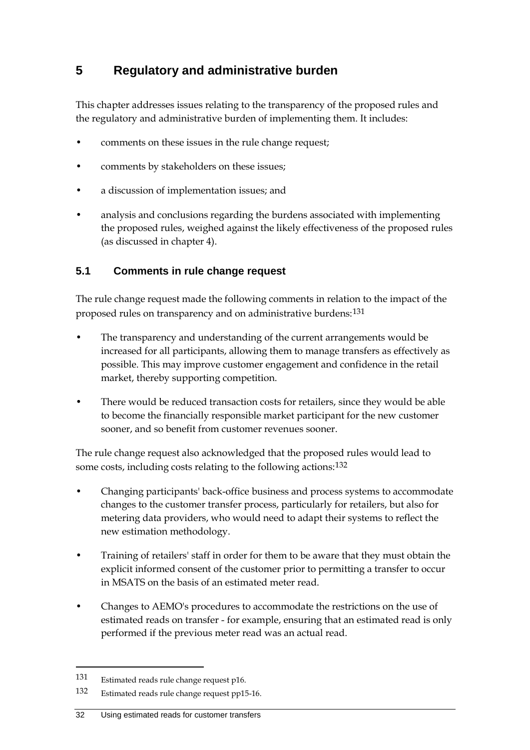# <span id="page-39-0"></span>**5 Regulatory and administrative burden**

This chapter addresses issues relating to the transparency of the proposed rules and the regulatory and administrative burden of implementing them. It includes:

- comments on these issues in the rule change request;
- comments by stakeholders on these issues;
- a discussion of implementation issues; and
- analysis and conclusions regarding the burdens associated with implementing the proposed rules, weighed against the likely effectiveness of the proposed rules (as discussed in chapter 4).

# <span id="page-39-1"></span>**5.1 Comments in rule change request**

The rule change request made the following comments in relation to the impact of the proposed rules on transparency and on administrative burdens:[131](#page-39-2)

- The transparency and understanding of the current arrangements would be increased for all participants, allowing them to manage transfers as effectively as possible. This may improve customer engagement and confidence in the retail market, thereby supporting competition.
- There would be reduced transaction costs for retailers, since they would be able to become the financially responsible market participant for the new customer sooner, and so benefit from customer revenues sooner.

The rule change request also acknowledged that the proposed rules would lead to some costs, including costs relating to the following actions:<sup>[132](#page-39-3)</sup>

- Changing participants' back-office business and process systems to accommodate changes to the customer transfer process, particularly for retailers, but also for metering data providers, who would need to adapt their systems to reflect the new estimation methodology.
- Training of retailers' staff in order for them to be aware that they must obtain the explicit informed consent of the customer prior to permitting a transfer to occur in MSATS on the basis of an estimated meter read.
- Changes to AEMO's procedures to accommodate the restrictions on the use of estimated reads on transfer - for example, ensuring that an estimated read is only performed if the previous meter read was an actual read.

<span id="page-39-2"></span><sup>131</sup> Estimated reads rule change request p16.

<span id="page-39-3"></span><sup>132</sup> Estimated reads rule change request pp15-16.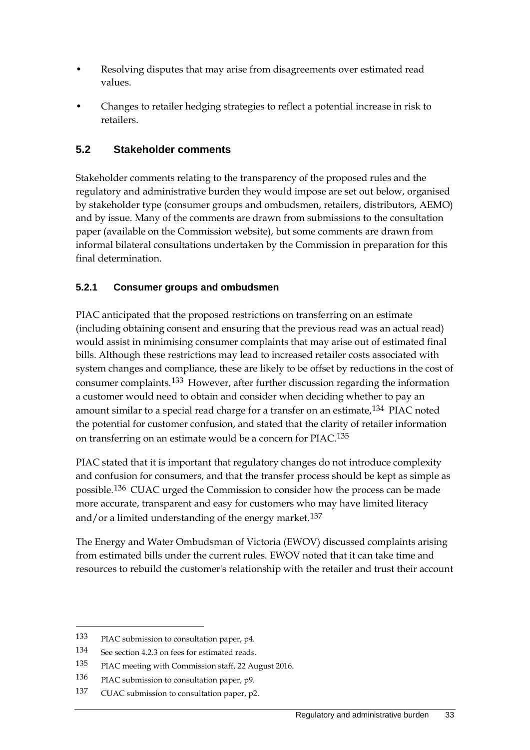- Resolving disputes that may arise from disagreements over estimated read values.
- Changes to retailer hedging strategies to reflect a potential increase in risk to retailers.

# <span id="page-40-0"></span>**5.2 Stakeholder comments**

Stakeholder comments relating to the transparency of the proposed rules and the regulatory and administrative burden they would impose are set out below, organised by stakeholder type (consumer groups and ombudsmen, retailers, distributors, AEMO) and by issue. Many of the comments are drawn from submissions to the consultation paper (available on the Commission website), but some comments are drawn from informal bilateral consultations undertaken by the Commission in preparation for this final determination.

### **5.2.1 Consumer groups and ombudsmen**

PIAC anticipated that the proposed restrictions on transferring on an estimate (including obtaining consent and ensuring that the previous read was an actual read) would assist in minimising consumer complaints that may arise out of estimated final bills. Although these restrictions may lead to increased retailer costs associated with system changes and compliance, these are likely to be offset by reductions in the cost of consumer complaints.[133](#page-40-1) However, after further discussion regarding the information a customer would need to obtain and consider when deciding whether to pay an amount similar to a special read charge for a transfer on an estimate,<sup>[134](#page-40-2)</sup> PIAC noted the potential for customer confusion, and stated that the clarity of retailer information on transferring on an estimate would be a concern for PIAC.[135](#page-40-3)

PIAC stated that it is important that regulatory changes do not introduce complexity and confusion for consumers, and that the transfer process should be kept as simple as possible.[136](#page-40-4) CUAC urged the Commission to consider how the process can be made more accurate, transparent and easy for customers who may have limited literacy and/or a limited understanding of the energy market.<sup>[137](#page-40-5)</sup>

The Energy and Water Ombudsman of Victoria (EWOV) discussed complaints arising from estimated bills under the current rules. EWOV noted that it can take time and resources to rebuild the customer's relationship with the retailer and trust their account

<span id="page-40-1"></span><sup>133</sup> PIAC submission to consultation paper, p4.

<span id="page-40-2"></span><sup>134</sup> See section 4.2.3 on fees for estimated reads.

<span id="page-40-3"></span><sup>135</sup> PIAC meeting with Commission staff, 22 August 2016.

<span id="page-40-4"></span><sup>136</sup> PIAC submission to consultation paper, p9.

<span id="page-40-5"></span><sup>137</sup> CUAC submission to consultation paper, p2.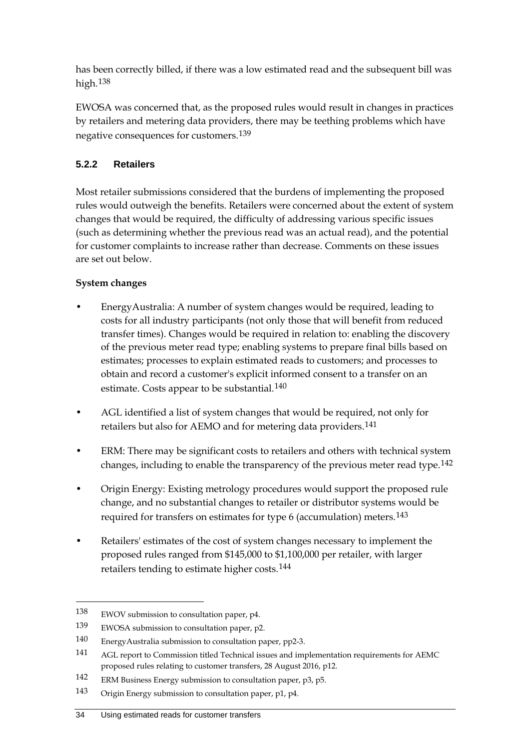has been correctly billed, if there was a low estimated read and the subsequent bill was high.[138](#page-41-0)

EWOSA was concerned that, as the proposed rules would result in changes in practices by retailers and metering data providers, there may be teething problems which have negative consequences for customers.[139](#page-41-1)

# **5.2.2 Retailers**

Most retailer submissions considered that the burdens of implementing the proposed rules would outweigh the benefits. Retailers were concerned about the extent of system changes that would be required, the difficulty of addressing various specific issues (such as determining whether the previous read was an actual read), and the potential for customer complaints to increase rather than decrease. Comments on these issues are set out below.

## **System changes**

- EnergyAustralia: A number of system changes would be required, leading to costs for all industry participants (not only those that will benefit from reduced transfer times). Changes would be required in relation to: enabling the discovery of the previous meter read type; enabling systems to prepare final bills based on estimates; processes to explain estimated reads to customers; and processes to obtain and record a customer's explicit informed consent to a transfer on an estimate. Costs appear to be substantial.<sup>[140](#page-41-2)</sup>
- AGL identified a list of system changes that would be required, not only for retailers but also for AEMO and for metering data providers.<sup>[141](#page-41-3)</sup>
- ERM: There may be significant costs to retailers and others with technical system changes, including to enable the transparency of the previous meter read type.[142](#page-41-4)
- Origin Energy: Existing metrology procedures would support the proposed rule change, and no substantial changes to retailer or distributor systems would be required for transfers on estimates for type 6 (accumulation) meters.[143](#page-41-5)
- <span id="page-41-6"></span>Retailers' estimates of the cost of system changes necessary to implement the proposed rules ranged from \$145,000 to \$1,100,000 per retailer, with larger retailers tending to estimate higher costs.[144](#page-41-6)

<span id="page-41-0"></span><sup>138</sup> EWOV submission to consultation paper, p4.

<span id="page-41-1"></span><sup>139</sup> EWOSA submission to consultation paper, p2.

<span id="page-41-2"></span><sup>140</sup> EnergyAustralia submission to consultation paper, pp2-3.

<span id="page-41-3"></span><sup>141</sup> AGL report to Commission titled Technical issues and implementation requirements for AEMC proposed rules relating to customer transfers, 28 August 2016, p12.

<span id="page-41-4"></span><sup>142</sup> ERM Business Energy submission to consultation paper, p3, p5.

<span id="page-41-5"></span><sup>143</sup> Origin Energy submission to consultation paper, p1, p4.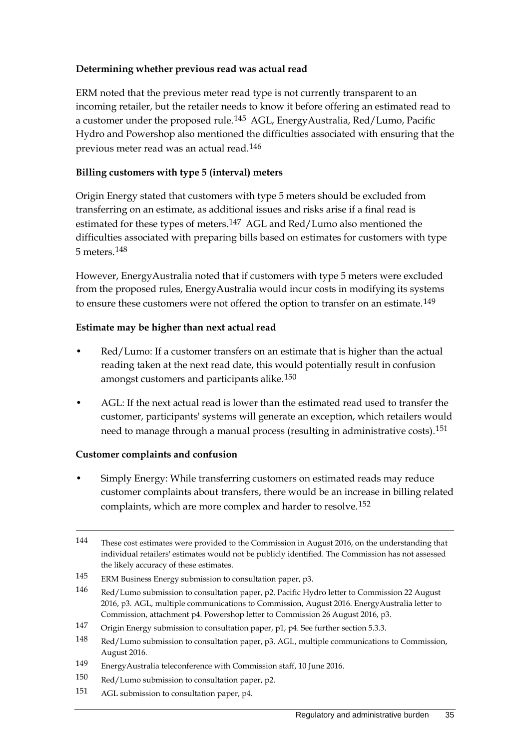#### **Determining whether previous read was actual read**

ERM noted that the previous meter read type is not currently transparent to an incoming retailer, but the retailer needs to know it before offering an estimated read to a customer under the proposed rule.<sup>[145](#page-42-0)</sup> AGL, EnergyAustralia, Red/Lumo, Pacific Hydro and Powershop also mentioned the difficulties associated with ensuring that the previous meter read was an actual read.[146](#page-42-1)

### **Billing customers with type 5 (interval) meters**

Origin Energy stated that customers with type 5 meters should be excluded from transferring on an estimate, as additional issues and risks arise if a final read is estimated for these types of meters.<sup>[147](#page-42-2)</sup> AGL and Red/Lumo also mentioned the difficulties associated with preparing bills based on estimates for customers with type 5 meters.[148](#page-42-3)

However, EnergyAustralia noted that if customers with type 5 meters were excluded from the proposed rules, EnergyAustralia would incur costs in modifying its systems to ensure these customers were not offered the option to transfer on an estimate.<sup>[149](#page-42-4)</sup>

#### **Estimate may be higher than next actual read**

- Red/Lumo: If a customer transfers on an estimate that is higher than the actual reading taken at the next read date, this would potentially result in confusion amongst customers and participants alike.[150](#page-42-5)
- AGL: If the next actual read is lower than the estimated read used to transfer the customer, participants' systems will generate an exception, which retailers would need to manage through a manual process (resulting in administrative costs).<sup>[151](#page-42-6)</sup>

#### **Customer complaints and confusion**

-

• Simply Energy: While transferring customers on estimated reads may reduce customer complaints about transfers, there would be an increase in billing related complaints, which are more complex and harder to resolve.[152](#page-42-7)

- <span id="page-42-3"></span>148 Red/Lumo submission to consultation paper, p3. AGL, multiple communications to Commission, August 2016.
- <span id="page-42-4"></span>149 EnergyAustralia teleconference with Commission staff, 10 June 2016.
- <span id="page-42-5"></span>150 Red/Lumo submission to consultation paper, p2.
- <span id="page-42-6"></span>151 AGL submission to consultation paper, p4.

<sup>144</sup> These cost estimates were provided to the Commission in August 2016, on the understanding that individual retailers' estimates would not be publicly identified. The Commission has not assessed the likely accuracy of these estimates.

<span id="page-42-0"></span><sup>145</sup> ERM Business Energy submission to consultation paper, p3.

<span id="page-42-7"></span><span id="page-42-1"></span><sup>146</sup> Red/Lumo submission to consultation paper, p2. Pacific Hydro letter to Commission 22 August 2016, p3. AGL, multiple communications to Commission, August 2016. EnergyAustralia letter to Commission, attachment p4. Powershop letter to Commission 26 August 2016, p3.

<span id="page-42-2"></span><sup>147</sup> Origin Energy submission to consultation paper, p1, p4. See further section 5.3.3.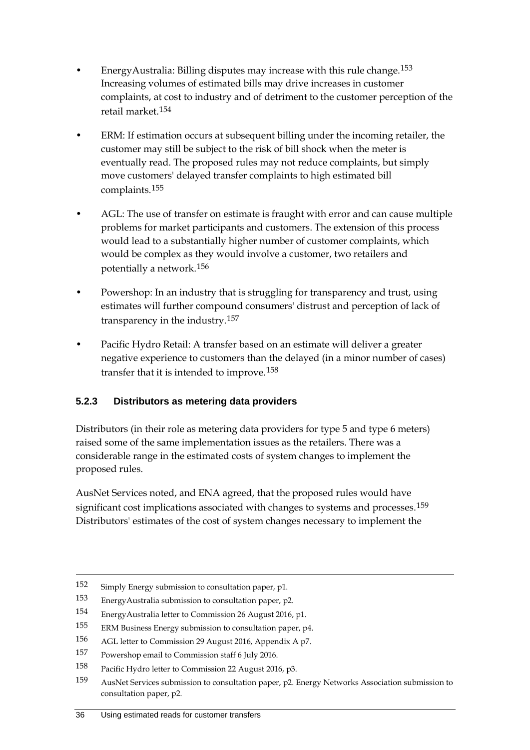- EnergyAustralia: Billing disputes may increase with this rule change.[153](#page-43-0) Increasing volumes of estimated bills may drive increases in customer complaints, at cost to industry and of detriment to the customer perception of the retail market.[154](#page-43-1)
- ERM: If estimation occurs at subsequent billing under the incoming retailer, the customer may still be subject to the risk of bill shock when the meter is eventually read. The proposed rules may not reduce complaints, but simply move customers' delayed transfer complaints to high estimated bill complaints.[155](#page-43-2)
- AGL: The use of transfer on estimate is fraught with error and can cause multiple problems for market participants and customers. The extension of this process would lead to a substantially higher number of customer complaints, which would be complex as they would involve a customer, two retailers and potentially a network.[156](#page-43-3)
- Powershop: In an industry that is struggling for transparency and trust, using estimates will further compound consumers' distrust and perception of lack of transparency in the industry.[157](#page-43-4)
- Pacific Hydro Retail: A transfer based on an estimate will deliver a greater negative experience to customers than the delayed (in a minor number of cases) transfer that it is intended to improve.[158](#page-43-5)

# **5.2.3 Distributors as metering data providers**

Distributors (in their role as metering data providers for type 5 and type 6 meters) raised some of the same implementation issues as the retailers. There was a considerable range in the estimated costs of system changes to implement the proposed rules.

AusNet Services noted, and ENA agreed, that the proposed rules would have significant cost implications associated with changes to systems and processes.<sup>[159](#page-43-6)</sup> Distributors' estimates of the cost of system changes necessary to implement the

<sup>152</sup> Simply Energy submission to consultation paper, p1.

<span id="page-43-0"></span><sup>153</sup> EnergyAustralia submission to consultation paper, p2.

<span id="page-43-1"></span><sup>154</sup> EnergyAustralia letter to Commission 26 August 2016, p1.

<span id="page-43-2"></span><sup>155</sup> ERM Business Energy submission to consultation paper, p4.

<span id="page-43-3"></span><sup>156</sup> AGL letter to Commission 29 August 2016, Appendix A p7.

<span id="page-43-4"></span><sup>157</sup> Powershop email to Commission staff 6 July 2016.

<span id="page-43-5"></span><sup>158</sup> Pacific Hydro letter to Commission 22 August 2016, p3.

<span id="page-43-6"></span><sup>159</sup> AusNet Services submission to consultation paper, p2. Energy Networks Association submission to consultation paper, p2.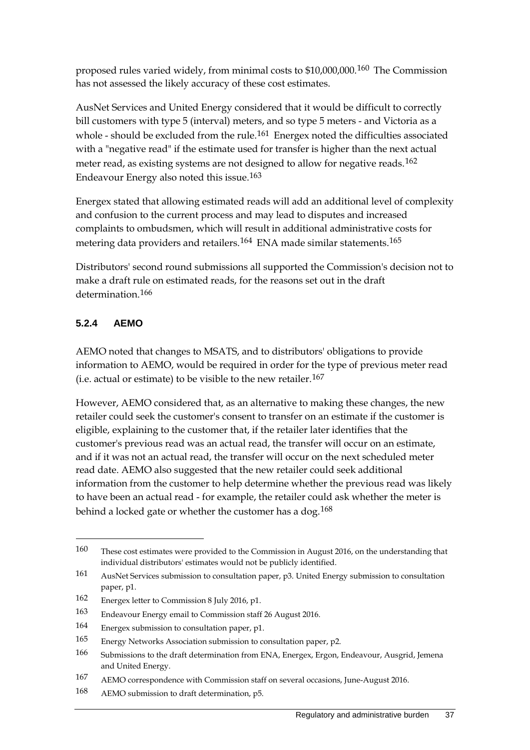proposed rules varied widely, from minimal costs to \$10,000,000.[160](#page-44-0) The Commission has not assessed the likely accuracy of these cost estimates.

AusNet Services and United Energy considered that it would be difficult to correctly bill customers with type 5 (interval) meters, and so type 5 meters - and Victoria as a whole - should be excluded from the rule.<sup>[161](#page-44-1)</sup> Energex noted the difficulties associated with a "negative read" if the estimate used for transfer is higher than the next actual meter read, as existing systems are not designed to allow for negative reads.<sup>[162](#page-44-2)</sup> Endeavour Energy also noted this issue.[163](#page-44-3)

Energex stated that allowing estimated reads will add an additional level of complexity and confusion to the current process and may lead to disputes and increased complaints to ombudsmen, which will result in additional administrative costs for metering data providers and retailers.<sup>[164](#page-44-4)</sup> ENA made similar statements.<sup>[165](#page-44-5)</sup>

Distributors' second round submissions all supported the Commission's decision not to make a draft rule on estimated reads, for the reasons set out in the draft determination.[166](#page-44-6)

### **5.2.4 AEMO**

-

AEMO noted that changes to MSATS, and to distributors' obligations to provide information to AEMO, would be required in order for the type of previous meter read (i.e. actual or estimate) to be visible to the new retailer.  $167$ 

However, AEMO considered that, as an alternative to making these changes, the new retailer could seek the customer's consent to transfer on an estimate if the customer is eligible, explaining to the customer that, if the retailer later identifies that the customer's previous read was an actual read, the transfer will occur on an estimate, and if it was not an actual read, the transfer will occur on the next scheduled meter read date. AEMO also suggested that the new retailer could seek additional information from the customer to help determine whether the previous read was likely to have been an actual read - for example, the retailer could ask whether the meter is behind a locked gate or whether the customer has a dog.[168](#page-44-8)

<span id="page-44-0"></span><sup>160</sup> These cost estimates were provided to the Commission in August 2016, on the understanding that individual distributors' estimates would not be publicly identified.

<span id="page-44-1"></span><sup>161</sup> AusNet Services submission to consultation paper, p3. United Energy submission to consultation paper, p1.

<span id="page-44-2"></span><sup>162</sup> Energex letter to Commission 8 July 2016, p1.

<span id="page-44-3"></span><sup>163</sup> Endeavour Energy email to Commission staff 26 August 2016.

<span id="page-44-4"></span><sup>164</sup> Energex submission to consultation paper, p1.

<span id="page-44-5"></span><sup>165</sup> Energy Networks Association submission to consultation paper, p2.

<span id="page-44-6"></span><sup>166</sup> Submissions to the draft determination from ENA, Energex, Ergon, Endeavour, Ausgrid, Jemena and United Energy.

<span id="page-44-7"></span><sup>167</sup> AEMO correspondence with Commission staff on several occasions, June-August 2016.

<span id="page-44-8"></span><sup>168</sup> AEMO submission to draft determination, p5.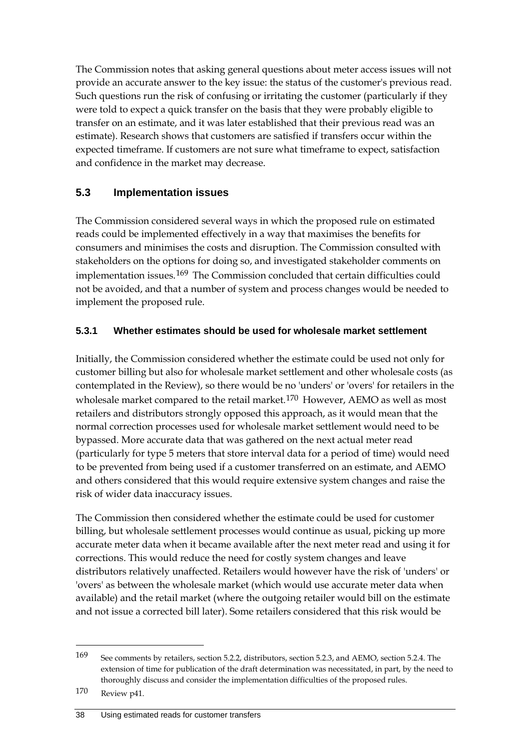The Commission notes that asking general questions about meter access issues will not provide an accurate answer to the key issue: the status of the customer's previous read. Such questions run the risk of confusing or irritating the customer (particularly if they were told to expect a quick transfer on the basis that they were probably eligible to transfer on an estimate, and it was later established that their previous read was an estimate). Research shows that customers are satisfied if transfers occur within the expected timeframe. If customers are not sure what timeframe to expect, satisfaction and confidence in the market may decrease.

# <span id="page-45-0"></span>**5.3 Implementation issues**

The Commission considered several ways in which the proposed rule on estimated reads could be implemented effectively in a way that maximises the benefits for consumers and minimises the costs and disruption. The Commission consulted with stakeholders on the options for doing so, and investigated stakeholder comments on implementation issues.[169](#page-45-1) The Commission concluded that certain difficulties could not be avoided, and that a number of system and process changes would be needed to implement the proposed rule.

# **5.3.1 Whether estimates should be used for wholesale market settlement**

Initially, the Commission considered whether the estimate could be used not only for customer billing but also for wholesale market settlement and other wholesale costs (as contemplated in the Review), so there would be no 'unders' or 'overs' for retailers in the wholesale market compared to the retail market.<sup>[170](#page-45-2)</sup> However, AEMO as well as most retailers and distributors strongly opposed this approach, as it would mean that the normal correction processes used for wholesale market settlement would need to be bypassed. More accurate data that was gathered on the next actual meter read (particularly for type 5 meters that store interval data for a period of time) would need to be prevented from being used if a customer transferred on an estimate, and AEMO and others considered that this would require extensive system changes and raise the risk of wider data inaccuracy issues.

The Commission then considered whether the estimate could be used for customer billing, but wholesale settlement processes would continue as usual, picking up more accurate meter data when it became available after the next meter read and using it for corrections. This would reduce the need for costly system changes and leave distributors relatively unaffected. Retailers would however have the risk of 'unders' or 'overs' as between the wholesale market (which would use accurate meter data when available) and the retail market (where the outgoing retailer would bill on the estimate and not issue a corrected bill later). Some retailers considered that this risk would be

-

#### 38 Using estimated reads for customer transfers

<span id="page-45-1"></span><sup>169</sup> See comments by retailers, section 5.2.2, distributors, section 5.2.3, and AEMO, section 5.2.4. The extension of time for publication of the draft determination was necessitated, in part, by the need to thoroughly discuss and consider the implementation difficulties of the proposed rules.

<span id="page-45-2"></span><sup>170</sup> Review p41.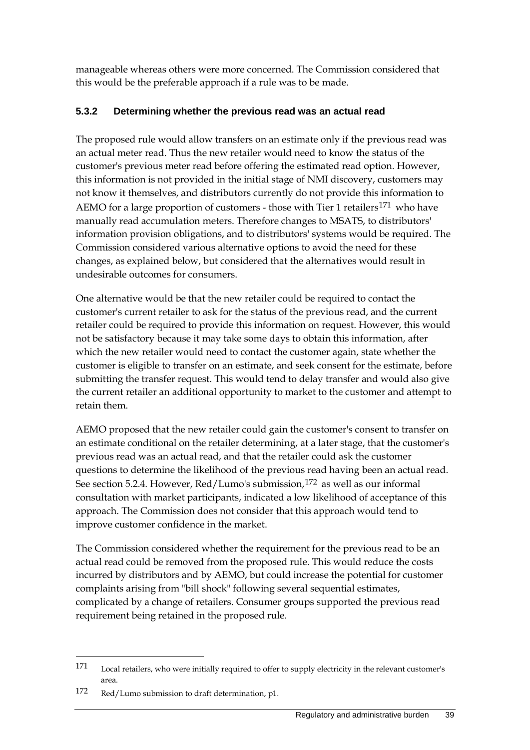manageable whereas others were more concerned. The Commission considered that this would be the preferable approach if a rule was to be made.

### **5.3.2 Determining whether the previous read was an actual read**

The proposed rule would allow transfers on an estimate only if the previous read was an actual meter read. Thus the new retailer would need to know the status of the customer's previous meter read before offering the estimated read option. However, this information is not provided in the initial stage of NMI discovery, customers may not know it themselves, and distributors currently do not provide this information to AEMO for a large proportion of customers - those with Tier 1 retailers<sup>[171](#page-46-0)</sup> who have manually read accumulation meters. Therefore changes to MSATS, to distributors' information provision obligations, and to distributors' systems would be required. The Commission considered various alternative options to avoid the need for these changes, as explained below, but considered that the alternatives would result in undesirable outcomes for consumers.

One alternative would be that the new retailer could be required to contact the customer's current retailer to ask for the status of the previous read, and the current retailer could be required to provide this information on request. However, this would not be satisfactory because it may take some days to obtain this information, after which the new retailer would need to contact the customer again, state whether the customer is eligible to transfer on an estimate, and seek consent for the estimate, before submitting the transfer request. This would tend to delay transfer and would also give the current retailer an additional opportunity to market to the customer and attempt to retain them.

AEMO proposed that the new retailer could gain the customer's consent to transfer on an estimate conditional on the retailer determining, at a later stage, that the customer's previous read was an actual read, and that the retailer could ask the customer questions to determine the likelihood of the previous read having been an actual read. See section 5.2.4. However, Red/Lumo's submission,<sup>[172](#page-46-1)</sup> as well as our informal consultation with market participants, indicated a low likelihood of acceptance of this approach. The Commission does not consider that this approach would tend to improve customer confidence in the market.

The Commission considered whether the requirement for the previous read to be an actual read could be removed from the proposed rule. This would reduce the costs incurred by distributors and by AEMO, but could increase the potential for customer complaints arising from "bill shock" following several sequential estimates, complicated by a change of retailers. Consumer groups supported the previous read requirement being retained in the proposed rule.

<span id="page-46-0"></span><sup>171</sup> Local retailers, who were initially required to offer to supply electricity in the relevant customer's area.

<span id="page-46-1"></span><sup>172</sup> Red/Lumo submission to draft determination, p1.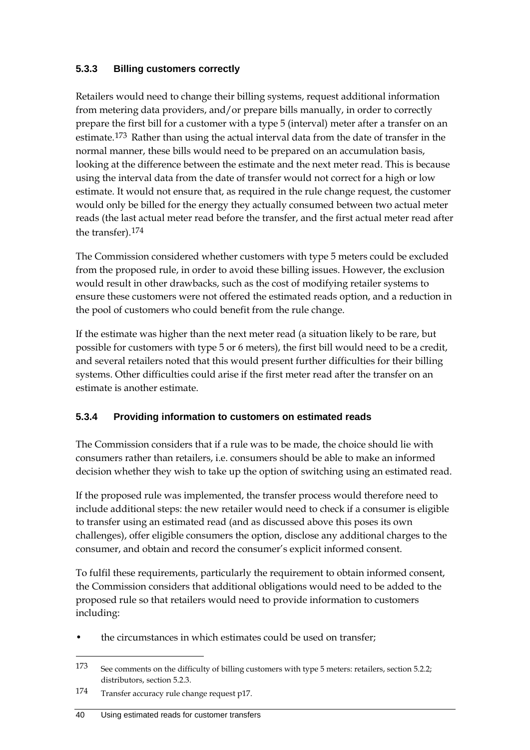### **5.3.3 Billing customers correctly**

Retailers would need to change their billing systems, request additional information from metering data providers, and/or prepare bills manually, in order to correctly prepare the first bill for a customer with a type 5 (interval) meter after a transfer on an estimate.[173](#page-47-0) Rather than using the actual interval data from the date of transfer in the normal manner, these bills would need to be prepared on an accumulation basis, looking at the difference between the estimate and the next meter read. This is because using the interval data from the date of transfer would not correct for a high or low estimate. It would not ensure that, as required in the rule change request, the customer would only be billed for the energy they actually consumed between two actual meter reads (the last actual meter read before the transfer, and the first actual meter read after the transfer).[174](#page-47-1)

The Commission considered whether customers with type 5 meters could be excluded from the proposed rule, in order to avoid these billing issues. However, the exclusion would result in other drawbacks, such as the cost of modifying retailer systems to ensure these customers were not offered the estimated reads option, and a reduction in the pool of customers who could benefit from the rule change.

If the estimate was higher than the next meter read (a situation likely to be rare, but possible for customers with type 5 or 6 meters), the first bill would need to be a credit, and several retailers noted that this would present further difficulties for their billing systems. Other difficulties could arise if the first meter read after the transfer on an estimate is another estimate.

### **5.3.4 Providing information to customers on estimated reads**

The Commission considers that if a rule was to be made, the choice should lie with consumers rather than retailers, i.e. consumers should be able to make an informed decision whether they wish to take up the option of switching using an estimated read.

If the proposed rule was implemented, the transfer process would therefore need to include additional steps: the new retailer would need to check if a consumer is eligible to transfer using an estimated read (and as discussed above this poses its own challenges), offer eligible consumers the option, disclose any additional charges to the consumer, and obtain and record the consumer's explicit informed consent.

To fulfil these requirements, particularly the requirement to obtain informed consent, the Commission considers that additional obligations would need to be added to the proposed rule so that retailers would need to provide information to customers including:

the circumstances in which estimates could be used on transfer;

<span id="page-47-0"></span><sup>173</sup> See comments on the difficulty of billing customers with type 5 meters: retailers, section 5.2.2; distributors, section 5.2.3.

<span id="page-47-1"></span><sup>174</sup> Transfer accuracy rule change request p17.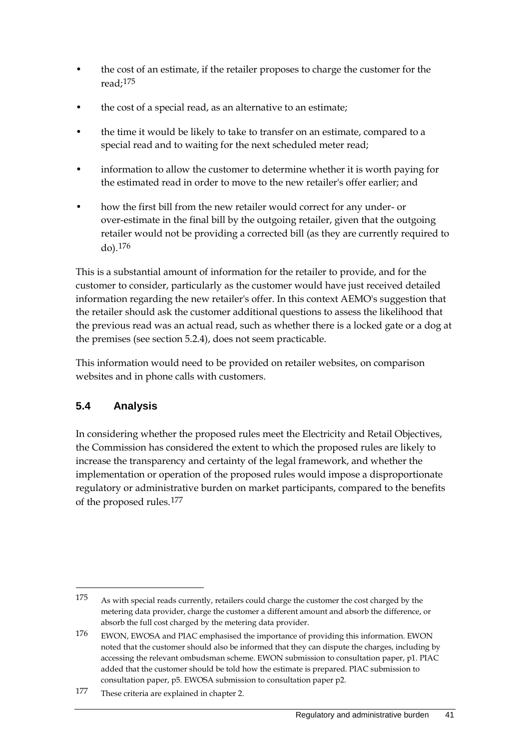- the cost of an estimate, if the retailer proposes to charge the customer for the read;[175](#page-48-1)
- the cost of a special read, as an alternative to an estimate;
- the time it would be likely to take to transfer on an estimate, compared to a special read and to waiting for the next scheduled meter read;
- information to allow the customer to determine whether it is worth paying for the estimated read in order to move to the new retailer's offer earlier; and
- how the first bill from the new retailer would correct for any under- or over-estimate in the final bill by the outgoing retailer, given that the outgoing retailer would not be providing a corrected bill (as they are currently required to do).[176](#page-48-2)

This is a substantial amount of information for the retailer to provide, and for the customer to consider, particularly as the customer would have just received detailed information regarding the new retailer's offer. In this context AEMO's suggestion that the retailer should ask the customer additional questions to assess the likelihood that the previous read was an actual read, such as whether there is a locked gate or a dog at the premises (see section 5.2.4), does not seem practicable.

This information would need to be provided on retailer websites, on comparison websites and in phone calls with customers.

# <span id="page-48-0"></span>**5.4 Analysis**

-

In considering whether the proposed rules meet the Electricity and Retail Objectives, the Commission has considered the extent to which the proposed rules are likely to increase the transparency and certainty of the legal framework, and whether the implementation or operation of the proposed rules would impose a disproportionate regulatory or administrative burden on market participants, compared to the benefits of the proposed rules.[177](#page-48-3)

<span id="page-48-1"></span><sup>175</sup> As with special reads currently, retailers could charge the customer the cost charged by the metering data provider, charge the customer a different amount and absorb the difference, or absorb the full cost charged by the metering data provider.

<span id="page-48-2"></span><sup>176</sup> EWON, EWOSA and PIAC emphasised the importance of providing this information. EWON noted that the customer should also be informed that they can dispute the charges, including by accessing the relevant ombudsman scheme. EWON submission to consultation paper, p1. PIAC added that the customer should be told how the estimate is prepared. PIAC submission to consultation paper, p5. EWOSA submission to consultation paper p2.

<span id="page-48-3"></span><sup>177</sup> These criteria are explained in chapter 2.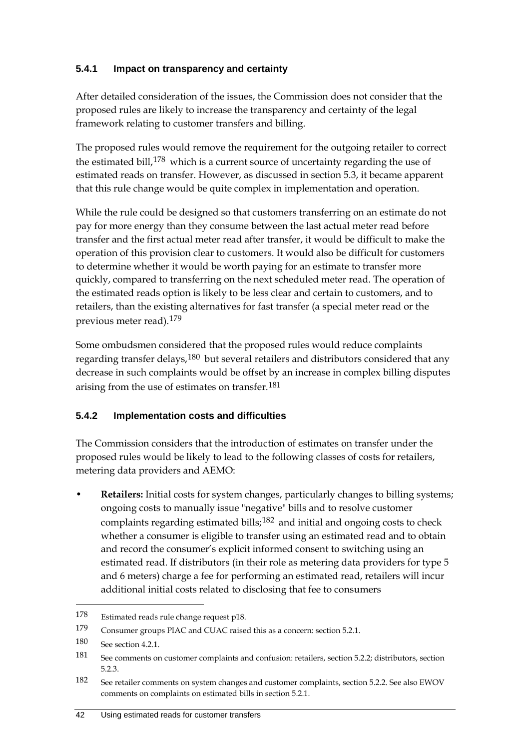## **5.4.1 Impact on transparency and certainty**

After detailed consideration of the issues, the Commission does not consider that the proposed rules are likely to increase the transparency and certainty of the legal framework relating to customer transfers and billing.

The proposed rules would remove the requirement for the outgoing retailer to correct the estimated bill,[178](#page-49-0) which is a current source of uncertainty regarding the use of estimated reads on transfer. However, as discussed in section [5.3,](#page-45-0) it became apparent that this rule change would be quite complex in implementation and operation.

While the rule could be designed so that customers transferring on an estimate do not pay for more energy than they consume between the last actual meter read before transfer and the first actual meter read after transfer, it would be difficult to make the operation of this provision clear to customers. It would also be difficult for customers to determine whether it would be worth paying for an estimate to transfer more quickly, compared to transferring on the next scheduled meter read. The operation of the estimated reads option is likely to be less clear and certain to customers, and to retailers, than the existing alternatives for fast transfer (a special meter read or the previous meter read).[179](#page-49-1)

Some ombudsmen considered that the proposed rules would reduce complaints regarding transfer delays,<sup>[180](#page-49-2)</sup> but several retailers and distributors considered that any decrease in such complaints would be offset by an increase in complex billing disputes arising from the use of estimates on transfer.<sup>[181](#page-49-3)</sup>

### **5.4.2 Implementation costs and difficulties**

The Commission considers that the introduction of estimates on transfer under the proposed rules would be likely to lead to the following classes of costs for retailers, metering data providers and AEMO:

• **Retailers:** Initial costs for system changes, particularly changes to billing systems; ongoing costs to manually issue "negative" bills and to resolve customer complaints regarding estimated bills;[182](#page-49-4) and initial and ongoing costs to check whether a consumer is eligible to transfer using an estimated read and to obtain and record the consumer's explicit informed consent to switching using an estimated read. If distributors (in their role as metering data providers for type 5 and 6 meters) charge a fee for performing an estimated read, retailers will incur additional initial costs related to disclosing that fee to consumers

<span id="page-49-0"></span><sup>178</sup> Estimated reads rule change request p18.

<span id="page-49-1"></span><sup>179</sup> Consumer groups PIAC and CUAC raised this as a concern: section 5.2.1.

<span id="page-49-2"></span><sup>180</sup> See section 4.2.1.

<span id="page-49-3"></span><sup>181</sup> See comments on customer complaints and confusion: retailers, section 5.2.2; distributors, section 5.2.3.

<span id="page-49-4"></span><sup>182</sup> See retailer comments on system changes and customer complaints, section 5.2.2. See also EWOV comments on complaints on estimated bills in section 5.2.1.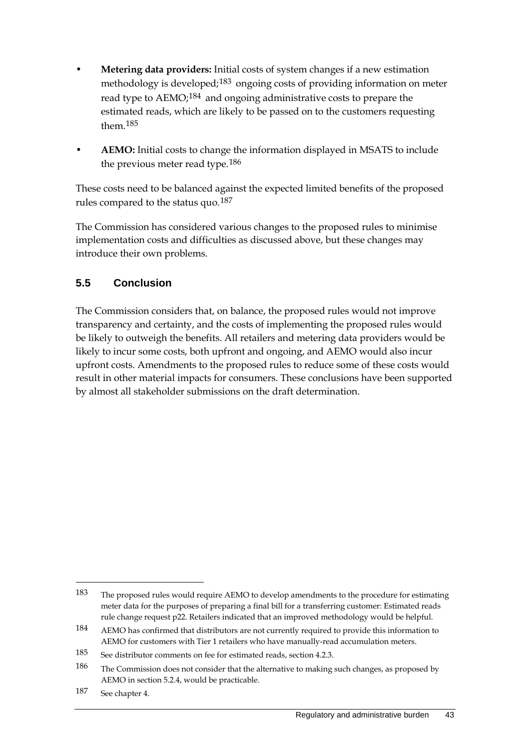- **Metering data providers:** Initial costs of system changes if a new estimation methodology is developed;<sup>[183](#page-50-1)</sup> ongoing costs of providing information on meter read type to AEMO;<sup>[184](#page-50-2)</sup> and ongoing administrative costs to prepare the estimated reads, which are likely to be passed on to the customers requesting them.[185](#page-50-3)
- **AEMO:** Initial costs to change the information displayed in MSATS to include the previous meter read type.[186](#page-50-4)

These costs need to be balanced against the expected limited benefits of the proposed rules compared to the status quo.[187](#page-50-5)

The Commission has considered various changes to the proposed rules to minimise implementation costs and difficulties as discussed above, but these changes may introduce their own problems.

# <span id="page-50-0"></span>**5.5 Conclusion**

The Commission considers that, on balance, the proposed rules would not improve transparency and certainty, and the costs of implementing the proposed rules would be likely to outweigh the benefits. All retailers and metering data providers would be likely to incur some costs, both upfront and ongoing, and AEMO would also incur upfront costs. Amendments to the proposed rules to reduce some of these costs would result in other material impacts for consumers. These conclusions have been supported by almost all stakeholder submissions on the draft determination.

<span id="page-50-1"></span><sup>183</sup> The proposed rules would require AEMO to develop amendments to the procedure for estimating meter data for the purposes of preparing a final bill for a transferring customer: Estimated reads rule change request p22. Retailers indicated that an improved methodology would be helpful.

<span id="page-50-2"></span><sup>184</sup> AEMO has confirmed that distributors are not currently required to provide this information to AEMO for customers with Tier 1 retailers who have manually-read accumulation meters.

<span id="page-50-3"></span><sup>185</sup> See distributor comments on fee for estimated reads, section 4.2.3.

<span id="page-50-4"></span><sup>186</sup> The Commission does not consider that the alternative to making such changes, as proposed by AEMO in section 5.2.4, would be practicable.

<span id="page-50-5"></span><sup>187</sup> See chapter 4.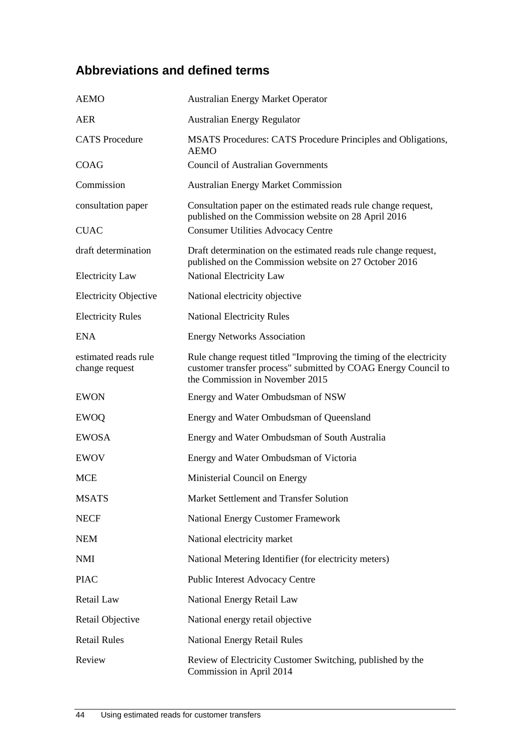# <span id="page-51-0"></span>**Abbreviations and defined terms**

| <b>AEMO</b>                                   | <b>Australian Energy Market Operator</b>                                                                                                                                 |
|-----------------------------------------------|--------------------------------------------------------------------------------------------------------------------------------------------------------------------------|
| AER                                           | <b>Australian Energy Regulator</b>                                                                                                                                       |
| <b>CATS</b> Procedure                         | <b>MSATS</b> Procedures: CATS Procedure Principles and Obligations,<br><b>AEMO</b>                                                                                       |
| <b>COAG</b>                                   | <b>Council of Australian Governments</b>                                                                                                                                 |
| Commission                                    | <b>Australian Energy Market Commission</b>                                                                                                                               |
| consultation paper                            | Consultation paper on the estimated reads rule change request,<br>published on the Commission website on 28 April 2016                                                   |
| <b>CUAC</b>                                   | <b>Consumer Utilities Advocacy Centre</b>                                                                                                                                |
| draft determination<br><b>Electricity Law</b> | Draft determination on the estimated reads rule change request,<br>published on the Commission website on 27 October 2016<br>National Electricity Law                    |
|                                               |                                                                                                                                                                          |
| <b>Electricity Objective</b>                  | National electricity objective                                                                                                                                           |
| <b>Electricity Rules</b>                      | <b>National Electricity Rules</b>                                                                                                                                        |
| <b>ENA</b>                                    | <b>Energy Networks Association</b>                                                                                                                                       |
| estimated reads rule<br>change request        | Rule change request titled "Improving the timing of the electricity<br>customer transfer process" submitted by COAG Energy Council to<br>the Commission in November 2015 |
| <b>EWON</b>                                   | Energy and Water Ombudsman of NSW                                                                                                                                        |
| <b>EWOQ</b>                                   | Energy and Water Ombudsman of Queensland                                                                                                                                 |
| <b>EWOSA</b>                                  | Energy and Water Ombudsman of South Australia                                                                                                                            |
| <b>EWOV</b>                                   | Energy and Water Ombudsman of Victoria                                                                                                                                   |
| <b>MCE</b>                                    | Ministerial Council on Energy                                                                                                                                            |
| <b>MSATS</b>                                  | Market Settlement and Transfer Solution                                                                                                                                  |
| <b>NECF</b>                                   | <b>National Energy Customer Framework</b>                                                                                                                                |
| <b>NEM</b>                                    | National electricity market                                                                                                                                              |
| <b>NMI</b>                                    | National Metering Identifier (for electricity meters)                                                                                                                    |
| <b>PIAC</b>                                   | Public Interest Advocacy Centre                                                                                                                                          |
| Retail Law                                    | National Energy Retail Law                                                                                                                                               |
| Retail Objective                              | National energy retail objective                                                                                                                                         |
| <b>Retail Rules</b>                           | <b>National Energy Retail Rules</b>                                                                                                                                      |
| Review                                        | Review of Electricity Customer Switching, published by the<br>Commission in April 2014                                                                                   |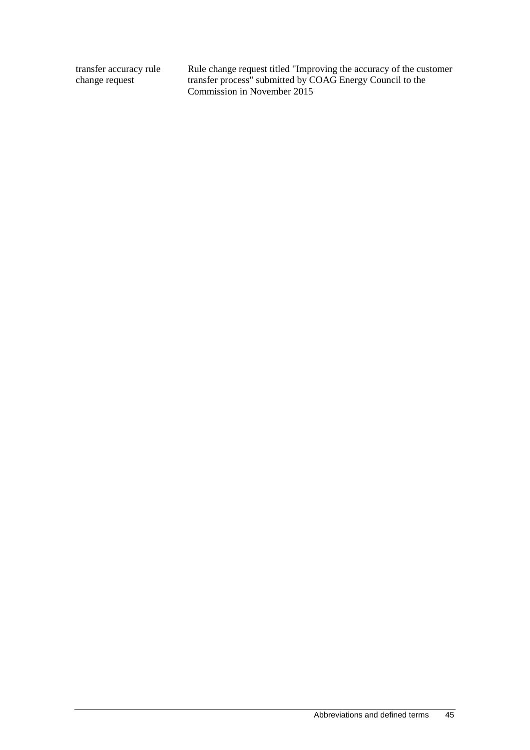transfer accuracy rule change request

Rule change request titled "Improving the accuracy of the customer transfer process" submitted by COAG Energy Council to the Commission in November 2015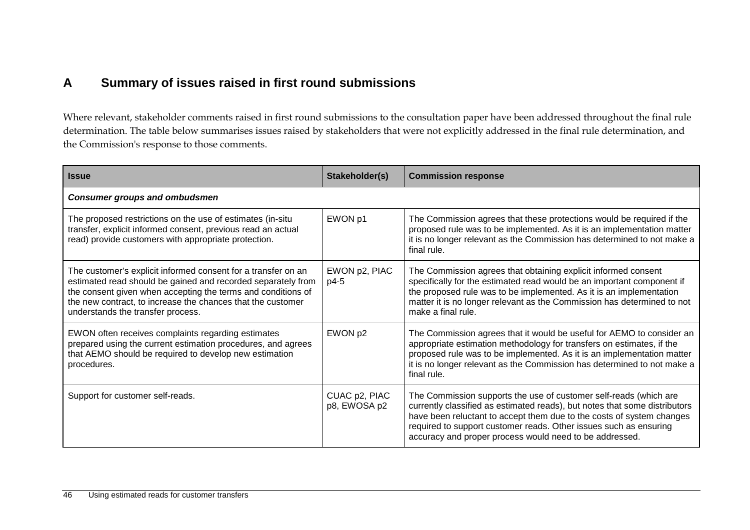# **A Summary of issues raised in first round submissions**

Where relevant, stakeholder comments raised in first round submissions to the consultation paper have been addressed throughout the final rule determination. The table below summarises issues raised by stakeholders that were not explicitly addressed in the final rule determination, and the Commission's response to those comments.

<span id="page-53-0"></span>

| <b>Issue</b>                                                                                                                                                                                                                                                                                      | Stakeholder(s)                | <b>Commission response</b>                                                                                                                                                                                                                                                                                                                               |  |  |  |
|---------------------------------------------------------------------------------------------------------------------------------------------------------------------------------------------------------------------------------------------------------------------------------------------------|-------------------------------|----------------------------------------------------------------------------------------------------------------------------------------------------------------------------------------------------------------------------------------------------------------------------------------------------------------------------------------------------------|--|--|--|
| <b>Consumer groups and ombudsmen</b>                                                                                                                                                                                                                                                              |                               |                                                                                                                                                                                                                                                                                                                                                          |  |  |  |
| The proposed restrictions on the use of estimates (in-situ<br>transfer, explicit informed consent, previous read an actual<br>read) provide customers with appropriate protection.                                                                                                                | EWON p1                       | The Commission agrees that these protections would be required if the<br>proposed rule was to be implemented. As it is an implementation matter<br>it is no longer relevant as the Commission has determined to not make a<br>final rule.                                                                                                                |  |  |  |
| The customer's explicit informed consent for a transfer on an<br>estimated read should be gained and recorded separately from<br>the consent given when accepting the terms and conditions of<br>the new contract, to increase the chances that the customer<br>understands the transfer process. | EWON p2, PIAC<br>$p4-5$       | The Commission agrees that obtaining explicit informed consent<br>specifically for the estimated read would be an important component if<br>the proposed rule was to be implemented. As it is an implementation<br>matter it is no longer relevant as the Commission has determined to not<br>make a final rule.                                         |  |  |  |
| EWON often receives complaints regarding estimates<br>prepared using the current estimation procedures, and agrees<br>that AEMO should be required to develop new estimation<br>procedures.                                                                                                       | EWON p2                       | The Commission agrees that it would be useful for AEMO to consider an<br>appropriate estimation methodology for transfers on estimates, if the<br>proposed rule was to be implemented. As it is an implementation matter<br>it is no longer relevant as the Commission has determined to not make a<br>final rule.                                       |  |  |  |
| Support for customer self-reads.                                                                                                                                                                                                                                                                  | CUAC p2, PIAC<br>p8, EWOSA p2 | The Commission supports the use of customer self-reads (which are<br>currently classified as estimated reads), but notes that some distributors<br>have been reluctant to accept them due to the costs of system changes<br>required to support customer reads. Other issues such as ensuring<br>accuracy and proper process would need to be addressed. |  |  |  |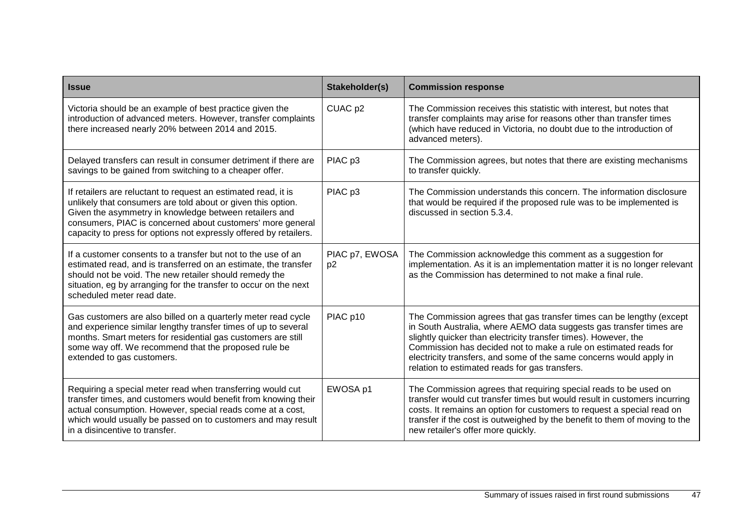| <b>Issue</b>                                                                                                                                                                                                                                                                                                                | Stakeholder(s)                   | <b>Commission response</b>                                                                                                                                                                                                                                                                                                                                                                                  |
|-----------------------------------------------------------------------------------------------------------------------------------------------------------------------------------------------------------------------------------------------------------------------------------------------------------------------------|----------------------------------|-------------------------------------------------------------------------------------------------------------------------------------------------------------------------------------------------------------------------------------------------------------------------------------------------------------------------------------------------------------------------------------------------------------|
| Victoria should be an example of best practice given the<br>introduction of advanced meters. However, transfer complaints<br>there increased nearly 20% between 2014 and 2015.                                                                                                                                              | CUAC <sub>p2</sub>               | The Commission receives this statistic with interest, but notes that<br>transfer complaints may arise for reasons other than transfer times<br>(which have reduced in Victoria, no doubt due to the introduction of<br>advanced meters).                                                                                                                                                                    |
| Delayed transfers can result in consumer detriment if there are<br>savings to be gained from switching to a cheaper offer.                                                                                                                                                                                                  | PIAC p3                          | The Commission agrees, but notes that there are existing mechanisms<br>to transfer quickly.                                                                                                                                                                                                                                                                                                                 |
| If retailers are reluctant to request an estimated read, it is<br>unlikely that consumers are told about or given this option.<br>Given the asymmetry in knowledge between retailers and<br>consumers, PIAC is concerned about customers' more general<br>capacity to press for options not expressly offered by retailers. | PIAC p3                          | The Commission understands this concern. The information disclosure<br>that would be required if the proposed rule was to be implemented is<br>discussed in section 5.3.4.                                                                                                                                                                                                                                  |
| If a customer consents to a transfer but not to the use of an<br>estimated read, and is transferred on an estimate, the transfer<br>should not be void. The new retailer should remedy the<br>situation, eg by arranging for the transfer to occur on the next<br>scheduled meter read date.                                | PIAC p7, EWOSA<br>p <sub>2</sub> | The Commission acknowledge this comment as a suggestion for<br>implementation. As it is an implementation matter it is no longer relevant<br>as the Commission has determined to not make a final rule.                                                                                                                                                                                                     |
| Gas customers are also billed on a quarterly meter read cycle<br>and experience similar lengthy transfer times of up to several<br>months. Smart meters for residential gas customers are still<br>some way off. We recommend that the proposed rule be<br>extended to gas customers.                                       | PIAC p10                         | The Commission agrees that gas transfer times can be lengthy (except<br>in South Australia, where AEMO data suggests gas transfer times are<br>slightly quicker than electricity transfer times). However, the<br>Commission has decided not to make a rule on estimated reads for<br>electricity transfers, and some of the same concerns would apply in<br>relation to estimated reads for gas transfers. |
| Requiring a special meter read when transferring would cut<br>transfer times, and customers would benefit from knowing their<br>actual consumption. However, special reads come at a cost,<br>which would usually be passed on to customers and may result<br>in a disincentive to transfer.                                | EWOSA p1                         | The Commission agrees that requiring special reads to be used on<br>transfer would cut transfer times but would result in customers incurring<br>costs. It remains an option for customers to request a special read on<br>transfer if the cost is outweighed by the benefit to them of moving to the<br>new retailer's offer more quickly.                                                                 |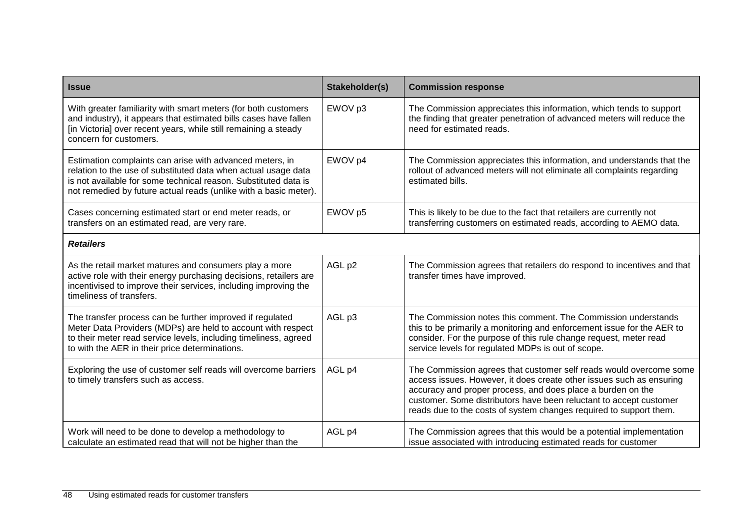| <b>Issue</b>                                                                                                                                                                                                                                                      | Stakeholder(s) | <b>Commission response</b>                                                                                                                                                                                                                                                                                                                            |
|-------------------------------------------------------------------------------------------------------------------------------------------------------------------------------------------------------------------------------------------------------------------|----------------|-------------------------------------------------------------------------------------------------------------------------------------------------------------------------------------------------------------------------------------------------------------------------------------------------------------------------------------------------------|
| With greater familiarity with smart meters (for both customers<br>and industry), it appears that estimated bills cases have fallen<br>[in Victoria] over recent years, while still remaining a steady<br>concern for customers.                                   | EWOV p3        | The Commission appreciates this information, which tends to support<br>the finding that greater penetration of advanced meters will reduce the<br>need for estimated reads.                                                                                                                                                                           |
| Estimation complaints can arise with advanced meters, in<br>relation to the use of substituted data when actual usage data<br>is not available for some technical reason. Substituted data is<br>not remedied by future actual reads (unlike with a basic meter). | EWOV p4        | The Commission appreciates this information, and understands that the<br>rollout of advanced meters will not eliminate all complaints regarding<br>estimated bills.                                                                                                                                                                                   |
| Cases concerning estimated start or end meter reads, or<br>transfers on an estimated read, are very rare.                                                                                                                                                         | EWOV p5        | This is likely to be due to the fact that retailers are currently not<br>transferring customers on estimated reads, according to AEMO data.                                                                                                                                                                                                           |
| <b>Retailers</b>                                                                                                                                                                                                                                                  |                |                                                                                                                                                                                                                                                                                                                                                       |
| As the retail market matures and consumers play a more<br>active role with their energy purchasing decisions, retailers are<br>incentivised to improve their services, including improving the<br>timeliness of transfers.                                        | AGL p2         | The Commission agrees that retailers do respond to incentives and that<br>transfer times have improved.                                                                                                                                                                                                                                               |
| The transfer process can be further improved if regulated<br>Meter Data Providers (MDPs) are held to account with respect<br>to their meter read service levels, including timeliness, agreed<br>to with the AER in their price determinations.                   | AGL p3         | The Commission notes this comment. The Commission understands<br>this to be primarily a monitoring and enforcement issue for the AER to<br>consider. For the purpose of this rule change request, meter read<br>service levels for regulated MDPs is out of scope.                                                                                    |
| Exploring the use of customer self reads will overcome barriers<br>to timely transfers such as access.                                                                                                                                                            | AGL p4         | The Commission agrees that customer self reads would overcome some<br>access issues. However, it does create other issues such as ensuring<br>accuracy and proper process, and does place a burden on the<br>customer. Some distributors have been reluctant to accept customer<br>reads due to the costs of system changes required to support them. |
| Work will need to be done to develop a methodology to<br>calculate an estimated read that will not be higher than the                                                                                                                                             | AGL p4         | The Commission agrees that this would be a potential implementation<br>issue associated with introducing estimated reads for customer                                                                                                                                                                                                                 |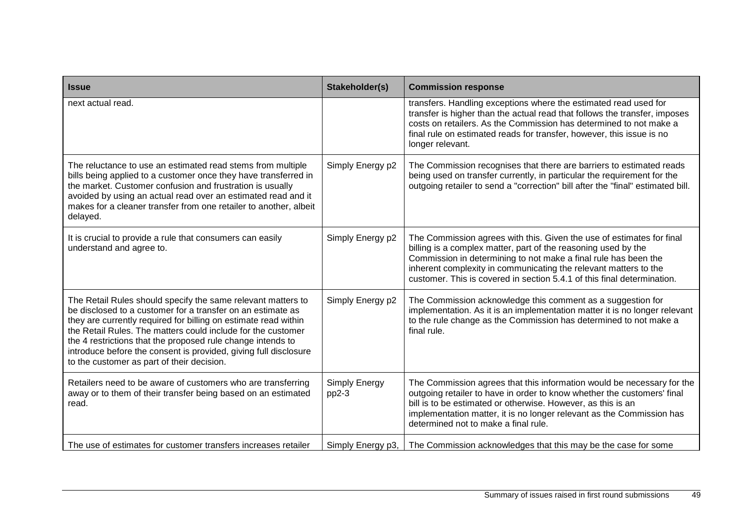| <b>Issue</b>                                                                                                                                                                                                                                                                                                                                                                                                                                    | Stakeholder(s)           | <b>Commission response</b>                                                                                                                                                                                                                                                                                                                                |
|-------------------------------------------------------------------------------------------------------------------------------------------------------------------------------------------------------------------------------------------------------------------------------------------------------------------------------------------------------------------------------------------------------------------------------------------------|--------------------------|-----------------------------------------------------------------------------------------------------------------------------------------------------------------------------------------------------------------------------------------------------------------------------------------------------------------------------------------------------------|
| next actual read.                                                                                                                                                                                                                                                                                                                                                                                                                               |                          | transfers. Handling exceptions where the estimated read used for<br>transfer is higher than the actual read that follows the transfer, imposes<br>costs on retailers. As the Commission has determined to not make a<br>final rule on estimated reads for transfer, however, this issue is no<br>longer relevant.                                         |
| The reluctance to use an estimated read stems from multiple<br>bills being applied to a customer once they have transferred in<br>the market. Customer confusion and frustration is usually<br>avoided by using an actual read over an estimated read and it<br>makes for a cleaner transfer from one retailer to another, albeit<br>delayed.                                                                                                   | Simply Energy p2         | The Commission recognises that there are barriers to estimated reads<br>being used on transfer currently, in particular the requirement for the<br>outgoing retailer to send a "correction" bill after the "final" estimated bill.                                                                                                                        |
| It is crucial to provide a rule that consumers can easily<br>understand and agree to.                                                                                                                                                                                                                                                                                                                                                           | Simply Energy p2         | The Commission agrees with this. Given the use of estimates for final<br>billing is a complex matter, part of the reasoning used by the<br>Commission in determining to not make a final rule has been the<br>inherent complexity in communicating the relevant matters to the<br>customer. This is covered in section 5.4.1 of this final determination. |
| The Retail Rules should specify the same relevant matters to<br>be disclosed to a customer for a transfer on an estimate as<br>they are currently required for billing on estimate read within<br>the Retail Rules. The matters could include for the customer<br>the 4 restrictions that the proposed rule change intends to<br>introduce before the consent is provided, giving full disclosure<br>to the customer as part of their decision. | Simply Energy p2         | The Commission acknowledge this comment as a suggestion for<br>implementation. As it is an implementation matter it is no longer relevant<br>to the rule change as the Commission has determined to not make a<br>final rule.                                                                                                                             |
| Retailers need to be aware of customers who are transferring<br>away or to them of their transfer being based on an estimated<br>read.                                                                                                                                                                                                                                                                                                          | Simply Energy<br>$pp2-3$ | The Commission agrees that this information would be necessary for the<br>outgoing retailer to have in order to know whether the customers' final<br>bill is to be estimated or otherwise. However, as this is an<br>implementation matter, it is no longer relevant as the Commission has<br>determined not to make a final rule.                        |
| The use of estimates for customer transfers increases retailer                                                                                                                                                                                                                                                                                                                                                                                  | Simply Energy p3,        | The Commission acknowledges that this may be the case for some                                                                                                                                                                                                                                                                                            |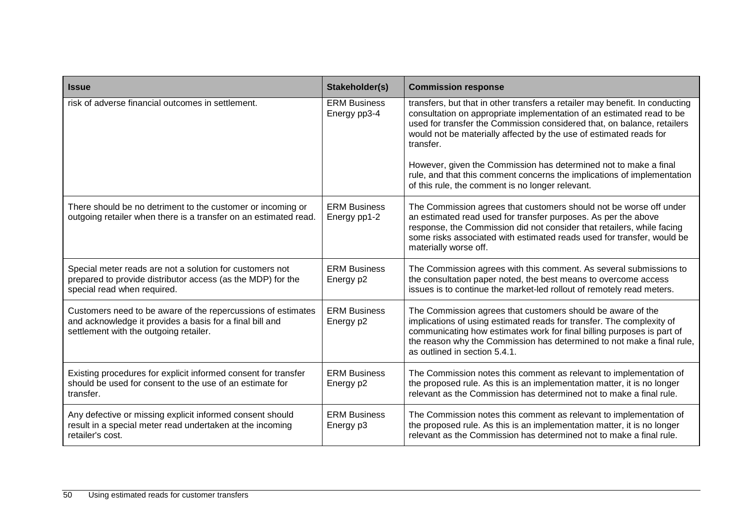| <b>Issue</b>                                                                                                                                                       | Stakeholder(s)                      | <b>Commission response</b>                                                                                                                                                                                                                                                                                                |
|--------------------------------------------------------------------------------------------------------------------------------------------------------------------|-------------------------------------|---------------------------------------------------------------------------------------------------------------------------------------------------------------------------------------------------------------------------------------------------------------------------------------------------------------------------|
| risk of adverse financial outcomes in settlement.                                                                                                                  | <b>ERM Business</b><br>Energy pp3-4 | transfers, but that in other transfers a retailer may benefit. In conducting<br>consultation on appropriate implementation of an estimated read to be<br>used for transfer the Commission considered that, on balance, retailers<br>would not be materially affected by the use of estimated reads for<br>transfer.       |
|                                                                                                                                                                    |                                     | However, given the Commission has determined not to make a final<br>rule, and that this comment concerns the implications of implementation<br>of this rule, the comment is no longer relevant.                                                                                                                           |
| There should be no detriment to the customer or incoming or<br>outgoing retailer when there is a transfer on an estimated read.                                    | <b>ERM Business</b><br>Energy pp1-2 | The Commission agrees that customers should not be worse off under<br>an estimated read used for transfer purposes. As per the above<br>response, the Commission did not consider that retailers, while facing<br>some risks associated with estimated reads used for transfer, would be<br>materially worse off.         |
| Special meter reads are not a solution for customers not<br>prepared to provide distributor access (as the MDP) for the<br>special read when required.             | <b>ERM Business</b><br>Energy p2    | The Commission agrees with this comment. As several submissions to<br>the consultation paper noted, the best means to overcome access<br>issues is to continue the market-led rollout of remotely read meters.                                                                                                            |
| Customers need to be aware of the repercussions of estimates<br>and acknowledge it provides a basis for a final bill and<br>settlement with the outgoing retailer. | <b>ERM Business</b><br>Energy p2    | The Commission agrees that customers should be aware of the<br>implications of using estimated reads for transfer. The complexity of<br>communicating how estimates work for final billing purposes is part of<br>the reason why the Commission has determined to not make a final rule,<br>as outlined in section 5.4.1. |
| Existing procedures for explicit informed consent for transfer<br>should be used for consent to the use of an estimate for<br>transfer.                            | <b>ERM Business</b><br>Energy p2    | The Commission notes this comment as relevant to implementation of<br>the proposed rule. As this is an implementation matter, it is no longer<br>relevant as the Commission has determined not to make a final rule.                                                                                                      |
| Any defective or missing explicit informed consent should<br>result in a special meter read undertaken at the incoming<br>retailer's cost.                         | <b>ERM Business</b><br>Energy p3    | The Commission notes this comment as relevant to implementation of<br>the proposed rule. As this is an implementation matter, it is no longer<br>relevant as the Commission has determined not to make a final rule.                                                                                                      |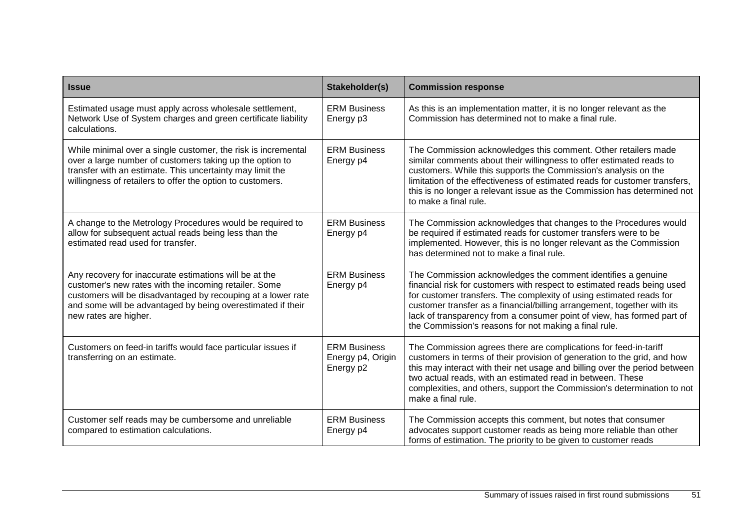| <b>Issue</b>                                                                                                                                                                                                                                                            | Stakeholder(s)                                        | <b>Commission response</b>                                                                                                                                                                                                                                                                                                                                                                                                   |
|-------------------------------------------------------------------------------------------------------------------------------------------------------------------------------------------------------------------------------------------------------------------------|-------------------------------------------------------|------------------------------------------------------------------------------------------------------------------------------------------------------------------------------------------------------------------------------------------------------------------------------------------------------------------------------------------------------------------------------------------------------------------------------|
| Estimated usage must apply across wholesale settlement,<br>Network Use of System charges and green certificate liability<br>calculations.                                                                                                                               | <b>ERM Business</b><br>Energy p3                      | As this is an implementation matter, it is no longer relevant as the<br>Commission has determined not to make a final rule.                                                                                                                                                                                                                                                                                                  |
| While minimal over a single customer, the risk is incremental<br>over a large number of customers taking up the option to<br>transfer with an estimate. This uncertainty may limit the<br>willingness of retailers to offer the option to customers.                    | <b>ERM Business</b><br>Energy p4                      | The Commission acknowledges this comment. Other retailers made<br>similar comments about their willingness to offer estimated reads to<br>customers. While this supports the Commission's analysis on the<br>limitation of the effectiveness of estimated reads for customer transfers,<br>this is no longer a relevant issue as the Commission has determined not<br>to make a final rule.                                  |
| A change to the Metrology Procedures would be required to<br>allow for subsequent actual reads being less than the<br>estimated read used for transfer.                                                                                                                 | <b>ERM Business</b><br>Energy p4                      | The Commission acknowledges that changes to the Procedures would<br>be required if estimated reads for customer transfers were to be<br>implemented. However, this is no longer relevant as the Commission<br>has determined not to make a final rule.                                                                                                                                                                       |
| Any recovery for inaccurate estimations will be at the<br>customer's new rates with the incoming retailer. Some<br>customers will be disadvantaged by recouping at a lower rate<br>and some will be advantaged by being overestimated if their<br>new rates are higher. | <b>ERM Business</b><br>Energy p4                      | The Commission acknowledges the comment identifies a genuine<br>financial risk for customers with respect to estimated reads being used<br>for customer transfers. The complexity of using estimated reads for<br>customer transfer as a financial/billing arrangement, together with its<br>lack of transparency from a consumer point of view, has formed part of<br>the Commission's reasons for not making a final rule. |
| Customers on feed-in tariffs would face particular issues if<br>transferring on an estimate.                                                                                                                                                                            | <b>ERM Business</b><br>Energy p4, Origin<br>Energy p2 | The Commission agrees there are complications for feed-in-tariff<br>customers in terms of their provision of generation to the grid, and how<br>this may interact with their net usage and billing over the period between<br>two actual reads, with an estimated read in between. These<br>complexities, and others, support the Commission's determination to not<br>make a final rule.                                    |
| Customer self reads may be cumbersome and unreliable<br>compared to estimation calculations.                                                                                                                                                                            | <b>ERM Business</b><br>Energy p4                      | The Commission accepts this comment, but notes that consumer<br>advocates support customer reads as being more reliable than other<br>forms of estimation. The priority to be given to customer reads                                                                                                                                                                                                                        |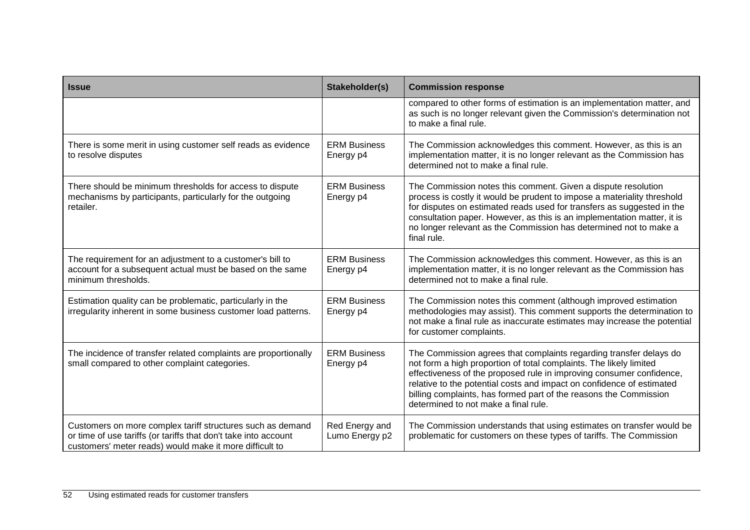| <b>Issue</b>                                                                                                                                                                             | Stakeholder(s)                   | <b>Commission response</b>                                                                                                                                                                                                                                                                                                                                                                             |
|------------------------------------------------------------------------------------------------------------------------------------------------------------------------------------------|----------------------------------|--------------------------------------------------------------------------------------------------------------------------------------------------------------------------------------------------------------------------------------------------------------------------------------------------------------------------------------------------------------------------------------------------------|
|                                                                                                                                                                                          |                                  | compared to other forms of estimation is an implementation matter, and<br>as such is no longer relevant given the Commission's determination not<br>to make a final rule.                                                                                                                                                                                                                              |
| There is some merit in using customer self reads as evidence<br>to resolve disputes                                                                                                      | <b>ERM Business</b><br>Energy p4 | The Commission acknowledges this comment. However, as this is an<br>implementation matter, it is no longer relevant as the Commission has<br>determined not to make a final rule.                                                                                                                                                                                                                      |
| There should be minimum thresholds for access to dispute<br>mechanisms by participants, particularly for the outgoing<br>retailer.                                                       | <b>ERM Business</b><br>Energy p4 | The Commission notes this comment. Given a dispute resolution<br>process is costly it would be prudent to impose a materiality threshold<br>for disputes on estimated reads used for transfers as suggested in the<br>consultation paper. However, as this is an implementation matter, it is<br>no longer relevant as the Commission has determined not to make a<br>final rule.                      |
| The requirement for an adjustment to a customer's bill to<br>account for a subsequent actual must be based on the same<br>minimum thresholds.                                            | <b>ERM Business</b><br>Energy p4 | The Commission acknowledges this comment. However, as this is an<br>implementation matter, it is no longer relevant as the Commission has<br>determined not to make a final rule.                                                                                                                                                                                                                      |
| Estimation quality can be problematic, particularly in the<br>irregularity inherent in some business customer load patterns.                                                             | <b>ERM Business</b><br>Energy p4 | The Commission notes this comment (although improved estimation<br>methodologies may assist). This comment supports the determination to<br>not make a final rule as inaccurate estimates may increase the potential<br>for customer complaints.                                                                                                                                                       |
| The incidence of transfer related complaints are proportionally<br>small compared to other complaint categories.                                                                         | <b>ERM Business</b><br>Energy p4 | The Commission agrees that complaints regarding transfer delays do<br>not form a high proportion of total complaints. The likely limited<br>effectiveness of the proposed rule in improving consumer confidence,<br>relative to the potential costs and impact on confidence of estimated<br>billing complaints, has formed part of the reasons the Commission<br>determined to not make a final rule. |
| Customers on more complex tariff structures such as demand<br>or time of use tariffs (or tariffs that don't take into account<br>customers' meter reads) would make it more difficult to | Red Energy and<br>Lumo Energy p2 | The Commission understands that using estimates on transfer would be<br>problematic for customers on these types of tariffs. The Commission                                                                                                                                                                                                                                                            |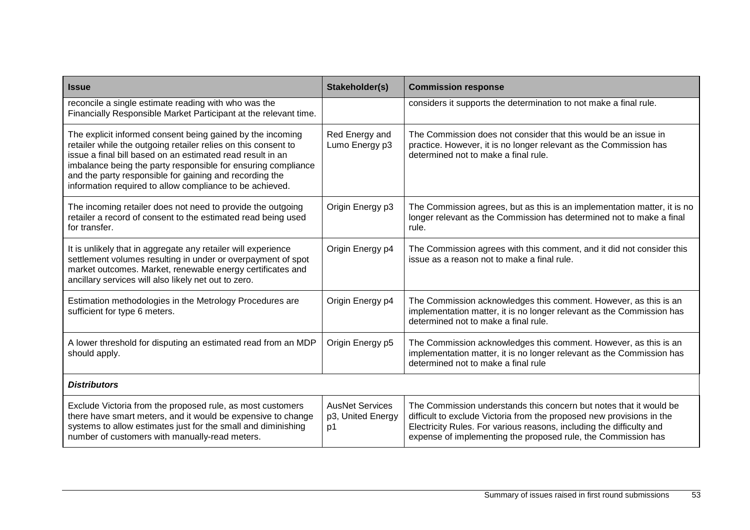| <b>Issue</b>                                                                                                                                                                                                                                                                                                                                                                       | Stakeholder(s)                                    | <b>Commission response</b>                                                                                                                                                                                                                                                           |  |
|------------------------------------------------------------------------------------------------------------------------------------------------------------------------------------------------------------------------------------------------------------------------------------------------------------------------------------------------------------------------------------|---------------------------------------------------|--------------------------------------------------------------------------------------------------------------------------------------------------------------------------------------------------------------------------------------------------------------------------------------|--|
| reconcile a single estimate reading with who was the<br>Financially Responsible Market Participant at the relevant time.                                                                                                                                                                                                                                                           |                                                   | considers it supports the determination to not make a final rule.                                                                                                                                                                                                                    |  |
| The explicit informed consent being gained by the incoming<br>retailer while the outgoing retailer relies on this consent to<br>issue a final bill based on an estimated read result in an<br>imbalance being the party responsible for ensuring compliance<br>and the party responsible for gaining and recording the<br>information required to allow compliance to be achieved. | Red Energy and<br>Lumo Energy p3                  | The Commission does not consider that this would be an issue in<br>practice. However, it is no longer relevant as the Commission has<br>determined not to make a final rule.                                                                                                         |  |
| The incoming retailer does not need to provide the outgoing<br>retailer a record of consent to the estimated read being used<br>for transfer.                                                                                                                                                                                                                                      | Origin Energy p3                                  | The Commission agrees, but as this is an implementation matter, it is no<br>longer relevant as the Commission has determined not to make a final<br>rule.                                                                                                                            |  |
| It is unlikely that in aggregate any retailer will experience<br>settlement volumes resulting in under or overpayment of spot<br>market outcomes. Market, renewable energy certificates and<br>ancillary services will also likely net out to zero.                                                                                                                                | Origin Energy p4                                  | The Commission agrees with this comment, and it did not consider this<br>issue as a reason not to make a final rule.                                                                                                                                                                 |  |
| Estimation methodologies in the Metrology Procedures are<br>sufficient for type 6 meters.                                                                                                                                                                                                                                                                                          | Origin Energy p4                                  | The Commission acknowledges this comment. However, as this is an<br>implementation matter, it is no longer relevant as the Commission has<br>determined not to make a final rule.                                                                                                    |  |
| A lower threshold for disputing an estimated read from an MDP<br>should apply.                                                                                                                                                                                                                                                                                                     | Origin Energy p5                                  | The Commission acknowledges this comment. However, as this is an<br>implementation matter, it is no longer relevant as the Commission has<br>determined not to make a final rule                                                                                                     |  |
| <b>Distributors</b>                                                                                                                                                                                                                                                                                                                                                                |                                                   |                                                                                                                                                                                                                                                                                      |  |
| Exclude Victoria from the proposed rule, as most customers<br>there have smart meters, and it would be expensive to change<br>systems to allow estimates just for the small and diminishing<br>number of customers with manually-read meters.                                                                                                                                      | <b>AusNet Services</b><br>p3, United Energy<br>p1 | The Commission understands this concern but notes that it would be<br>difficult to exclude Victoria from the proposed new provisions in the<br>Electricity Rules. For various reasons, including the difficulty and<br>expense of implementing the proposed rule, the Commission has |  |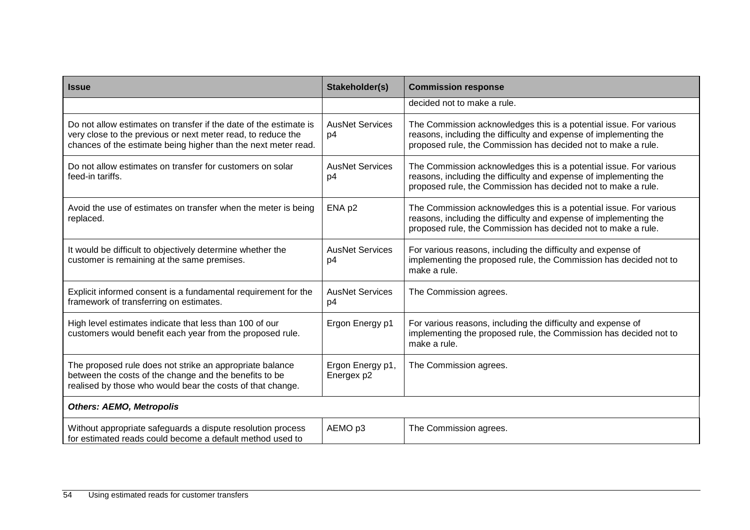| <b>Issue</b>                                                                                                                                                                                        | Stakeholder(s)                 | <b>Commission response</b>                                                                                                                                                                               |
|-----------------------------------------------------------------------------------------------------------------------------------------------------------------------------------------------------|--------------------------------|----------------------------------------------------------------------------------------------------------------------------------------------------------------------------------------------------------|
|                                                                                                                                                                                                     |                                | decided not to make a rule.                                                                                                                                                                              |
| Do not allow estimates on transfer if the date of the estimate is<br>very close to the previous or next meter read, to reduce the<br>chances of the estimate being higher than the next meter read. | <b>AusNet Services</b><br>p4   | The Commission acknowledges this is a potential issue. For various<br>reasons, including the difficulty and expense of implementing the<br>proposed rule, the Commission has decided not to make a rule. |
| Do not allow estimates on transfer for customers on solar<br>feed-in tariffs.                                                                                                                       | <b>AusNet Services</b><br>p4   | The Commission acknowledges this is a potential issue. For various<br>reasons, including the difficulty and expense of implementing the<br>proposed rule, the Commission has decided not to make a rule. |
| Avoid the use of estimates on transfer when the meter is being<br>replaced.                                                                                                                         | ENA p2                         | The Commission acknowledges this is a potential issue. For various<br>reasons, including the difficulty and expense of implementing the<br>proposed rule, the Commission has decided not to make a rule. |
| It would be difficult to objectively determine whether the<br>customer is remaining at the same premises.                                                                                           | <b>AusNet Services</b><br>p4   | For various reasons, including the difficulty and expense of<br>implementing the proposed rule, the Commission has decided not to<br>make a rule.                                                        |
| Explicit informed consent is a fundamental requirement for the<br>framework of transferring on estimates.                                                                                           | <b>AusNet Services</b><br>p4   | The Commission agrees.                                                                                                                                                                                   |
| High level estimates indicate that less than 100 of our<br>customers would benefit each year from the proposed rule.                                                                                | Ergon Energy p1                | For various reasons, including the difficulty and expense of<br>implementing the proposed rule, the Commission has decided not to<br>make a rule.                                                        |
| The proposed rule does not strike an appropriate balance<br>between the costs of the change and the benefits to be<br>realised by those who would bear the costs of that change.                    | Ergon Energy p1,<br>Energex p2 | The Commission agrees.                                                                                                                                                                                   |
| <b>Others: AEMO, Metropolis</b>                                                                                                                                                                     |                                |                                                                                                                                                                                                          |
| Without appropriate safeguards a dispute resolution process<br>for estimated reads could become a default method used to                                                                            | AEMO p3                        | The Commission agrees.                                                                                                                                                                                   |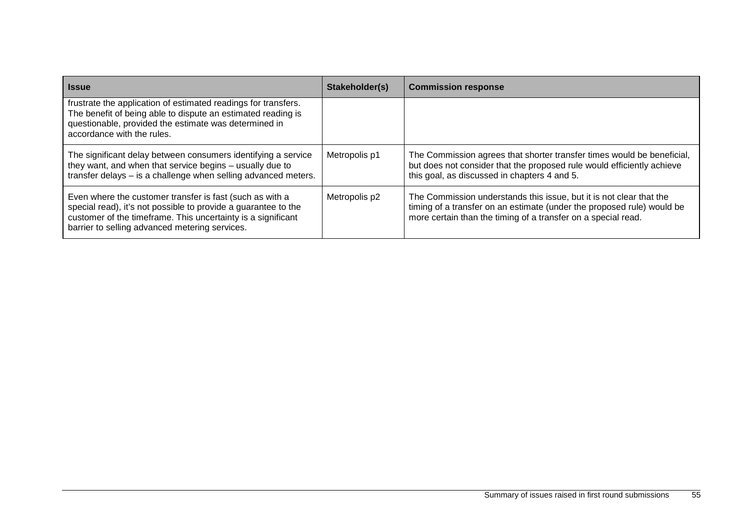| <b>Issue</b>                                                                                                                                                                                                                                 | Stakeholder(s) | <b>Commission response</b>                                                                                                                                                                                     |
|----------------------------------------------------------------------------------------------------------------------------------------------------------------------------------------------------------------------------------------------|----------------|----------------------------------------------------------------------------------------------------------------------------------------------------------------------------------------------------------------|
| frustrate the application of estimated readings for transfers.<br>The benefit of being able to dispute an estimated reading is<br>questionable, provided the estimate was determined in<br>accordance with the rules.                        |                |                                                                                                                                                                                                                |
| The significant delay between consumers identifying a service<br>they want, and when that service begins - usually due to<br>transfer delays - is a challenge when selling advanced meters.                                                  | Metropolis p1  | The Commission agrees that shorter transfer times would be beneficial,<br>but does not consider that the proposed rule would efficiently achieve<br>this goal, as discussed in chapters 4 and 5.               |
| Even where the customer transfer is fast (such as with a<br>special read), it's not possible to provide a guarantee to the<br>customer of the timeframe. This uncertainty is a significant<br>barrier to selling advanced metering services. | Metropolis p2  | The Commission understands this issue, but it is not clear that the<br>timing of a transfer on an estimate (under the proposed rule) would be<br>more certain than the timing of a transfer on a special read. |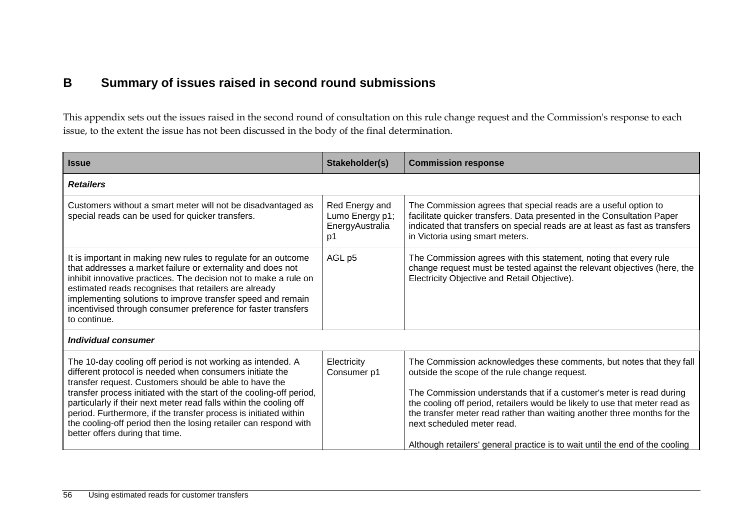# **B Summary of issues raised in second round submissions**

This appendix sets out the issues raised in the second round of consultation on this rule change request and the Commission's response to each issue, to the extent the issue has not been discussed in the body of the final determination.

<span id="page-63-0"></span>

| <b>Issue</b>                                                                                                                                                                                                                                                                                                                                                                                                                                                                                               | Stakeholder(s)                                             | <b>Commission response</b>                                                                                                                                                                                                                                                                                                                                                                                                                                             |  |
|------------------------------------------------------------------------------------------------------------------------------------------------------------------------------------------------------------------------------------------------------------------------------------------------------------------------------------------------------------------------------------------------------------------------------------------------------------------------------------------------------------|------------------------------------------------------------|------------------------------------------------------------------------------------------------------------------------------------------------------------------------------------------------------------------------------------------------------------------------------------------------------------------------------------------------------------------------------------------------------------------------------------------------------------------------|--|
| <b>Retailers</b>                                                                                                                                                                                                                                                                                                                                                                                                                                                                                           |                                                            |                                                                                                                                                                                                                                                                                                                                                                                                                                                                        |  |
| Customers without a smart meter will not be disadvantaged as<br>special reads can be used for quicker transfers.                                                                                                                                                                                                                                                                                                                                                                                           | Red Energy and<br>Lumo Energy p1;<br>EnergyAustralia<br>p1 | The Commission agrees that special reads are a useful option to<br>facilitate quicker transfers. Data presented in the Consultation Paper<br>indicated that transfers on special reads are at least as fast as transfers<br>in Victoria using smart meters.                                                                                                                                                                                                            |  |
| It is important in making new rules to regulate for an outcome<br>that addresses a market failure or externality and does not<br>inhibit innovative practices. The decision not to make a rule on<br>estimated reads recognises that retailers are already<br>implementing solutions to improve transfer speed and remain<br>incentivised through consumer preference for faster transfers<br>to continue.                                                                                                 | AGL p5                                                     | The Commission agrees with this statement, noting that every rule<br>change request must be tested against the relevant objectives (here, the<br>Electricity Objective and Retail Objective).                                                                                                                                                                                                                                                                          |  |
| Individual consumer                                                                                                                                                                                                                                                                                                                                                                                                                                                                                        |                                                            |                                                                                                                                                                                                                                                                                                                                                                                                                                                                        |  |
| The 10-day cooling off period is not working as intended. A<br>different protocol is needed when consumers initiate the<br>transfer request. Customers should be able to have the<br>transfer process initiated with the start of the cooling-off period,<br>particularly if their next meter read falls within the cooling off<br>period. Furthermore, if the transfer process is initiated within<br>the cooling-off period then the losing retailer can respond with<br>better offers during that time. | Electricity<br>Consumer p1                                 | The Commission acknowledges these comments, but notes that they fall<br>outside the scope of the rule change request.<br>The Commission understands that if a customer's meter is read during<br>the cooling off period, retailers would be likely to use that meter read as<br>the transfer meter read rather than waiting another three months for the<br>next scheduled meter read.<br>Although retailers' general practice is to wait until the end of the cooling |  |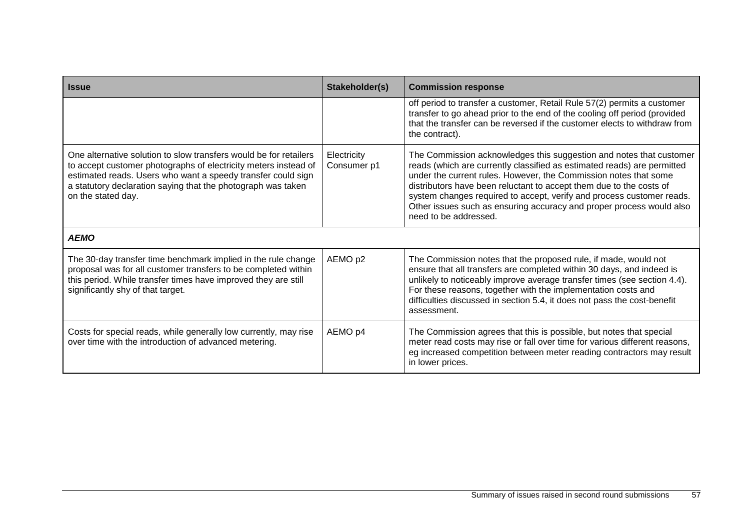| <b>Issue</b>                                                                                                                                                                                                                                                                               | Stakeholder(s)             | <b>Commission response</b>                                                                                                                                                                                                                                                                                                                                                                                                                                          |  |
|--------------------------------------------------------------------------------------------------------------------------------------------------------------------------------------------------------------------------------------------------------------------------------------------|----------------------------|---------------------------------------------------------------------------------------------------------------------------------------------------------------------------------------------------------------------------------------------------------------------------------------------------------------------------------------------------------------------------------------------------------------------------------------------------------------------|--|
|                                                                                                                                                                                                                                                                                            |                            | off period to transfer a customer, Retail Rule 57(2) permits a customer<br>transfer to go ahead prior to the end of the cooling off period (provided<br>that the transfer can be reversed if the customer elects to withdraw from<br>the contract).                                                                                                                                                                                                                 |  |
| One alternative solution to slow transfers would be for retailers<br>to accept customer photographs of electricity meters instead of<br>estimated reads. Users who want a speedy transfer could sign<br>a statutory declaration saying that the photograph was taken<br>on the stated day. | Electricity<br>Consumer p1 | The Commission acknowledges this suggestion and notes that customer<br>reads (which are currently classified as estimated reads) are permitted<br>under the current rules. However, the Commission notes that some<br>distributors have been reluctant to accept them due to the costs of<br>system changes required to accept, verify and process customer reads.<br>Other issues such as ensuring accuracy and proper process would also<br>need to be addressed. |  |
| <b>AEMO</b>                                                                                                                                                                                                                                                                                |                            |                                                                                                                                                                                                                                                                                                                                                                                                                                                                     |  |
| The 30-day transfer time benchmark implied in the rule change<br>proposal was for all customer transfers to be completed within<br>this period. While transfer times have improved they are still<br>significantly shy of that target.                                                     | AEMO p2                    | The Commission notes that the proposed rule, if made, would not<br>ensure that all transfers are completed within 30 days, and indeed is<br>unlikely to noticeably improve average transfer times (see section 4.4).<br>For these reasons, together with the implementation costs and<br>difficulties discussed in section 5.4, it does not pass the cost-benefit<br>assessment.                                                                                    |  |
| Costs for special reads, while generally low currently, may rise<br>over time with the introduction of advanced metering.                                                                                                                                                                  | AEMO p4                    | The Commission agrees that this is possible, but notes that special<br>meter read costs may rise or fall over time for various different reasons,<br>eg increased competition between meter reading contractors may result<br>in lower prices.                                                                                                                                                                                                                      |  |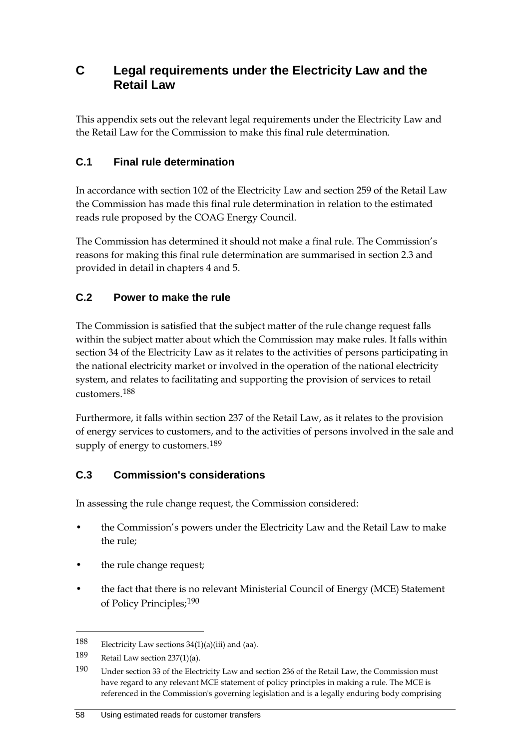# <span id="page-65-0"></span>**C Legal requirements under the Electricity Law and the Retail Law**

This appendix sets out the relevant legal requirements under the Electricity Law and the Retail Law for the Commission to make this final rule determination.

# <span id="page-65-1"></span>**C.1 Final rule determination**

In accordance with section 102 of the Electricity Law and section 259 of the Retail Law the Commission has made this final rule determination in relation to the estimated reads rule proposed by the COAG Energy Council.

The Commission has determined it should not make a final rule. The Commission's reasons for making this final rule determination are summarised in section [2.3](#page-14-0) and provided in detail in chapters 4 and 5.

# <span id="page-65-2"></span>**C.2 Power to make the rule**

The Commission is satisfied that the subject matter of the rule change request falls within the subject matter about which the Commission may make rules. It falls within section 34 of the Electricity Law as it relates to the activities of persons participating in the national electricity market or involved in the operation of the national electricity system, and relates to facilitating and supporting the provision of services to retail customers.[188](#page-65-4)

Furthermore, it falls within section 237 of the Retail Law, as it relates to the provision of energy services to customers, and to the activities of persons involved in the sale and supply of energy to customers.<sup>[189](#page-65-5)</sup>

# <span id="page-65-3"></span>**C.3 Commission's considerations**

In assessing the rule change request, the Commission considered:

- the Commission's powers under the Electricity Law and the Retail Law to make the rule;
- the rule change request;
- the fact that there is no relevant Ministerial Council of Energy (MCE) Statement of Policy Principles;[190](#page-65-6)

<span id="page-65-4"></span><sup>188</sup> Electricity Law sections  $34(1)(a)(iii)$  and (aa).

<span id="page-65-5"></span><sup>189</sup> Retail Law section 237(1)(a).

<span id="page-65-6"></span><sup>190</sup> Under section 33 of the Electricity Law and section 236 of the Retail Law, the Commission must have regard to any relevant MCE statement of policy principles in making a rule. The MCE is referenced in the Commission's governing legislation and is a legally enduring body comprising